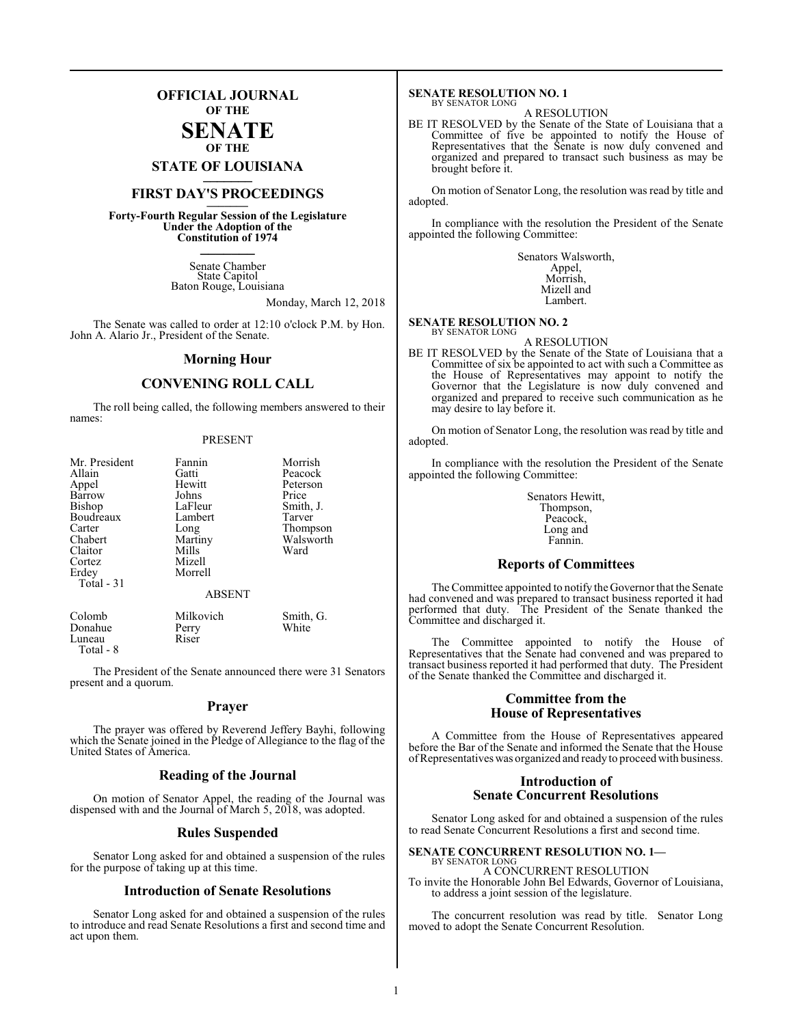### **OFFICIAL JOURNAL OF THE**

#### **SENATE OF THE**

**STATE OF LOUISIANA \_\_\_\_\_\_\_**

### **FIRST DAY'S PROCEEDINGS \_\_\_\_\_\_\_**

**Forty-Fourth Regular Session of the Legislature Under the Adoption of the Constitution of 1974 \_\_\_\_\_\_\_**

> Senate Chamber State Capitol Baton Rouge, Louisiana

> > Monday, March 12, 2018

The Senate was called to order at 12:10 o'clock P.M. by Hon. John A. Alario Jr., President of the Senate.

#### **Morning Hour**

### **CONVENING ROLL CALL**

The roll being called, the following members answered to their names:

#### PRESENT

| Mr. President<br>Allain<br>Appel<br>Barrow<br>Bishop<br>Boudreaux<br>Carter<br>Chabert<br>Claitor<br>Cortez | Fannin<br>Gatti<br>Hewitt<br>Johns<br>LaFleur<br>Lambert<br>Long<br>Martiny<br>Mills<br>Mizell | Morrish<br>Peacock<br>Peterson<br>Price<br>Smith, J.<br>Tarver<br>Thompson<br>Walsworth<br>Ward |
|-------------------------------------------------------------------------------------------------------------|------------------------------------------------------------------------------------------------|-------------------------------------------------------------------------------------------------|
| Erdey<br>Total - 31                                                                                         | Morrell<br><b>ABSENT</b>                                                                       |                                                                                                 |
| Colomb<br>Donahue<br>Luneau                                                                                 | Milkovich<br>Perry<br>Riser                                                                    | Smith, G.<br>White                                                                              |

Luneau Total - 8

The President of the Senate announced there were 31 Senators present and a quorum.

#### **Prayer**

The prayer was offered by Reverend Jeffery Bayhi, following which the Senate joined in the Pledge of Allegiance to the flag of the United States of America.

### **Reading of the Journal**

On motion of Senator Appel, the reading of the Journal was dispensed with and the Journal of March 5, 2018, was adopted.

#### **Rules Suspended**

Senator Long asked for and obtained a suspension of the rules for the purpose of taking up at this time.

#### **Introduction of Senate Resolutions**

Senator Long asked for and obtained a suspension of the rules to introduce and read Senate Resolutions a first and second time and act upon them.

#### **SENATE RESOLUTION NO. 1** BY SENATOR LONG

A RESOLUTION

BE IT RESOLVED by the Senate of the State of Louisiana that a Committee of five be appointed to notify the House of Representatives that the Senate is now duly convened and organized and prepared to transact such business as may be brought before it.

On motion of Senator Long, the resolution was read by title and adopted.

In compliance with the resolution the President of the Senate appointed the following Committee:

> Senators Walsworth, Appel, Morrish, Mizell and

Lambert.

**SENATE RESOLUTION NO. 2** BY SENATOR LONG

A RESOLUTION

BE IT RESOLVED by the Senate of the State of Louisiana that a Committee of six be appointed to act with such a Committee as the House of Representatives may appoint to notify the Governor that the Legislature is now duly convened and organized and prepared to receive such communication as he may desire to lay before it.

On motion of Senator Long, the resolution was read by title and adopted.

In compliance with the resolution the President of the Senate appointed the following Committee:

> Senators Hewitt, Thompson, Peacock, Long and Fannin.

#### **Reports of Committees**

The Committee appointed to notify the Governor that the Senate had convened and was prepared to transact business reported it had performed that duty. The President of the Senate thanked the Committee and discharged it.

The Committee appointed to notify the House of Representatives that the Senate had convened and was prepared to transact business reported it had performed that duty. The President of the Senate thanked the Committee and discharged it.

#### **Committee from the House of Representatives**

A Committee from the House of Representatives appeared before the Bar of the Senate and informed the Senate that the House of Representatives was organized and ready to proceed with business.

#### **Introduction of Senate Concurrent Resolutions**

Senator Long asked for and obtained a suspension of the rules to read Senate Concurrent Resolutions a first and second time.

### **SENATE CONCURRENT RESOLUTION NO. 1—** BY SENATOR LONG

A CONCURRENT RESOLUTION To invite the Honorable John Bel Edwards, Governor of Louisiana, to address a joint session of the legislature.

The concurrent resolution was read by title. Senator Long moved to adopt the Senate Concurrent Resolution.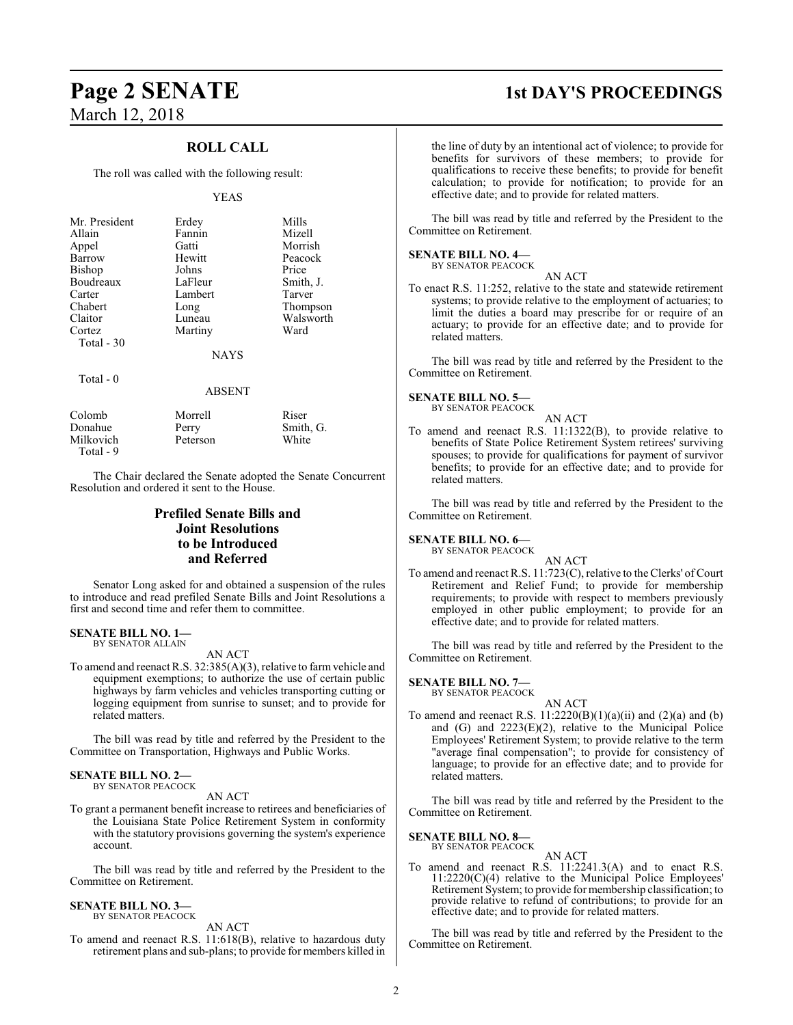### **ROLL CALL**

The roll was called with the following result:

#### YEAS

| Mr. President | Erdey       | Mills     |
|---------------|-------------|-----------|
| Allain        | Fannin      | Mizell    |
| Appel         | Gatti       | Morrish   |
| Barrow        | Hewitt      | Peacock   |
| Bishop        | Johns       | Price     |
| Boudreaux     | LaFleur     | Smith, J. |
| Carter        | Lambert     | Tarver    |
| Chabert       | Long        | Thompson  |
| Claitor       | Luneau      | Walsworth |
| Cortez        | Martiny     | Ward      |
| Total - 30    |             |           |
|               | <b>NAYS</b> |           |
| Total $-0$    |             |           |
|               | ABSENT      |           |

| Colomb    | Morrell  | Riser     |
|-----------|----------|-----------|
| Donahue   | Perry    | Smith, G. |
| Milkovich | Peterson | White     |
| Total - 9 |          |           |

The Chair declared the Senate adopted the Senate Concurrent Resolution and ordered it sent to the House.

### **Prefiled Senate Bills and Joint Resolutions to be Introduced and Referred**

Senator Long asked for and obtained a suspension of the rules to introduce and read prefiled Senate Bills and Joint Resolutions a first and second time and refer them to committee.

### **SENATE BILL NO. 1—**

BY SENATOR ALLAIN

AN ACT

To amend and reenact R.S. 32:385(A)(3), relative to farmvehicle and equipment exemptions; to authorize the use of certain public highways by farm vehicles and vehicles transporting cutting or logging equipment from sunrise to sunset; and to provide for related matters.

The bill was read by title and referred by the President to the Committee on Transportation, Highways and Public Works.

#### **SENATE BILL NO. 2—** BY SENATOR PEACOCK

AN ACT

To grant a permanent benefit increase to retirees and beneficiaries of the Louisiana State Police Retirement System in conformity with the statutory provisions governing the system's experience account.

The bill was read by title and referred by the President to the Committee on Retirement.

#### **SENATE BILL NO. 3—** BY SENATOR PEACOCK

AN ACT

To amend and reenact R.S. 11:618(B), relative to hazardous duty retirement plans and sub-plans; to provide for members killed in

### **Page 2 SENATE 1st DAY'S PROCEEDINGS**

the line of duty by an intentional act of violence; to provide for benefits for survivors of these members; to provide for qualifications to receive these benefits; to provide for benefit calculation; to provide for notification; to provide for an effective date; and to provide for related matters.

The bill was read by title and referred by the President to the Committee on Retirement.

#### **SENATE BILL NO. 4—**

BY SENATOR PEACOCK AN ACT

To enact R.S. 11:252, relative to the state and statewide retirement systems; to provide relative to the employment of actuaries; to limit the duties a board may prescribe for or require of an actuary; to provide for an effective date; and to provide for related matters.

The bill was read by title and referred by the President to the Committee on Retirement.

#### **SENATE BILL NO. 5—**

BY SENATOR PEACOCK

AN ACT To amend and reenact R.S. 11:1322(B), to provide relative to benefits of State Police Retirement System retirees' surviving spouses; to provide for qualifications for payment of survivor benefits; to provide for an effective date; and to provide for related matters.

The bill was read by title and referred by the President to the Committee on Retirement.

### **SENATE BILL NO. 6—**

BY SENATOR PEACOCK

AN ACT

To amend and reenact R.S. 11:723(C), relative to the Clerks' of Court Retirement and Relief Fund; to provide for membership requirements; to provide with respect to members previously employed in other public employment; to provide for an effective date; and to provide for related matters.

The bill was read by title and referred by the President to the Committee on Retirement.

#### **SENATE BILL NO. 7—**

BY SENATOR PEACOCK

- AN ACT
- To amend and reenact R.S.  $11:2220(B)(1)(a)(ii)$  and  $(2)(a)$  and  $(b)$ and (G) and 2223(E)(2), relative to the Municipal Police Employees' Retirement System; to provide relative to the term "average final compensation"; to provide for consistency of language; to provide for an effective date; and to provide for related matters.

The bill was read by title and referred by the President to the Committee on Retirement.

#### **SENATE BILL NO. 8—** BY SENATOR PEACOCK

AN ACT

To amend and reenact R.S. 11:2241.3(A) and to enact R.S. 11:2220(C)(4) relative to the Municipal Police Employees' Retirement System; to provide for membership classification; to provide relative to refund of contributions; to provide for an effective date; and to provide for related matters.

The bill was read by title and referred by the President to the Committee on Retirement.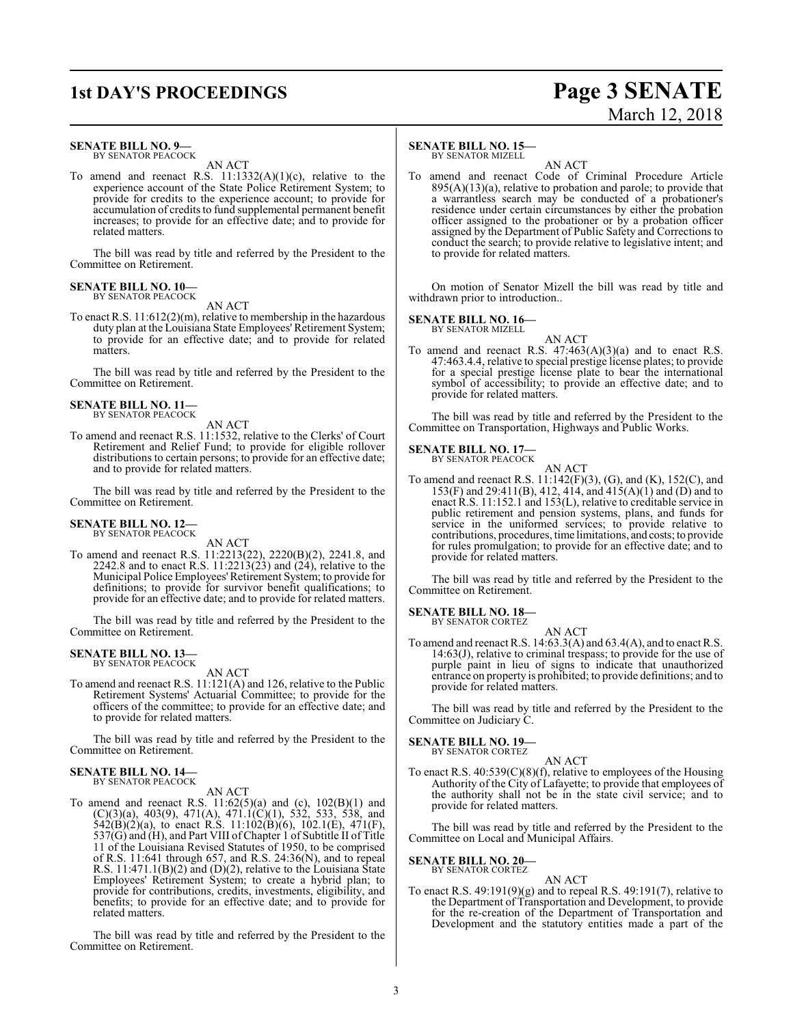### **1st DAY'S PROCEEDINGS Page 3 SENATE**

# March 12, 2018

#### **SENATE BILL NO. 9—**

BY SENATOR PEACOCK AN ACT

To amend and reenact R.S.  $11:1332(A)(1)(c)$ , relative to the experience account of the State Police Retirement System; to provide for credits to the experience account; to provide for accumulation of credits to fund supplemental permanent benefit increases; to provide for an effective date; and to provide for related matters.

The bill was read by title and referred by the President to the Committee on Retirement.

#### **SENATE BILL NO. 10—** BY SENATOR PEACOCK

#### AN ACT

To enact R.S. 11:612(2)(m), relative to membership in the hazardous duty plan at the Louisiana State Employees' Retirement System; to provide for an effective date; and to provide for related matters.

The bill was read by title and referred by the President to the Committee on Retirement.

#### **SENATE BILL NO. 11—** BY SENATOR PEACOCK

AN ACT

To amend and reenact R.S. 11:1532, relative to the Clerks' of Court Retirement and Relief Fund; to provide for eligible rollover distributions to certain persons; to provide for an effective date; and to provide for related matters.

The bill was read by title and referred by the President to the Committee on Retirement.

#### **SENATE BILL NO. 12—** BY SENATOR PEACOCK

AN ACT

To amend and reenact R.S. 11:2213(22), 2220(B)(2), 2241.8, and 2242.8 and to enact R.S. 11:2213(23) and (24), relative to the Municipal Police Employees'Retirement System; to provide for definitions; to provide for survivor benefit qualifications; to provide for an effective date; and to provide for related matters.

The bill was read by title and referred by the President to the Committee on Retirement.

#### **SENATE BILL NO. 13—** BY SENATOR PEACOCK

AN ACT

To amend and reenact R.S. 11:121(A) and 126, relative to the Public Retirement Systems' Actuarial Committee; to provide for the officers of the committee; to provide for an effective date; and to provide for related matters.

The bill was read by title and referred by the President to the Committee on Retirement.

#### **SENATE BILL NO. 14—** BY SENATOR PEACOCK

AN ACT

To amend and reenact R.S.  $11:62(5)(a)$  and (c),  $102(B)(1)$  and  $(C)(3)(a)$ , 403(9), 471(A), 471.1(C)(1), 532, 533, 538, and  $542(B)(2)(a)$ , to enact R.S.  $11:102(B)(6)$ ,  $102.1(E)$ ,  $471(F)$ ,  $537(G)$  and (H), and Part VIII of Chapter 1 of Subtitle II of Title 11 of the Louisiana Revised Statutes of 1950, to be comprised of R.S. 11:641 through 657, and R.S.  $24:36(N)$ , and to repeal R.S.  $11:471.1(B)(2)$  and  $(D)(2)$ , relative to the Louisiana State Employees' Retirement System; to create a hybrid plan; to provide for contributions, credits, investments, eligibility, and benefits; to provide for an effective date; and to provide for related matters.

The bill was read by title and referred by the President to the Committee on Retirement.

#### **SENATE BILL NO. 15—**

BY SENATOR MIZELL

AN ACT To amend and reenact Code of Criminal Procedure Article  $895(A)(13)(a)$ , relative to probation and parole; to provide that a warrantless search may be conducted of a probationer's residence under certain circumstances by either the probation officer assigned to the probationer or by a probation officer assigned by the Department of Public Safety and Corrections to conduct the search; to provide relative to legislative intent; and to provide for related matters.

On motion of Senator Mizell the bill was read by title and withdrawn prior to introduction..

#### **SENATE BILL NO. 16—**

BY SENATOR MIZELL

AN ACT

To amend and reenact R.S.  $47:463(A)(3)(a)$  and to enact R.S. 47:463.4.4, relative to special prestige license plates; to provide for a special prestige license plate to bear the international symbol of accessibility; to provide an effective date; and to provide for related matters.

The bill was read by title and referred by the President to the Committee on Transportation, Highways and Public Works.

#### **SENATE BILL NO. 17—** BY SENATOR PEACOCK

AN ACT

To amend and reenact R.S. 11:142(F)(3), (G), and (K), 152(C), and 153(F) and 29:411(B), 412, 414, and 415(A)(1) and (D) and to enact R.S. 11:152.1 and 153(L), relative to creditable service in public retirement and pension systems, plans, and funds for service in the uniformed services; to provide relative to contributions, procedures, time limitations, and costs; to provide for rules promulgation; to provide for an effective date; and to provide for related matters.

The bill was read by title and referred by the President to the Committee on Retirement.

### **SENATE BILL NO. 18—** BY SENATOR CORTEZ

AN ACT To amend and reenact R.S. 14:63.3(A) and 63.4(A), and to enact R.S. 14:63(J), relative to criminal trespass; to provide for the use of purple paint in lieu of signs to indicate that unauthorized entrance on property is prohibited; to provide definitions; and to provide for related matters.

The bill was read by title and referred by the President to the Committee on Judiciary C.

#### **SENATE BILL NO. 19—** BY SENATOR CORTEZ

AN ACT

To enact R.S. 40:539(C)(8)(f), relative to employees of the Housing Authority of the City of Lafayette; to provide that employees of the authority shall not be in the state civil service; and to provide for related matters.

The bill was read by title and referred by the President to the Committee on Local and Municipal Affairs.

#### **SENATE BILL NO. 20—** BY SENATOR CORTEZ

AN ACT

To enact R.S. 49:191(9)(g) and to repeal R.S. 49:191(7), relative to the Department of Transportation and Development, to provide for the re-creation of the Department of Transportation and Development and the statutory entities made a part of the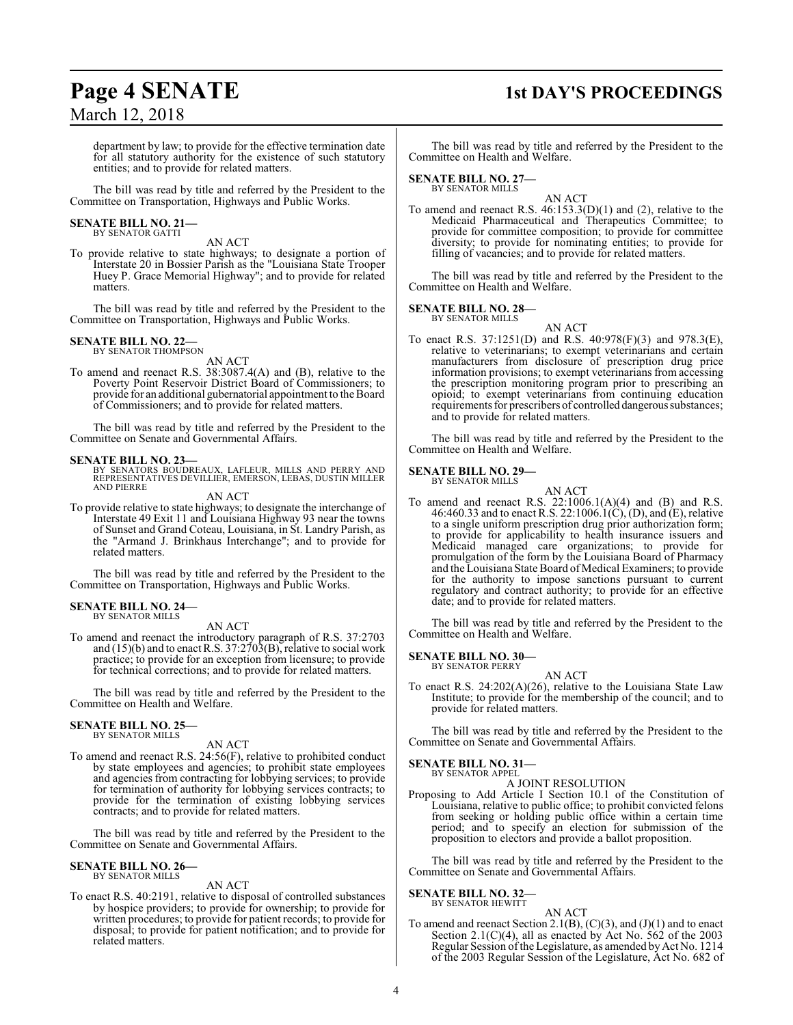# **Page 4 SENATE 1st DAY'S PROCEEDINGS**

department by law; to provide for the effective termination date for all statutory authority for the existence of such statutory entities; and to provide for related matters.

The bill was read by title and referred by the President to the Committee on Transportation, Highways and Public Works.

#### **SENATE BILL NO. 21—** BY SENATOR GATTI

AN ACT

To provide relative to state highways; to designate a portion of Interstate 20 in Bossier Parish as the "Louisiana State Trooper Huey P. Grace Memorial Highway"; and to provide for related matters.

The bill was read by title and referred by the President to the Committee on Transportation, Highways and Public Works.

#### **SENATE BILL NO. 22—** BY SENATOR THOMPSON

AN ACT

To amend and reenact R.S. 38:3087.4(A) and (B), relative to the Poverty Point Reservoir District Board of Commissioners; to provide for an additional gubernatorial appointment to the Board of Commissioners; and to provide for related matters.

The bill was read by title and referred by the President to the Committee on Senate and Governmental Affairs.

#### **SENATE BILL NO. 23—**

- BY SENATORS BOUDREAUX, LAFLEUR, MILLS AND PERRY AND REPRESENTATIVES DEVILLIER, EMERSON, LEBAS, DUSTIN MILLER AND PIERRE AN ACT
- To provide relative to state highways; to designate the interchange of Interstate 49 Exit 11 and Louisiana Highway 93 near the towns of Sunset and Grand Coteau, Louisiana, in St. Landry Parish, as the "Armand J. Brinkhaus Interchange"; and to provide for related matters.

The bill was read by title and referred by the President to the Committee on Transportation, Highways and Public Works.

#### **SENATE BILL NO. 24—** BY SENATOR MILLS

AN ACT

To amend and reenact the introductory paragraph of R.S. 37:2703 and (15)(b) and to enact R.S. 37:2703(B), relative to social work practice; to provide for an exception from licensure; to provide for technical corrections; and to provide for related matters.

The bill was read by title and referred by the President to the Committee on Health and Welfare.

## **SENATE BILL NO. 25—** BY SENATOR MILLS

AN ACT

To amend and reenact R.S. 24:56(F), relative to prohibited conduct by state employees and agencies; to prohibit state employees and agencies from contracting for lobbying services; to provide for termination of authority for lobbying services contracts; to provide for the termination of existing lobbying services contracts; and to provide for related matters.

The bill was read by title and referred by the President to the Committee on Senate and Governmental Affairs.

#### **SENATE BILL NO. 26—** BY SENATOR MILLS

AN ACT

To enact R.S. 40:2191, relative to disposal of controlled substances by hospice providers; to provide for ownership; to provide for written procedures; to provide for patient records; to provide for disposal; to provide for patient notification; and to provide for related matters.

The bill was read by title and referred by the President to the Committee on Health and Welfare.

#### **SENATE BILL NO. 27—** BY SENATOR MILLS

AN ACT To amend and reenact R.S.  $46:153.3(D)(1)$  and  $(2)$ , relative to the Medicaid Pharmaceutical and Therapeutics Committee; to provide for committee composition; to provide for committee diversity; to provide for nominating entities; to provide for filling of vacancies; and to provide for related matters.

The bill was read by title and referred by the President to the Committee on Health and Welfare.

### **SENATE BILL NO. 28—** BY SENATOR MILLS

AN ACT To enact R.S. 37:1251(D) and R.S. 40:978(F)(3) and 978.3(E), relative to veterinarians; to exempt veterinarians and certain manufacturers from disclosure of prescription drug price information provisions; to exempt veterinarians from accessing the prescription monitoring program prior to prescribing an opioid; to exempt veterinarians from continuing education requirements for prescribers of controlled dangerous substances; and to provide for related matters.

The bill was read by title and referred by the President to the Committee on Health and Welfare.

#### **SENATE BILL NO. 29—** BY SENATOR MILLS

AN ACT

To amend and reenact R.S.  $22:1006.1(A)(4)$  and  $(B)$  and R.S. 46:460.33 and to enact R.S. 22:1006.1(C), (D), and (E), relative to a single uniform prescription drug prior authorization form; to provide for applicability to health insurance issuers and Medicaid managed care organizations; to provide for promulgation of the form by the Louisiana Board of Pharmacy and the Louisiana State Board of Medical Examiners; to provide for the authority to impose sanctions pursuant to current regulatory and contract authority; to provide for an effective date; and to provide for related matters.

The bill was read by title and referred by the President to the Committee on Health and Welfare.

#### **SENATE BILL NO. 30—** BY SENATOR PERRY

AN ACT

To enact R.S. 24:202(A)(26), relative to the Louisiana State Law Institute; to provide for the membership of the council; and to provide for related matters.

The bill was read by title and referred by the President to the Committee on Senate and Governmental Affairs.

#### **SENATE BILL NO. 31—** BY SENATOR APPEL

A JOINT RESOLUTION

Proposing to Add Article I Section 10.1 of the Constitution of Louisiana, relative to public office; to prohibit convicted felons from seeking or holding public office within a certain time period; and to specify an election for submission of the proposition to electors and provide a ballot proposition.

The bill was read by title and referred by the President to the Committee on Senate and Governmental Affairs.

#### **SENATE BILL NO. 32—**

BY SENATOR HEWITT

AN ACT To amend and reenact Section 2.1(B),  $(C)(3)$ , and  $(J)(1)$  and to enact Section 2.1(C)(4), all as enacted by Act No. 562 of the 2003 Regular Session of the Legislature, as amended by Act No. 1214 of the 2003 Regular Session of the Legislature, Act No. 682 of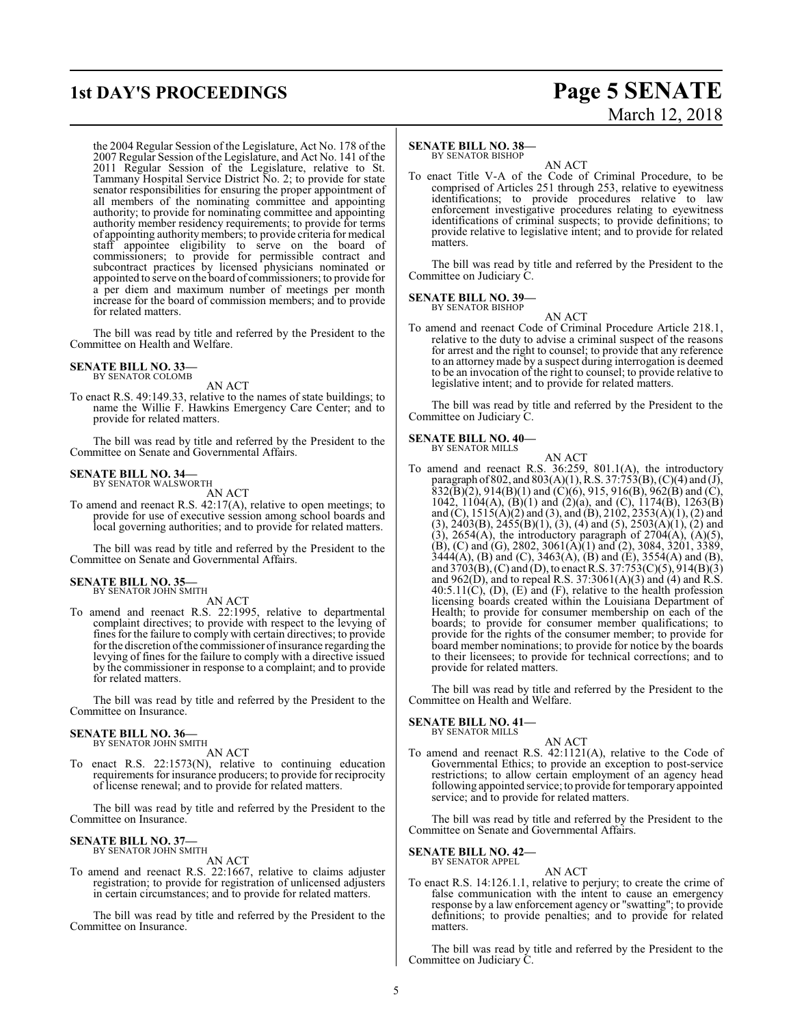the 2004 Regular Session of the Legislature, Act No. 178 of the 2007 Regular Session of the Legislature, and Act No. 141 of the 2011 Regular Session of the Legislature, relative to St. Tammany Hospital Service District No. 2; to provide for state senator responsibilities for ensuring the proper appointment of all members of the nominating committee and appointing authority; to provide for nominating committee and appointing authority member residency requirements; to provide for terms of appointing authority members; to provide criteria for medical staff appointee eligibility to serve on the board of commissioners; to provide for permissible contract and subcontract practices by licensed physicians nominated or appointed to serve on the board of commissioners; to provide for a per diem and maximum number of meetings per month increase for the board of commission members; and to provide for related matters.

The bill was read by title and referred by the President to the Committee on Health and Welfare.

### **SENATE BILL NO. 33—** BY SENATOR COLOMB

AN ACT

To enact R.S. 49:149.33, relative to the names of state buildings; to name the Willie F. Hawkins Emergency Care Center; and to provide for related matters.

The bill was read by title and referred by the President to the Committee on Senate and Governmental Affairs.

#### **SENATE BILL NO. 34—** BY SENATOR WALSWORTH

AN ACT

To amend and reenact R.S. 42:17(A), relative to open meetings; to provide for use of executive session among school boards and local governing authorities; and to provide for related matters.

The bill was read by title and referred by the President to the Committee on Senate and Governmental Affairs.

### **SENATE BILL NO. 35—** BY SENATOR JOHN SMITH

AN ACT

To amend and reenact R.S. 22:1995, relative to departmental complaint directives; to provide with respect to the levying of fines for the failure to comply with certain directives; to provide for the discretion of the commissioner of insurance regarding the levying of fines for the failure to comply with a directive issued by the commissioner in response to a complaint; and to provide for related matters.

The bill was read by title and referred by the President to the Committee on Insurance.

### **SENATE BILL NO. 36—**<br>BY SENATOR JOHN SMITH

AN ACT

To enact R.S. 22:1573(N), relative to continuing education requirements for insurance producers; to provide for reciprocity of license renewal; and to provide for related matters.

The bill was read by title and referred by the President to the Committee on Insurance.

### **SENATE BILL NO. 37—**<br>BY SENATOR JOHN SMITH

AN ACT

To amend and reenact R.S. 22:1667, relative to claims adjuster registration; to provide for registration of unlicensed adjusters in certain circumstances; and to provide for related matters.

The bill was read by title and referred by the President to the Committee on Insurance.

### **1st DAY'S PROCEEDINGS Page 5 SENATE** March 12, 2018

#### **SENATE BILL NO. 38—**

BY SENATOR BISHOP

AN ACT To enact Title V-A of the Code of Criminal Procedure, to be comprised of Articles 251 through 253, relative to eyewitness identifications; to provide procedures relative to law enforcement investigative procedures relating to eyewitness identifications of criminal suspects; to provide definitions; to provide relative to legislative intent; and to provide for related matters.

The bill was read by title and referred by the President to the Committee on Judiciary C.

#### **SENATE BILL NO. 39—** BY SENATOR BISHOP

AN ACT

To amend and reenact Code of Criminal Procedure Article 218.1, relative to the duty to advise a criminal suspect of the reasons for arrest and the right to counsel; to provide that any reference to an attorney made by a suspect during interrogation is deemed to be an invocation of the right to counsel; to provide relative to legislative intent; and to provide for related matters.

The bill was read by title and referred by the President to the Committee on Judiciary C.

### **SENATE BILL NO. 40—** BY SENATOR MILLS

AN ACT To amend and reenact R.S. 36:259, 801.1(A), the introductory paragraph of 802, and 803(A)(1), R.S. 37:753(B), (C)(4) and (J),  $832(\overline{B})(2)$ ,  $914(B)(1)$  and  $(\overline{C})(6)$ ,  $915$ ,  $916(B)$ ,  $962(B)$  and  $(\overline{C})$ , 1042, 1104(A), (B)(1) and (2)(a), and (C), 1174(B), 1263(B) and (C), 1515(A)(2) and (3), and (B), 2102, 2353(A)(1), (2) and  $(3)$ , 2403 $(B)$ , 2455 $(B)(1)$ ,  $(3)$ ,  $(4)$  and  $(5)$ , 2503 $(A)(1)$ ,  $(2)$  and  $(3)$ , 2654(A), the introductory paragraph of 2704(A), (A)(5),  $(B)$ , (C) and (G), 2802, 3061(A)(1) and (2), 3084, 3201, 3389,  $3444(A)$ , (B) and (C),  $3463(A)$ , (B) and (E),  $3554(A)$  and (B), and 3703(B), (C) and (D), to enact R.S. 37:753(C)(5), 914(B)(3) and  $962(D)$ , and to repeal R.S. 37:3061(A)(3) and (4) and R.S.  $40:5.11(\tilde{C})$ , (D), (E) and (F), relative to the health profession licensing boards created within the Louisiana Department of Health; to provide for consumer membership on each of the boards; to provide for consumer member qualifications; to provide for the rights of the consumer member; to provide for board member nominations; to provide for notice by the boards to their licensees; to provide for technical corrections; and to provide for related matters.

The bill was read by title and referred by the President to the Committee on Health and Welfare.

### **SENATE BILL NO. 41—** BY SENATOR MILLS

AN ACT To amend and reenact R.S. 42:1121(A), relative to the Code of Governmental Ethics; to provide an exception to post-service restrictions; to allow certain employment of an agency head following appointed service; to provide for temporaryappointed service; and to provide for related matters.

The bill was read by title and referred by the President to the Committee on Senate and Governmental Affairs.

#### **SENATE BILL NO. 42—** BY SENATOR APPEL

AN ACT

To enact R.S. 14:126.1.1, relative to perjury; to create the crime of false communication with the intent to cause an emergency response by a law enforcement agency or "swatting"; to provide definitions; to provide penalties; and to provide for related matters.

The bill was read by title and referred by the President to the Committee on Judiciary C.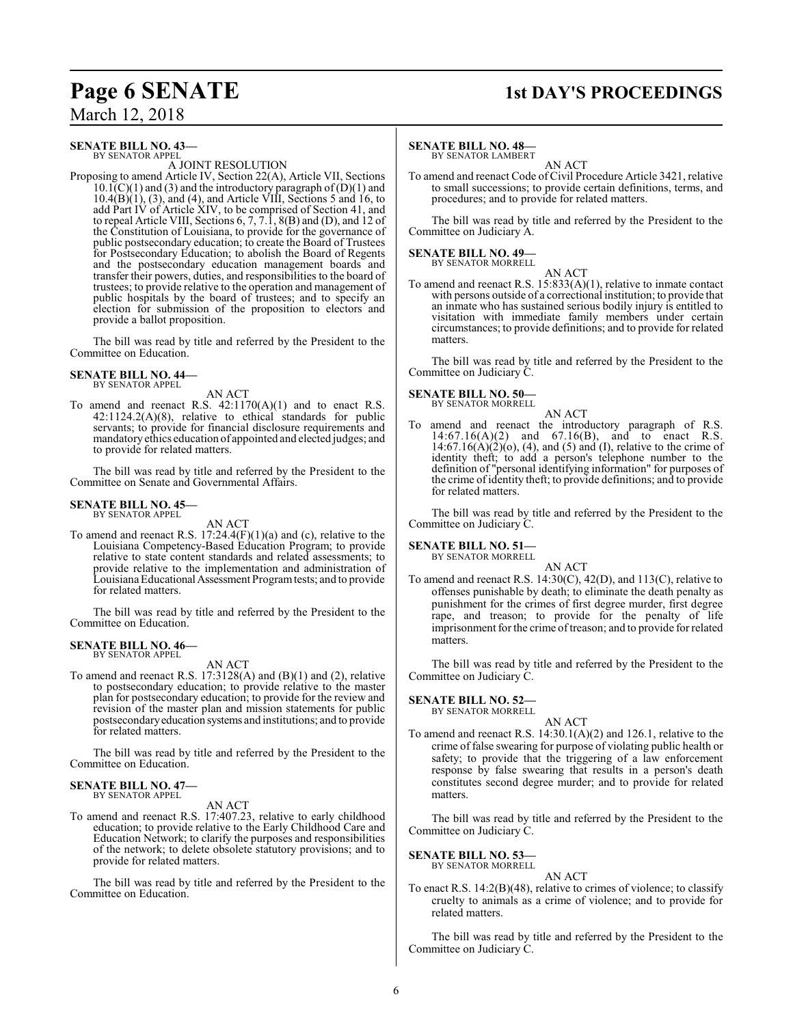## **Page 6 SENATE 1st DAY'S PROCEEDINGS**

### **SENATE BILL NO. 43—**

BY SENATOR APPEL

A JOINT RESOLUTION Proposing to amend Article IV, Section 22(A), Article VII, Sections  $10.1\text{C}(C)(1)$  and (3) and the introductory paragraph of  $(D)(1)$  and  $10.4(B)(1)$ ,  $(3)$ , and  $(4)$ , and Article VIII, Sections 5 and 16, to add Part IV of Article XIV, to be comprised of Section 41, and to repeal Article VIII, Sections 6, 7, 7.1, 8(B) and (D), and 12 of the Constitution of Louisiana, to provide for the governance of public postsecondary education; to create the Board of Trustees for Postsecondary Education; to abolish the Board of Regents and the postsecondary education management boards and transfer their powers, duties, and responsibilities to the board of trustees; to provide relative to the operation and management of

public hospitals by the board of trustees; and to specify an election for submission of the proposition to electors and provide a ballot proposition.

The bill was read by title and referred by the President to the Committee on Education.

#### **SENATE BILL NO. 44—** BY SENATOR APPEL

#### AN ACT

To amend and reenact R.S. 42:1170(A)(1) and to enact R.S.  $42:1124.2(A)(8)$ , relative to ethical standards for public servants; to provide for financial disclosure requirements and mandatory ethics education of appointed and elected judges; and to provide for related matters.

The bill was read by title and referred by the President to the Committee on Senate and Governmental Affairs.

#### **SENATE BILL NO. 45—** BY SENATOR APPEL

AN ACT To amend and reenact R.S.  $17:24.4(F)(1)(a)$  and (c), relative to the Louisiana Competency-Based Education Program; to provide relative to state content standards and related assessments; to provide relative to the implementation and administration of Louisiana Educational Assessment Program tests; and to provide for related matters.

The bill was read by title and referred by the President to the Committee on Education.

#### **SENATE BILL NO. 46—** BY SENATOR APPEL

AN ACT

To amend and reenact R.S. 17:3128(A) and (B)(1) and (2), relative to postsecondary education; to provide relative to the master plan for postsecondary education; to provide for the review and revision of the master plan and mission statements for public postsecondaryeducation systems and institutions; and to provide for related matters.

The bill was read by title and referred by the President to the Committee on Education.

#### **SENATE BILL NO. 47—** BY SENATOR APPEL

AN ACT

To amend and reenact R.S. 17:407.23, relative to early childhood education; to provide relative to the Early Childhood Care and Education Network; to clarify the purposes and responsibilities of the network; to delete obsolete statutory provisions; and to provide for related matters.

The bill was read by title and referred by the President to the Committee on Education.

#### **SENATE BILL NO. 48—**

BY SENATOR LAMBERT AN ACT

To amend and reenact Code of Civil Procedure Article 3421, relative to small successions; to provide certain definitions, terms, and procedures; and to provide for related matters.

The bill was read by title and referred by the President to the Committee on Judiciary A.

## **SENATE BILL NO. 49—**<br>BY SENATOR MORRELL

AN ACT

To amend and reenact R.S. 15:833(A)(1), relative to inmate contact with persons outside of a correctional institution; to provide that an inmate who has sustained serious bodily injury is entitled to visitation with immediate family members under certain circumstances; to provide definitions; and to provide for related matters.

The bill was read by title and referred by the President to the Committee on Judiciary C.

### **SENATE BILL NO. 50—** BY SENATOR MORRELL

AN ACT To amend and reenact the introductory paragraph of R.S. 14:67.16(A)(2) and 67.16(B), and to enact R.S.  $14:67.16(A)(2)(o)$ , (4), and (5) and (I), relative to the crime of identity theft; to add a person's telephone number to the definition of "personal identifying information" for purposes of the crime of identity theft; to provide definitions; and to provide for related matters.

The bill was read by title and referred by the President to the Committee on Judiciary C.

#### **SENATE BILL NO. 51—** BY SENATOR MORRELL

AN ACT

To amend and reenact R.S. 14:30(C), 42(D), and 113(C), relative to offenses punishable by death; to eliminate the death penalty as punishment for the crimes of first degree murder, first degree rape, and treason; to provide for the penalty of life imprisonment for the crime of treason; and to provide for related matters.

The bill was read by title and referred by the President to the Committee on Judiciary C.

#### **SENATE BILL NO. 52—**

BY SENATOR MORRELL

AN ACT To amend and reenact R.S. 14:30.1(A)(2) and 126.1, relative to the crime of false swearing for purpose of violating public health or safety; to provide that the triggering of a law enforcement response by false swearing that results in a person's death constitutes second degree murder; and to provide for related matters.

The bill was read by title and referred by the President to the Committee on Judiciary C.

**SENATE BILL NO. 53—**

BY SENATOR MORRELL AN ACT

To enact R.S. 14:2(B)(48), relative to crimes of violence; to classify cruelty to animals as a crime of violence; and to provide for related matters.

The bill was read by title and referred by the President to the Committee on Judiciary C.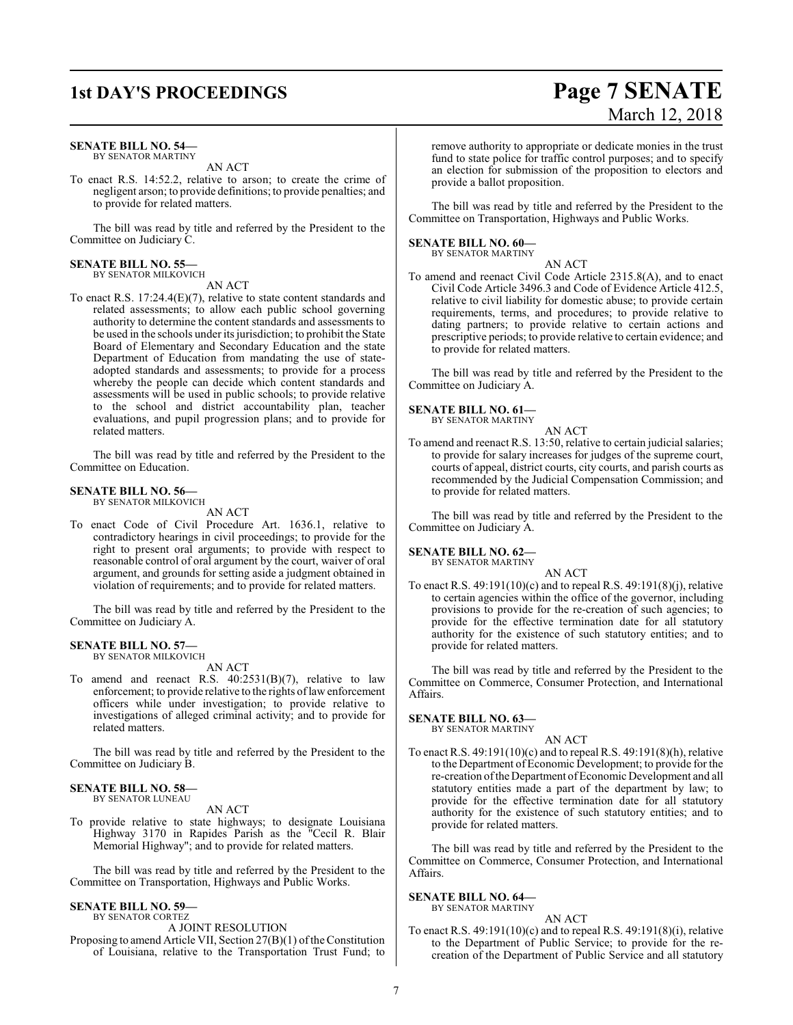### **1st DAY'S PROCEEDINGS Page 7 SENATE**

#### **SENATE BILL NO. 54—**

BY SENATOR MARTINY AN ACT

To enact R.S. 14:52.2, relative to arson; to create the crime of negligent arson; to provide definitions; to provide penalties; and to provide for related matters.

The bill was read by title and referred by the President to the Committee on Judiciary C.

#### **SENATE BILL NO. 55—** BY SENATOR MILKOVICH

AN ACT

To enact R.S. 17:24.4(E)(7), relative to state content standards and related assessments; to allow each public school governing authority to determine the content standards and assessments to be used in the schools under its jurisdiction; to prohibit the State Board of Elementary and Secondary Education and the state Department of Education from mandating the use of stateadopted standards and assessments; to provide for a process whereby the people can decide which content standards and assessments will be used in public schools; to provide relative to the school and district accountability plan, teacher evaluations, and pupil progression plans; and to provide for related matters.

The bill was read by title and referred by the President to the Committee on Education.

#### **SENATE BILL NO. 56—**

BY SENATOR MILKOVICH AN ACT

To enact Code of Civil Procedure Art. 1636.1, relative to contradictory hearings in civil proceedings; to provide for the right to present oral arguments; to provide with respect to reasonable control of oral argument by the court, waiver of oral argument, and grounds for setting aside a judgment obtained in violation of requirements; and to provide for related matters.

The bill was read by title and referred by the President to the Committee on Judiciary A.

#### **SENATE BILL NO. 57—** BY SENATOR MILKOVICH

AN ACT

To amend and reenact R.S. 40:2531(B)(7), relative to law enforcement; to provide relative to the rights of law enforcement officers while under investigation; to provide relative to investigations of alleged criminal activity; and to provide for related matters.

The bill was read by title and referred by the President to the Committee on Judiciary B.

#### **SENATE BILL NO. 58—** BY SENATOR LUNEAU

AN ACT

To provide relative to state highways; to designate Louisiana Highway 3170 in Rapides Parish as the "Cecil R. Blair Memorial Highway"; and to provide for related matters.

The bill was read by title and referred by the President to the Committee on Transportation, Highways and Public Works.

#### **SENATE BILL NO. 59—** BY SENATOR CORTEZ

A JOINT RESOLUTION

Proposing to amend Article VII, Section 27(B)(1) of the Constitution of Louisiana, relative to the Transportation Trust Fund; to

# March 12, 2018

remove authority to appropriate or dedicate monies in the trust fund to state police for traffic control purposes; and to specify an election for submission of the proposition to electors and provide a ballot proposition.

The bill was read by title and referred by the President to the Committee on Transportation, Highways and Public Works.

#### **SENATE BILL NO. 60—** BY SENATOR MARTINY

AN ACT

To amend and reenact Civil Code Article 2315.8(A), and to enact Civil Code Article 3496.3 and Code of Evidence Article 412.5, relative to civil liability for domestic abuse; to provide certain requirements, terms, and procedures; to provide relative to dating partners; to provide relative to certain actions and prescriptive periods; to provide relative to certain evidence; and to provide for related matters.

The bill was read by title and referred by the President to the Committee on Judiciary A.

#### **SENATE BILL NO. 61—**

BY SENATOR MARTINY

AN ACT

To amend and reenact R.S. 13:50, relative to certain judicial salaries; to provide for salary increases for judges of the supreme court, courts of appeal, district courts, city courts, and parish courts as recommended by the Judicial Compensation Commission; and to provide for related matters.

The bill was read by title and referred by the President to the Committee on Judiciary A.

#### **SENATE BILL NO. 62—**

BY SENATOR MARTINY

AN ACT To enact R.S. 49:191(10)(c) and to repeal R.S. 49:191(8)(j), relative to certain agencies within the office of the governor, including provisions to provide for the re-creation of such agencies; to provide for the effective termination date for all statutory authority for the existence of such statutory entities; and to provide for related matters.

The bill was read by title and referred by the President to the Committee on Commerce, Consumer Protection, and International Affairs.

#### **SENATE BILL NO. 63—**

BY SENATOR MARTINY AN ACT

To enact R.S. 49:191(10)(c) and to repeal R.S. 49:191(8)(h), relative to the Department of Economic Development; to provide for the re-creation of the Department of Economic Development and all statutory entities made a part of the department by law; to provide for the effective termination date for all statutory authority for the existence of such statutory entities; and to provide for related matters.

The bill was read by title and referred by the President to the Committee on Commerce, Consumer Protection, and International Affairs.

#### **SENATE BILL NO. 64—**

BY SENATOR MARTINY AN ACT

To enact R.S. 49:191(10)(c) and to repeal R.S. 49:191(8)(i), relative to the Department of Public Service; to provide for the recreation of the Department of Public Service and all statutory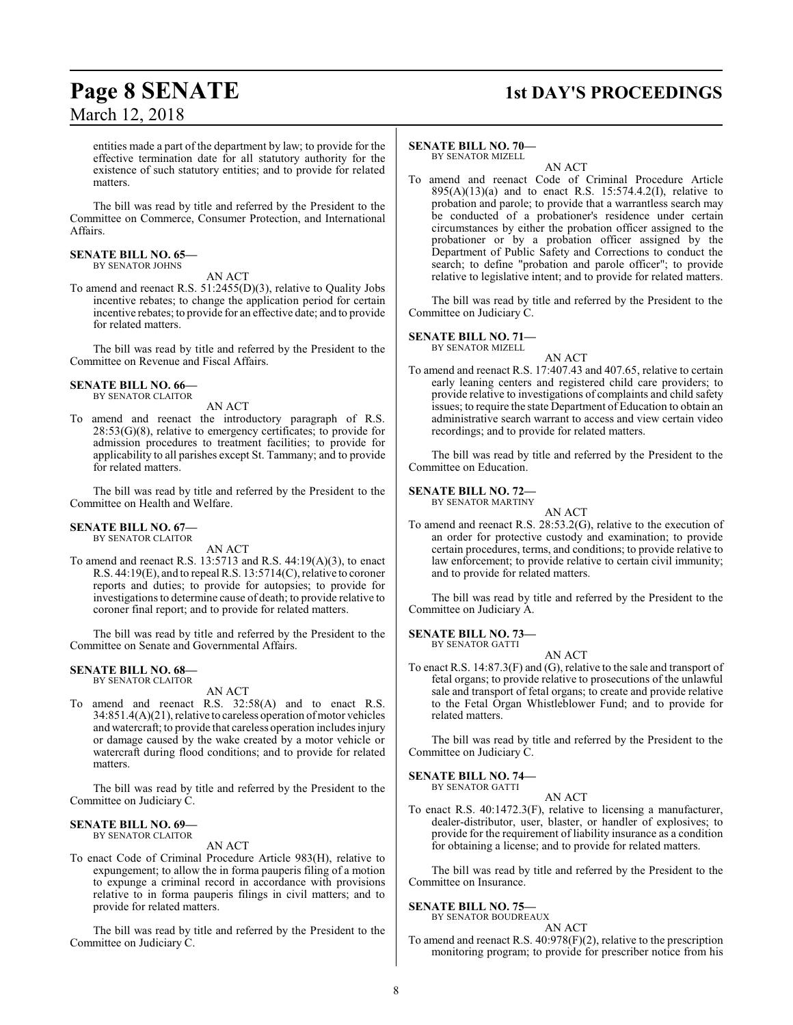## **Page 8 SENATE 1st DAY'S PROCEEDINGS**

entities made a part of the department by law; to provide for the effective termination date for all statutory authority for the existence of such statutory entities; and to provide for related matters.

The bill was read by title and referred by the President to the Committee on Commerce, Consumer Protection, and International Affairs.

#### **SENATE BILL NO. 65—** BY SENATOR JOHNS

AN ACT

To amend and reenact R.S. 51:2455(D)(3), relative to Quality Jobs incentive rebates; to change the application period for certain incentive rebates; to provide for an effective date; and to provide for related matters.

The bill was read by title and referred by the President to the Committee on Revenue and Fiscal Affairs.

#### **SENATE BILL NO. 66—** BY SENATOR CLAITOR

AN ACT

To amend and reenact the introductory paragraph of R.S.  $28:53(G)(8)$ , relative to emergency certificates; to provide for admission procedures to treatment facilities; to provide for applicability to all parishes except St. Tammany; and to provide for related matters.

The bill was read by title and referred by the President to the Committee on Health and Welfare.

#### **SENATE BILL NO. 67—** BY SENATOR CLAITOR

AN ACT

To amend and reenact R.S. 13:5713 and R.S. 44:19(A)(3), to enact R.S. 44:19(E), and to repeal R.S. 13:5714(C), relative to coroner reports and duties; to provide for autopsies; to provide for investigations to determine cause of death; to provide relative to coroner final report; and to provide for related matters.

The bill was read by title and referred by the President to the Committee on Senate and Governmental Affairs.

#### **SENATE BILL NO. 68—** BY SENATOR CLAITOR

AN ACT

To amend and reenact R.S. 32:58(A) and to enact R.S. 34:851.4(A)(21), relative to careless operation ofmotor vehicles and watercraft; to provide that careless operation includes injury or damage caused by the wake created by a motor vehicle or watercraft during flood conditions; and to provide for related matters.

The bill was read by title and referred by the President to the Committee on Judiciary C.

#### **SENATE BILL NO. 69—** BY SENATOR CLAITOR

AN ACT

To enact Code of Criminal Procedure Article 983(H), relative to expungement; to allow the in forma pauperis filing of a motion to expunge a criminal record in accordance with provisions relative to in forma pauperis filings in civil matters; and to provide for related matters.

The bill was read by title and referred by the President to the Committee on Judiciary C.

### **SENATE BILL NO. 70—**

BY SENATOR MIZELL

AN ACT To amend and reenact Code of Criminal Procedure Article 895(A)(13)(a) and to enact R.S. 15:574.4.2(I), relative to probation and parole; to provide that a warrantless search may be conducted of a probationer's residence under certain circumstances by either the probation officer assigned to the probationer or by a probation officer assigned by the Department of Public Safety and Corrections to conduct the search; to define "probation and parole officer"; to provide relative to legislative intent; and to provide for related matters.

The bill was read by title and referred by the President to the Committee on Judiciary C.

#### **SENATE BILL NO. 71—**

BY SENATOR MIZELL AN ACT

To amend and reenact R.S. 17:407.43 and 407.65, relative to certain early leaning centers and registered child care providers; to provide relative to investigations of complaints and child safety issues; to require the state Department of Education to obtain an administrative search warrant to access and view certain video recordings; and to provide for related matters.

The bill was read by title and referred by the President to the Committee on Education.

#### **SENATE BILL NO. 72—**

BY SENATOR MARTINY

AN ACT To amend and reenact R.S. 28:53.2(G), relative to the execution of an order for protective custody and examination; to provide certain procedures, terms, and conditions; to provide relative to law enforcement; to provide relative to certain civil immunity; and to provide for related matters.

The bill was read by title and referred by the President to the Committee on Judiciary A.

#### **SENATE BILL NO. 73—** BY SENATOR GATTI

AN ACT

To enact R.S. 14:87.3(F) and (G), relative to the sale and transport of fetal organs; to provide relative to prosecutions of the unlawful sale and transport of fetal organs; to create and provide relative to the Fetal Organ Whistleblower Fund; and to provide for related matters.

The bill was read by title and referred by the President to the Committee on Judiciary C.

#### **SENATE BILL NO. 74—** BY SENATOR GATTI

AN ACT To enact R.S. 40:1472.3(F), relative to licensing a manufacturer, dealer-distributor, user, blaster, or handler of explosives; to provide for the requirement of liability insurance as a condition for obtaining a license; and to provide for related matters.

The bill was read by title and referred by the President to the Committee on Insurance.

### **SENATE BILL NO. 75—**

BY SENATOR BOUDREAUX AN ACT

To amend and reenact R.S. 40:978(F)(2), relative to the prescription monitoring program; to provide for prescriber notice from his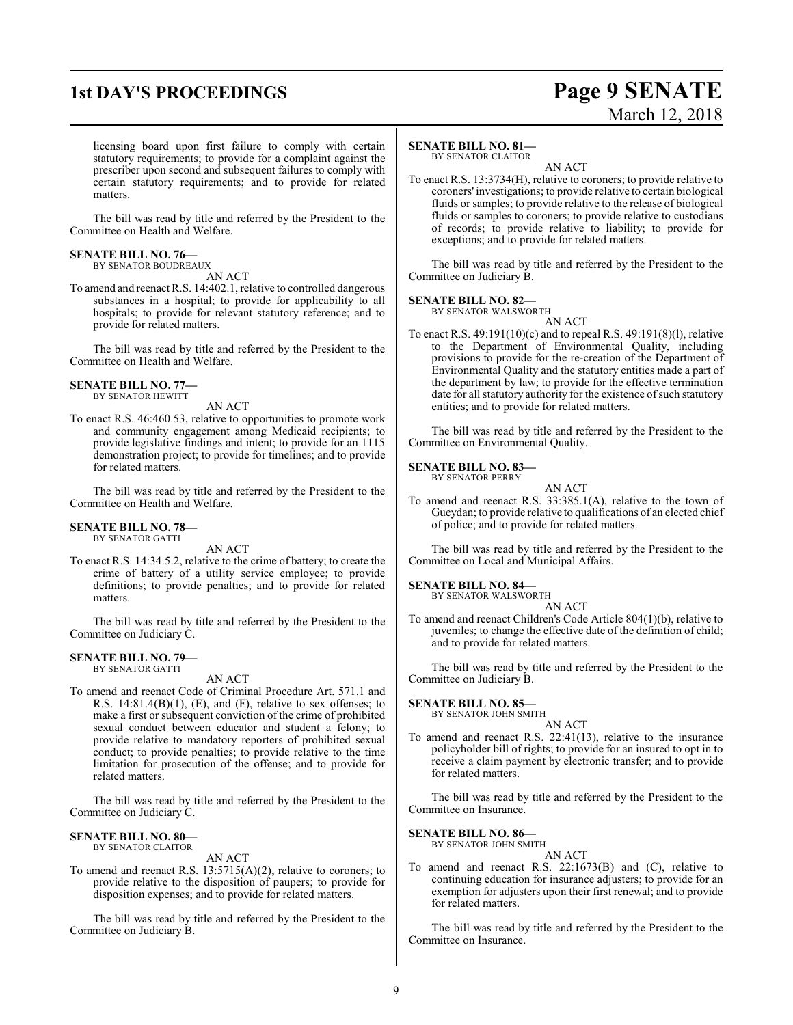## **1st DAY'S PROCEEDINGS Page 9 SENATE**

# March 12, 2018

licensing board upon first failure to comply with certain statutory requirements; to provide for a complaint against the prescriber upon second and subsequent failures to comply with certain statutory requirements; and to provide for related matters.

The bill was read by title and referred by the President to the Committee on Health and Welfare.

#### **SENATE BILL NO. 76—** BY SENATOR BOUDREAUX

AN ACT

To amend and reenact R.S. 14:402.1, relative to controlled dangerous substances in a hospital; to provide for applicability to all hospitals; to provide for relevant statutory reference; and to provide for related matters.

The bill was read by title and referred by the President to the Committee on Health and Welfare.

**SENATE BILL NO. 77—** BY SENATOR HEWITT

AN ACT

To enact R.S. 46:460.53, relative to opportunities to promote work and community engagement among Medicaid recipients; to provide legislative findings and intent; to provide for an 1115 demonstration project; to provide for timelines; and to provide for related matters.

The bill was read by title and referred by the President to the Committee on Health and Welfare.

#### **SENATE BILL NO. 78—** BY SENATOR GATTI

AN ACT

To enact R.S. 14:34.5.2, relative to the crime of battery; to create the crime of battery of a utility service employee; to provide definitions; to provide penalties; and to provide for related matters.

The bill was read by title and referred by the President to the Committee on Judiciary C.

### **SENATE BILL NO. 79—**

BY SENATOR GATTI

AN ACT To amend and reenact Code of Criminal Procedure Art. 571.1 and R.S. 14:81.4(B)(1), (E), and (F), relative to sex offenses; to make a first or subsequent conviction of the crime of prohibited sexual conduct between educator and student a felony; to provide relative to mandatory reporters of prohibited sexual conduct; to provide penalties; to provide relative to the time limitation for prosecution of the offense; and to provide for related matters.

The bill was read by title and referred by the President to the Committee on Judiciary C.

#### **SENATE BILL NO. 80—** BY SENATOR CLAITOR

#### AN ACT

To amend and reenact R.S. 13:5715(A)(2), relative to coroners; to provide relative to the disposition of paupers; to provide for disposition expenses; and to provide for related matters.

The bill was read by title and referred by the President to the Committee on Judiciary B.

#### **SENATE BILL NO. 81—**

BY SENATOR CLAITOR

AN ACT To enact R.S. 13:3734(H), relative to coroners; to provide relative to coroners' investigations; to provide relative to certain biological fluids or samples; to provide relative to the release of biological fluids or samples to coroners; to provide relative to custodians of records; to provide relative to liability; to provide for exceptions; and to provide for related matters.

The bill was read by title and referred by the President to the Committee on Judiciary B.

**SENATE BILL NO. 82—**

BY SENATOR WALSWORTH

AN ACT To enact R.S. 49:191(10)(c) and to repeal R.S. 49:191(8)(l), relative to the Department of Environmental Quality, including provisions to provide for the re-creation of the Department of Environmental Quality and the statutory entities made a part of the department by law; to provide for the effective termination date for all statutory authority for the existence of such statutory entities; and to provide for related matters.

The bill was read by title and referred by the President to the Committee on Environmental Quality.

#### **SENATE BILL NO. 83—** BY SENATOR PERRY

AN ACT

To amend and reenact R.S. 33:385.1(A), relative to the town of Gueydan; to provide relative to qualifications of an elected chief of police; and to provide for related matters.

The bill was read by title and referred by the President to the Committee on Local and Municipal Affairs.

#### **SENATE BILL NO. 84—** BY SENATOR WALSWORTH

AN ACT

To amend and reenact Children's Code Article 804(1)(b), relative to juveniles; to change the effective date of the definition of child; and to provide for related matters.

The bill was read by title and referred by the President to the Committee on Judiciary B.

#### **SENATE BILL NO. 85—**

BY SENATOR JOHN SMITH

#### AN ACT

To amend and reenact R.S. 22:41(13), relative to the insurance policyholder bill of rights; to provide for an insured to opt in to receive a claim payment by electronic transfer; and to provide for related matters.

The bill was read by title and referred by the President to the Committee on Insurance.

#### **SENATE BILL NO. 86—**

BY SENATOR JOHN SMITH AN ACT

To amend and reenact R.S. 22:1673(B) and (C), relative to continuing education for insurance adjusters; to provide for an exemption for adjusters upon their first renewal; and to provide for related matters.

The bill was read by title and referred by the President to the Committee on Insurance.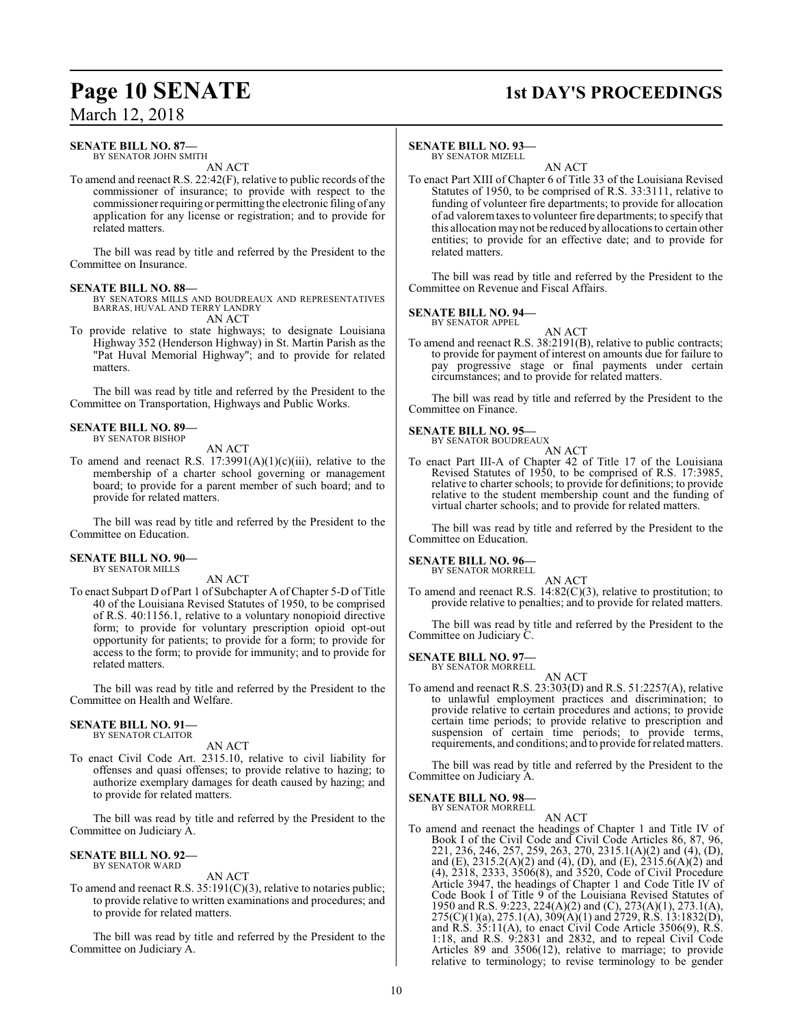### **Page 10 SENATE** 1st DAY'S PROCEEDINGS

## March 12, 2018

### **SENATE BILL NO. 87—**

BY SENATOR JOHN SMITH AN ACT

To amend and reenact R.S. 22:42(F), relative to public records of the commissioner of insurance; to provide with respect to the commissioner requiring or permitting the electronic filing of any application for any license or registration; and to provide for related matters.

The bill was read by title and referred by the President to the Committee on Insurance.

#### **SENATE BILL NO. 88—**

BY SENATORS MILLS AND BOUDREAUX AND REPRESENTATIVES BARRAS, HUVAL AND TERRY LANDRY AN ACT

To provide relative to state highways; to designate Louisiana Highway 352 (Henderson Highway) in St. Martin Parish as the "Pat Huval Memorial Highway"; and to provide for related matters.

The bill was read by title and referred by the President to the Committee on Transportation, Highways and Public Works.

#### **SENATE BILL NO. 89—** BY SENATOR BISHOP

AN ACT

To amend and reenact R.S.  $17:3991(A)(1)(c)(iii)$ , relative to the membership of a charter school governing or management board; to provide for a parent member of such board; and to provide for related matters.

The bill was read by title and referred by the President to the Committee on Education.

#### **SENATE BILL NO. 90—** BY SENATOR MILLS

AN ACT

To enact Subpart D of Part 1 of Subchapter A of Chapter 5-D of Title 40 of the Louisiana Revised Statutes of 1950, to be comprised of R.S. 40:1156.1, relative to a voluntary nonopioid directive form; to provide for voluntary prescription opioid opt-out opportunity for patients; to provide for a form; to provide for access to the form; to provide for immunity; and to provide for related matters.

The bill was read by title and referred by the President to the Committee on Health and Welfare.

#### **SENATE BILL NO. 91—** BY SENATOR CLAITOR

AN ACT

To enact Civil Code Art. 2315.10, relative to civil liability for offenses and quasi offenses; to provide relative to hazing; to authorize exemplary damages for death caused by hazing; and to provide for related matters.

The bill was read by title and referred by the President to the Committee on Judiciary A.

#### **SENATE BILL NO. 92—** BY SENATOR WARD

AN ACT

To amend and reenact R.S. 35:191(C)(3), relative to notaries public; to provide relative to written examinations and procedures; and to provide for related matters.

The bill was read by title and referred by the President to the Committee on Judiciary A.

#### **SENATE BILL NO. 93—**

BY SENATOR MIZELL

AN ACT To enact Part XIII of Chapter 6 of Title 33 of the Louisiana Revised Statutes of 1950, to be comprised of R.S. 33:3111, relative to funding of volunteer fire departments; to provide for allocation of ad valoremtaxes to volunteer fire departments; to specify that this allocation may not be reduced by allocations to certain other entities; to provide for an effective date; and to provide for related matters.

The bill was read by title and referred by the President to the Committee on Revenue and Fiscal Affairs.

#### **SENATE BILL NO. 94—** BY SENATOR APPEL

AN ACT To amend and reenact R.S. 38:2191(B), relative to public contracts; to provide for payment of interest on amounts due for failure to pay progressive stage or final payments under certain circumstances; and to provide for related matters.

The bill was read by title and referred by the President to the Committee on Finance.

## **SENATE BILL NO. 95—** BY SENATOR BOUDREAUX

AN ACT

To enact Part III-A of Chapter 42 of Title 17 of the Louisiana Revised Statutes of 1950, to be comprised of R.S. 17:3985, relative to charter schools; to provide for definitions; to provide relative to the student membership count and the funding of virtual charter schools; and to provide for related matters.

The bill was read by title and referred by the President to the Committee on Education.

### **SENATE BILL NO. 96—** BY SENATOR MORRELL

AN ACT

To amend and reenact R.S. 14:82(C)(3), relative to prostitution; to provide relative to penalties; and to provide for related matters.

The bill was read by title and referred by the President to the Committee on Judiciary C.

#### **SENATE BILL NO. 97—**

BY SENATOR MORRELL

AN ACT To amend and reenact R.S. 23:303(D) and R.S. 51:2257(A), relative to unlawful employment practices and discrimination; to provide relative to certain procedures and actions; to provide certain time periods; to provide relative to prescription and suspension of certain time periods; to provide terms, requirements, and conditions; and to provide for related matters.

The bill was read by title and referred by the President to the Committee on Judiciary A.

#### **SENATE BILL NO. 98—** BY SENATOR MORRELL

AN ACT

To amend and reenact the headings of Chapter 1 and Title IV of Book I of the Civil Code and Civil Code Articles 86, 87, 96, 221, 236, 246, 257, 259, 263, 270, 2315.1(A)(2) and (4), (D), and (E), 2315.2(A)(2) and (4), (D), and (E), 2315.6(A)(2) and (4), 2318, 2333, 3506(8), and 3520, Code of Civil Procedure Article 3947, the headings of Chapter 1 and Code Title IV of Code Book I of Title 9 of the Louisiana Revised Statutes of 1950 and R.S. 9:223, 224(A)(2) and (C), 273(A)(1), 273.1(A), 275(C)(1)(a), 275.1(A), 309(A)(1) and 2729, R.S. 13:1832(D), and R.S. 35:11(A), to enact Civil Code Article 3506(9), R.S. 1:18, and R.S. 9:2831 and 2832, and to repeal Civil Code Articles 89 and 3506(12), relative to marriage; to provide relative to terminology; to revise terminology to be gender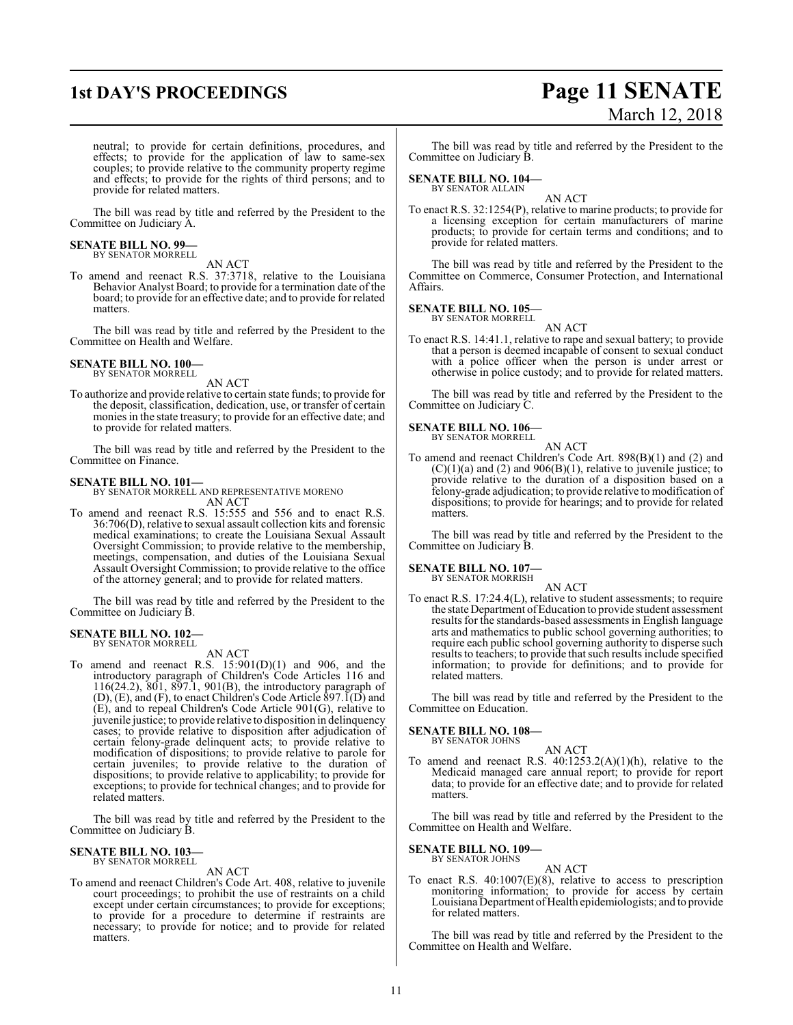### **1st DAY'S PROCEEDINGS Page 11 SENATE** March 12, 2018

neutral; to provide for certain definitions, procedures, and effects; to provide for the application of law to same-sex couples; to provide relative to the community property regime and effects; to provide for the rights of third persons; and to provide for related matters.

The bill was read by title and referred by the President to the Committee on Judiciary A.

#### **SENATE BILL NO. 99—** BY SENATOR MORRELL

AN ACT

To amend and reenact R.S. 37:3718, relative to the Louisiana Behavior Analyst Board; to provide for a termination date of the board; to provide for an effective date; and to provide for related matters.

The bill was read by title and referred by the President to the Committee on Health and Welfare.

### **SENATE BILL NO. 100—** BY SENATOR MORRELL

AN ACT

To authorize and provide relative to certain state funds; to provide for the deposit, classification, dedication, use, or transfer of certain monies in the state treasury; to provide for an effective date; and to provide for related matters.

The bill was read by title and referred by the President to the Committee on Finance.

#### **SENATE BILL NO. 101—**

BY SENATOR MORRELL AND REPRESENTATIVE MORENO AN ACT

To amend and reenact R.S. 15:555 and 556 and to enact R.S. 36:706(D), relative to sexual assault collection kits and forensic medical examinations; to create the Louisiana Sexual Assault Oversight Commission; to provide relative to the membership, meetings, compensation, and duties of the Louisiana Sexual Assault Oversight Commission; to provide relative to the office of the attorney general; and to provide for related matters.

The bill was read by title and referred by the President to the Committee on Judiciary B.

### **SENATE BILL NO. 102—**

BY SENATOR MORRELL AN ACT

To amend and reenact R.S.  $15:901(D)(1)$  and 906, and the introductory paragraph of Children's Code Articles 116 and 116(24.2), 801, 897.1, 901(B), the introductory paragraph of  $(D)$ ,  $(E)$ , and  $(F)$ , to enact Children's Code Article 897.1 $(D)$  and (E), and to repeal Children's Code Article 901(G), relative to juvenile justice; to provide relative to disposition in delinquency cases; to provide relative to disposition after adjudication of certain felony-grade delinquent acts; to provide relative to modification of dispositions; to provide relative to parole for certain juveniles; to provide relative to the duration of dispositions; to provide relative to applicability; to provide for exceptions; to provide for technical changes; and to provide for related matters.

The bill was read by title and referred by the President to the Committee on Judiciary B.

### **SENATE BILL NO. 103—** BY SENATOR MORRELL

AN ACT

To amend and reenact Children's Code Art. 408, relative to juvenile court proceedings; to prohibit the use of restraints on a child except under certain circumstances; to provide for exceptions; to provide for a procedure to determine if restraints are necessary; to provide for notice; and to provide for related matters.

The bill was read by title and referred by the President to the Committee on Judiciary B.

#### **SENATE BILL NO. 104—** BY SENATOR ALLAIN

AN ACT To enact R.S. 32:1254(P), relative to marine products; to provide for a licensing exception for certain manufacturers of marine products; to provide for certain terms and conditions; and to provide for related matters.

The bill was read by title and referred by the President to the Committee on Commerce, Consumer Protection, and International Affairs.

### **SENATE BILL NO. 105—** BY SENATOR MORRELL

AN ACT To enact R.S. 14:41.1, relative to rape and sexual battery; to provide that a person is deemed incapable of consent to sexual conduct with a police officer when the person is under arrest or otherwise in police custody; and to provide for related matters.

The bill was read by title and referred by the President to the Committee on Judiciary C.

### **SENATE BILL NO. 106—**

BY SENATOR MORRELL AN ACT

To amend and reenact Children's Code Art. 898(B)(1) and (2) and  $(C)(1)(a)$  and  $(2)$  and  $906(B)(1)$ , relative to juvenile justice; to provide relative to the duration of a disposition based on a felony-grade adjudication; to provide relative to modification of dispositions; to provide for hearings; and to provide for related matters.

The bill was read by title and referred by the President to the Committee on Judiciary B.

### **SENATE BILL NO. 107—** BY SENATOR MORRISH

AN ACT To enact R.S. 17:24.4(L), relative to student assessments; to require the state Department ofEducation to provide student assessment results for the standards-based assessments in English language arts and mathematics to public school governing authorities; to require each public school governing authority to disperse such results to teachers; to provide that such results include specified information; to provide for definitions; and to provide for related matters.

The bill was read by title and referred by the President to the Committee on Education.

#### **SENATE BILL NO. 108—** BY SENATOR JOHNS

AN ACT

To amend and reenact R.S.  $40:1253.2(A)(1)(h)$ , relative to the Medicaid managed care annual report; to provide for report data; to provide for an effective date; and to provide for related matters.

The bill was read by title and referred by the President to the Committee on Health and Welfare.

#### **SENATE BILL NO. 109—** BY SENATOR JOHNS

AN ACT

To enact R.S. 40:1007(E)(8), relative to access to prescription monitoring information; to provide for access by certain Louisiana Department of Health epidemiologists; and to provide for related matters.

The bill was read by title and referred by the President to the Committee on Health and Welfare.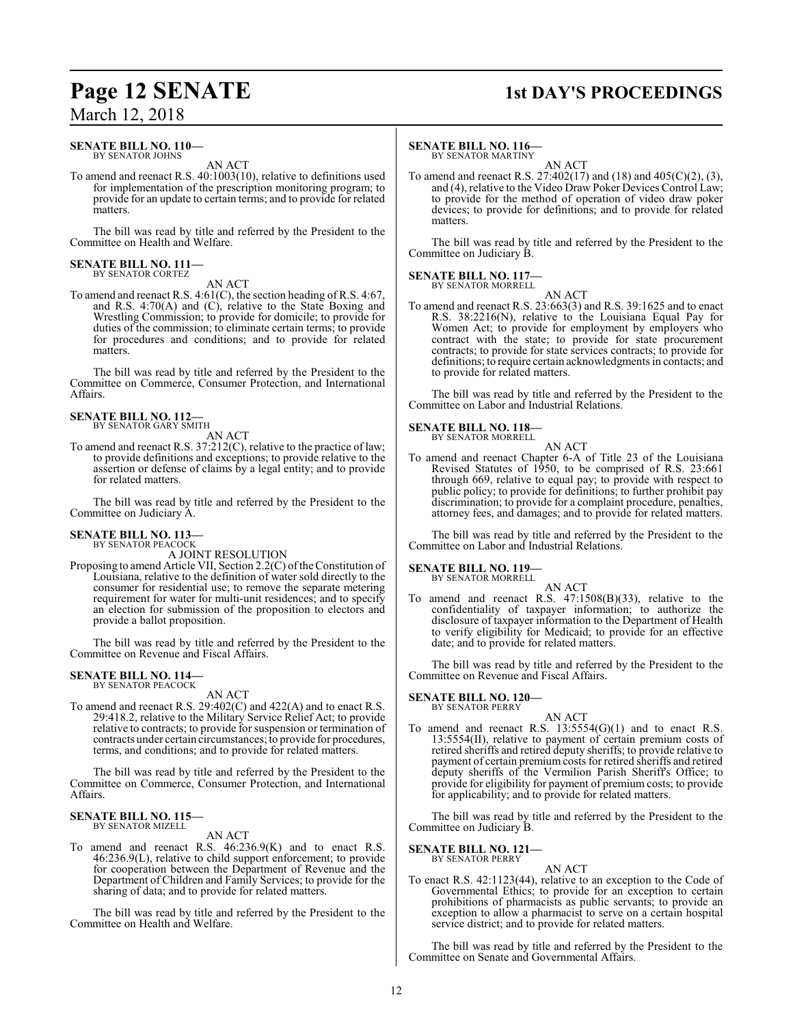### **Page 12 SENATE 1st DAY'S PROCEEDINGS**

### **SENATE BILL NO. 110—**

BY SENATOR JOHNS AN ACT

To amend and reenact R.S. 40:1003(10), relative to definitions used for implementation of the prescription monitoring program; to provide for an update to certain terms; and to provide for related matters.

The bill was read by title and referred by the President to the Committee on Health and Welfare.

#### **SENATE BILL NO. 111—** BY SENATOR CORTEZ

AN ACT

To amend and reenact R.S. 4:61(C), the section heading of R.S. 4:67, and R.S. 4:70(A) and (C), relative to the State Boxing and Wrestling Commission; to provide for domicile; to provide for duties of the commission; to eliminate certain terms; to provide for procedures and conditions; and to provide for related matters.

The bill was read by title and referred by the President to the Committee on Commerce, Consumer Protection, and International Affairs.

#### **SENATE BILL NO. 112—** BY SENATOR GARY SMITH

AN ACT

To amend and reenact R.S. 37:212(C), relative to the practice of law; to provide definitions and exceptions; to provide relative to the assertion or defense of claims by a legal entity; and to provide for related matters.

The bill was read by title and referred by the President to the Committee on Judiciary A.

### **SENATE BILL NO. 113—** BY SENATOR PEACOCK

A JOINT RESOLUTION

Proposing to amend Article VII, Section 2.2(C) of the Constitution of Louisiana, relative to the definition of water sold directly to the consumer for residential use; to remove the separate metering requirement for water for multi-unit residences; and to specify an election for submission of the proposition to electors and provide a ballot proposition.

The bill was read by title and referred by the President to the Committee on Revenue and Fiscal Affairs.

#### **SENATE BILL NO. 114—** BY SENATOR PEACOCK

AN ACT

To amend and reenact R.S. 29:402(C) and 422(A) and to enact R.S. 29:418.2, relative to the Military Service Relief Act; to provide relative to contracts; to provide for suspension or termination of contracts under certain circumstances; to provide for procedures, terms, and conditions; and to provide for related matters.

The bill was read by title and referred by the President to the Committee on Commerce, Consumer Protection, and International Affairs.

#### **SENATE BILL NO. 115—** BY SENATOR MIZELL

AN ACT

To amend and reenact R.S. 46:236.9(K) and to enact R.S. 46:236.9(L), relative to child support enforcement; to provide for cooperation between the Department of Revenue and the Department of Children and Family Services; to provide for the sharing of data; and to provide for related matters.

The bill was read by title and referred by the President to the Committee on Health and Welfare.

#### **SENATE BILL NO. 116—**

BY SENATOR MARTINY AN ACT

To amend and reenact R.S. 27:402(17) and (18) and 405(C)(2), (3), and (4), relative to the Video Draw Poker Devices Control Law; to provide for the method of operation of video draw poker devices; to provide for definitions; and to provide for related matters.

The bill was read by title and referred by the President to the Committee on Judiciary B.

#### **SENATE BILL NO. 117—**

BY SENATOR MORRELL AN ACT

To amend and reenact R.S. 23:663(3) and R.S. 39:1625 and to enact R.S. 38:2216(N), relative to the Louisiana Equal Pay for Women Act; to provide for employment by employers who contract with the state; to provide for state procurement contracts; to provide for state services contracts; to provide for definitions; to require certain acknowledgments in contacts; and to provide for related matters.

The bill was read by title and referred by the President to the Committee on Labor and Industrial Relations.

#### **SENATE BILL NO. 118—**

BY SENATOR MORRELL AN ACT

To amend and reenact Chapter 6-A of Title 23 of the Louisiana Revised Statutes of 1950, to be comprised of R.S. 23:661 through 669, relative to equal pay; to provide with respect to public policy; to provide for definitions; to further prohibit pay discrimination; to provide for a complaint procedure, penalties, attorney fees, and damages; and to provide for related matters.

The bill was read by title and referred by the President to the Committee on Labor and Industrial Relations.

### **SENATE BILL NO. 119—** BY SENATOR MORRELL

AN ACT To amend and reenact R.S. 47:1508(B)(33), relative to the confidentiality of taxpayer information; to authorize the disclosure of taxpayer information to the Department of Health to verify eligibility for Medicaid; to provide for an effective date; and to provide for related matters.

The bill was read by title and referred by the President to the Committee on Revenue and Fiscal Affairs.

### **SENATE BILL NO. 120—** BY SENATOR PERRY

To amend and reenact R.S. 13:5554(G)(1) and to enact R.S. 13:5554(II), relative to payment of certain premium costs of retired sheriffs and retired deputy sheriffs; to provide relative to payment of certain premium costs for retired sheriffs and retired deputy sheriffs of the Vermilion Parish Sheriff's Office; to provide for eligibility for payment of premium costs; to provide for applicability; and to provide for related matters.

The bill was read by title and referred by the President to the Committee on Judiciary B.

#### **SENATE BILL NO. 121—** BY SENATOR PERRY

AN ACT

To enact R.S. 42:1123(44), relative to an exception to the Code of Governmental Ethics; to provide for an exception to certain prohibitions of pharmacists as public servants; to provide an exception to allow a pharmacist to serve on a certain hospital service district; and to provide for related matters.

The bill was read by title and referred by the President to the Committee on Senate and Governmental Affairs.

AN ACT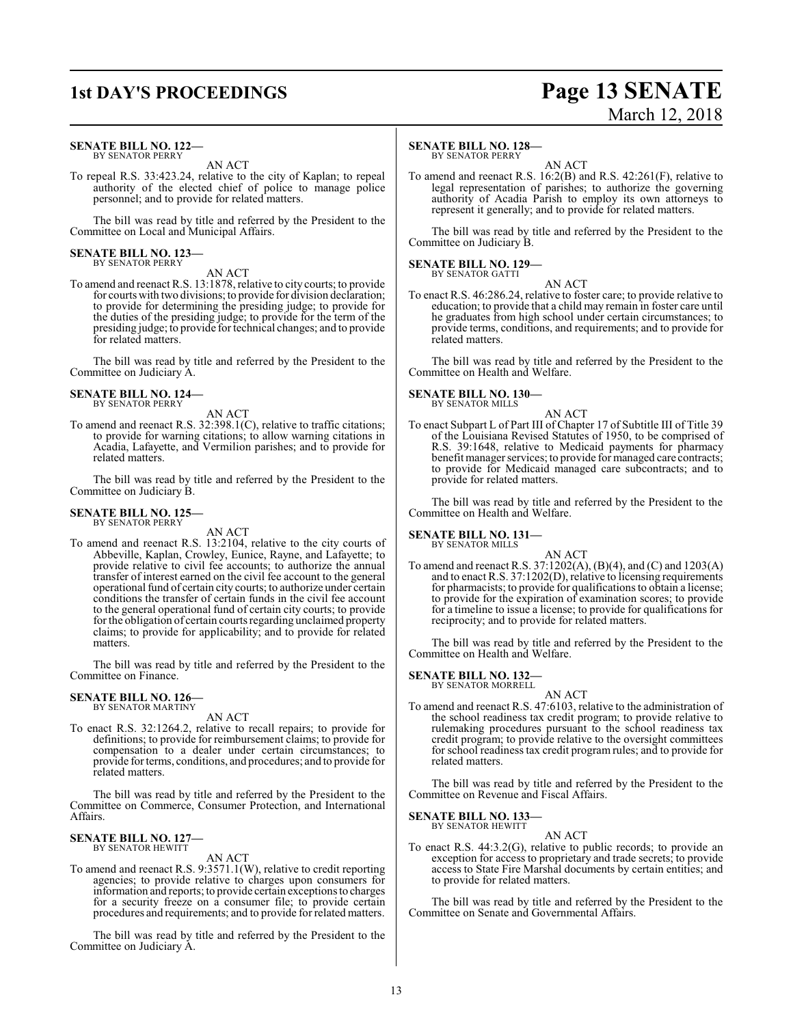### **1st DAY'S PROCEEDINGS Page 13 SENATE**

#### **SENATE BILL NO. 122—** BY SENATOR PERRY

AN ACT

To repeal R.S. 33:423.24, relative to the city of Kaplan; to repeal authority of the elected chief of police to manage police personnel; and to provide for related matters.

The bill was read by title and referred by the President to the Committee on Local and Municipal Affairs.

## **SENATE BILL NO. 123—** BY SENATOR PERRY

AN ACT

To amend and reenact R.S. 13:1878, relative to city courts; to provide for courts with two divisions; to provide for division declaration; to provide for determining the presiding judge; to provide for the duties of the presiding judge; to provide for the term of the presiding judge; to provide fortechnical changes; and to provide for related matters.

The bill was read by title and referred by the President to the Committee on Judiciary A.

### **SENATE BILL NO. 124—** BY SENATOR PERRY

AN ACT

To amend and reenact R.S. 32:398.1(C), relative to traffic citations; to provide for warning citations; to allow warning citations in Acadia, Lafayette, and Vermilion parishes; and to provide for related matters.

The bill was read by title and referred by the President to the Committee on Judiciary B.

#### **SENATE BILL NO. 125—** BY SENATOR PERRY

AN ACT

To amend and reenact R.S. 13:2104, relative to the city courts of Abbeville, Kaplan, Crowley, Eunice, Rayne, and Lafayette; to provide relative to civil fee accounts; to authorize the annual transfer of interest earned on the civil fee account to the general operational fund of certain city courts; to authorize under certain conditions the transfer of certain funds in the civil fee account to the general operational fund of certain city courts; to provide for the obligation of certain courts regarding unclaimed property claims; to provide for applicability; and to provide for related matters.

The bill was read by title and referred by the President to the Committee on Finance.

## **SENATE BILL NO. 126—** BY SENATOR MARTINY

AN ACT

To enact R.S. 32:1264.2, relative to recall repairs; to provide for definitions; to provide for reimbursement claims; to provide for compensation to a dealer under certain circumstances; to provide forterms, conditions, and procedures; and to provide for related matters.

The bill was read by title and referred by the President to the Committee on Commerce, Consumer Protection, and International Affairs.

### **SENATE BILL NO. 127—** BY SENATOR HEWITT

AN ACT

To amend and reenact R.S. 9:3571.1(W), relative to credit reporting agencies; to provide relative to charges upon consumers for information and reports; to provide certain exceptions to charges for a security freeze on a consumer file; to provide certain procedures and requirements; and to provide for related matters.

The bill was read by title and referred by the President to the Committee on Judiciary A.

#### **SENATE BILL NO. 128—**

BY SENATOR PERRY

AN ACT To amend and reenact R.S. 16:2(B) and R.S. 42:261(F), relative to legal representation of parishes; to authorize the governing authority of Acadia Parish to employ its own attorneys to represent it generally; and to provide for related matters.

The bill was read by title and referred by the President to the Committee on Judiciary B.

#### **SENATE BILL NO. 129—** BY SENATOR GATTI

AN ACT To enact R.S. 46:286.24, relative to foster care; to provide relative to education; to provide that a child may remain in foster care until he graduates from high school under certain circumstances; to provide terms, conditions, and requirements; and to provide for related matters.

The bill was read by title and referred by the President to the Committee on Health and Welfare.

### **SENATE BILL NO. 130—** BY SENATOR MILLS

AN ACT To enact Subpart L of Part III of Chapter 17 of Subtitle III of Title 39 of the Louisiana Revised Statutes of 1950, to be comprised of R.S. 39:1648, relative to Medicaid payments for pharmacy benefit manager services; to provide for managed care contracts; to provide for Medicaid managed care subcontracts; and to provide for related matters.

The bill was read by title and referred by the President to the Committee on Health and Welfare.

**SENATE BILL NO. 131—** BY SENATOR MILLS

AN ACT

To amend and reenact R.S. 37:1202(A), (B)(4), and (C) and 1203(A) and to enact R.S. 37:1202(D), relative to licensing requirements for pharmacists; to provide for qualifications to obtain a license; to provide for the expiration of examination scores; to provide for a timeline to issue a license; to provide for qualifications for reciprocity; and to provide for related matters.

The bill was read by title and referred by the President to the Committee on Health and Welfare.

#### **SENATE BILL NO. 132—** BY SENATOR MORRELL

AN ACT

To amend and reenact R.S. 47:6103, relative to the administration of the school readiness tax credit program; to provide relative to rulemaking procedures pursuant to the school readiness tax credit program; to provide relative to the oversight committees for school readiness tax credit program rules; and to provide for related matters.

The bill was read by title and referred by the President to the Committee on Revenue and Fiscal Affairs.

**SENATE BILL NO. 133** BY SENATOR HEWITT

AN ACT

To enact R.S. 44:3.2(G), relative to public records; to provide an exception for access to proprietary and trade secrets; to provide access to State Fire Marshal documents by certain entities; and to provide for related matters.

The bill was read by title and referred by the President to the Committee on Senate and Governmental Affairs.

# March 12, 2018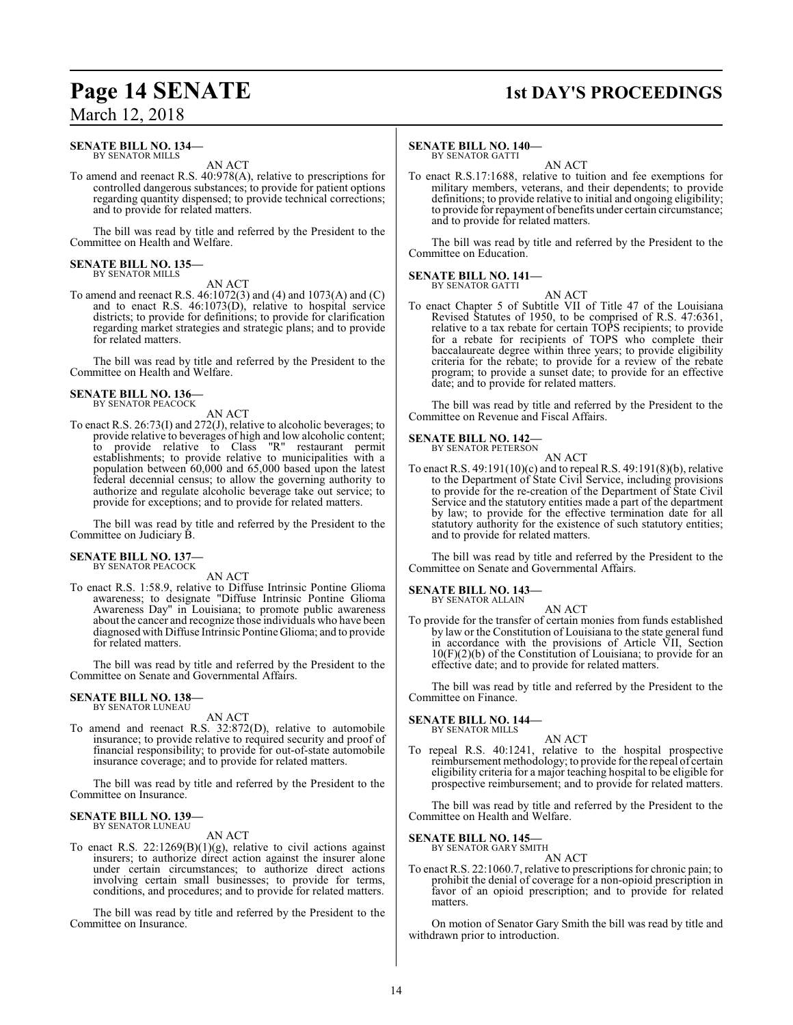### **Page 14 SENATE** 1st DAY'S PROCEEDINGS

### March 12, 2018

#### **SENATE BILL NO. 134—** BY SENATOR MILLS

AN ACT

To amend and reenact R.S. 40:978(A), relative to prescriptions for controlled dangerous substances; to provide for patient options regarding quantity dispensed; to provide technical corrections; and to provide for related matters.

The bill was read by title and referred by the President to the Committee on Health and Welfare.

#### **SENATE BILL NO. 135—** BY SENATOR MILLS

AN ACT

To amend and reenact R.S. 46:1072(3) and (4) and 1073(A) and (C) and to enact R.S. 46:1073(D), relative to hospital service districts; to provide for definitions; to provide for clarification regarding market strategies and strategic plans; and to provide for related matters.

The bill was read by title and referred by the President to the Committee on Health and Welfare.

## **SENATE BILL NO. 136—** BY SENATOR PEACOCK

AN ACT

To enact R.S. 26:73(I) and 272(J), relative to alcoholic beverages; to provide relative to beverages of high and low alcoholic content; to provide relative to Class "R" restaurant permit establishments; to provide relative to municipalities with a population between 60,000 and 65,000 based upon the latest federal decennial census; to allow the governing authority to authorize and regulate alcoholic beverage take out service; to provide for exceptions; and to provide for related matters.

The bill was read by title and referred by the President to the Committee on Judiciary B.

#### **SENATE BILL NO. 137—** BY SENATOR PEACOCK

AN ACT

To enact R.S. 1:58.9, relative to Diffuse Intrinsic Pontine Glioma awareness; to designate "Diffuse Intrinsic Pontine Glioma Awareness Day" in Louisiana; to promote public awareness about the cancer and recognize those individuals who have been diagnosed with Diffuse Intrinsic Pontine Glioma; and to provide for related matters.

The bill was read by title and referred by the President to the Committee on Senate and Governmental Affairs.

### **SENATE BILL NO. 138—** BY SENATOR LUNEAU

AN ACT

To amend and reenact R.S. 32:872(D), relative to automobile insurance; to provide relative to required security and proof of financial responsibility; to provide for out-of-state automobile insurance coverage; and to provide for related matters.

The bill was read by title and referred by the President to the Committee on Insurance.

#### **SENATE BILL NO. 139—** BY SENATOR LUNEAU

AN ACT

To enact R.S.  $22:1269(B)(1)(g)$ , relative to civil actions against insurers; to authorize direct action against the insurer alone under certain circumstances; to authorize direct actions involving certain small businesses; to provide for terms, conditions, and procedures; and to provide for related matters.

The bill was read by title and referred by the President to the Committee on Insurance.

#### **SENATE BILL NO. 140—**

BY SENATOR GATTI AN ACT

To enact R.S.17:1688, relative to tuition and fee exemptions for military members, veterans, and their dependents; to provide definitions; to provide relative to initial and ongoing eligibility; to provide for repayment of benefits under certain circumstance; and to provide for related matters.

The bill was read by title and referred by the President to the Committee on Education.

#### **SENATE BILL NO. 141—** BY SENATOR GATTI

AN ACT

To enact Chapter 5 of Subtitle VII of Title 47 of the Louisiana Revised Statutes of 1950, to be comprised of R.S. 47:6361, relative to a tax rebate for certain TOPS recipients; to provide for a rebate for recipients of TOPS who complete their baccalaureate degree within three years; to provide eligibility criteria for the rebate; to provide for a review of the rebate program; to provide a sunset date; to provide for an effective date; and to provide for related matters.

The bill was read by title and referred by the President to the Committee on Revenue and Fiscal Affairs.

### **SENATE BILL NO. 142—**<br>BY SENATOR PETERSON

AN ACT To enact R.S. 49:191(10)(c) and to repeal R.S. 49:191(8)(b), relative to the Department of State Civil Service, including provisions to provide for the re-creation of the Department of State Civil Service and the statutory entities made a part of the department by law; to provide for the effective termination date for all statutory authority for the existence of such statutory entities; and to provide for related matters.

The bill was read by title and referred by the President to the Committee on Senate and Governmental Affairs.

### **SENATE BILL NO. 143—**

BY SENATOR ALLAIN AN ACT

To provide for the transfer of certain monies from funds established by law or the Constitution of Louisiana to the state general fund in accordance with the provisions of Article VII, Section 10(F)(2)(b) of the Constitution of Louisiana; to provide for an effective date; and to provide for related matters.

The bill was read by title and referred by the President to the Committee on Finance.

#### **SENATE BILL NO. 144—** BY SENATOR MILLS

AN ACT

To repeal R.S. 40:1241, relative to the hospital prospective reimbursement methodology; to provide for the repeal of certain eligibility criteria for a major teaching hospital to be eligible for prospective reimbursement; and to provide for related matters.

The bill was read by title and referred by the President to the Committee on Health and Welfare.

### **SENATE BILL NO. 145—**<br>BY SENATOR GARY SMITH

AN ACT

To enact R.S. 22:1060.7, relative to prescriptions for chronic pain; to prohibit the denial of coverage for a non-opioid prescription in favor of an opioid prescription; and to provide for related matters.

On motion of Senator Gary Smith the bill was read by title and withdrawn prior to introduction.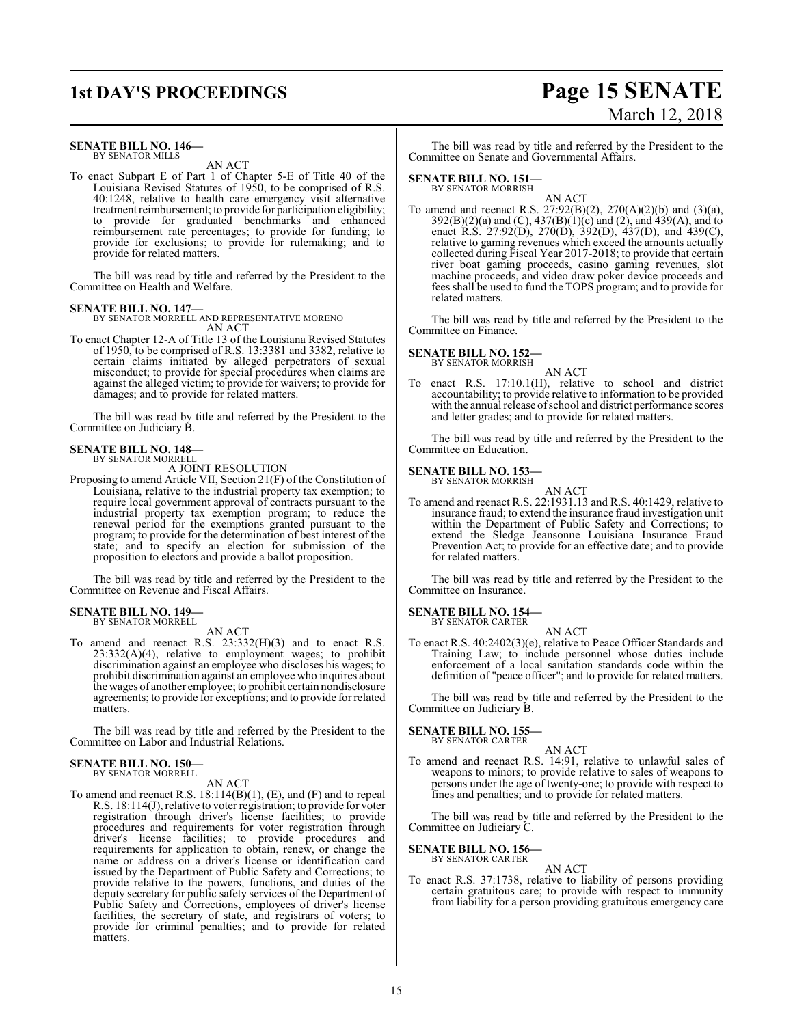#### **SENATE BILL NO. 146—** BY SENATOR MILLS

AN ACT

To enact Subpart E of Part 1 of Chapter 5-E of Title 40 of the Louisiana Revised Statutes of 1950, to be comprised of R.S. 40:1248, relative to health care emergency visit alternative treatment reimbursement; to provide for participation eligibility; to provide for graduated benchmarks and enhanced reimbursement rate percentages; to provide for funding; to provide for exclusions; to provide for rulemaking; and to provide for related matters.

The bill was read by title and referred by the President to the Committee on Health and Welfare.

**SENATE BILL NO. 147—** BY SENATOR MORRELL AND REPRESENTATIVE MORENO AN ACT

To enact Chapter 12-A of Title 13 of the Louisiana Revised Statutes of 1950, to be comprised of R.S. 13:3381 and 3382, relative to certain claims initiated by alleged perpetrators of sexual misconduct; to provide for special procedures when claims are against the alleged victim; to provide for waivers; to provide for damages; and to provide for related matters.

The bill was read by title and referred by the President to the Committee on Judiciary B.

#### **SENATE BILL NO. 148—** BY SENATOR MORRELL

A JOINT RESOLUTION

Proposing to amend Article VII, Section 21(F) of the Constitution of Louisiana, relative to the industrial property tax exemption; to require local government approval of contracts pursuant to the industrial property tax exemption program; to reduce the renewal period for the exemptions granted pursuant to the program; to provide for the determination of best interest of the state; and to specify an election for submission of the proposition to electors and provide a ballot proposition.

The bill was read by title and referred by the President to the Committee on Revenue and Fiscal Affairs.

#### **SENATE BILL NO. 149—** BY SENATOR MORRELL

AN ACT

To amend and reenact R.S. 23:332(H)(3) and to enact R.S. 23:332(A)(4), relative to employment wages; to prohibit discrimination against an employee who discloses his wages; to prohibit discrimination against an employee who inquires about the wages of another employee; to prohibit certain nondisclosure agreements; to provide for exceptions; and to provide for related matters.

The bill was read by title and referred by the President to the Committee on Labor and Industrial Relations.

#### **SENATE BILL NO. 150—** BY SENATOR MORRELL

AN ACT

To amend and reenact R.S. 18:114(B)(1), (E), and (F) and to repeal R.S. 18:114(J), relative to voter registration; to provide for voter registration through driver's license facilities; to provide procedures and requirements for voter registration through driver's license facilities; to provide procedures and requirements for application to obtain, renew, or change the name or address on a driver's license or identification card issued by the Department of Public Safety and Corrections; to provide relative to the powers, functions, and duties of the deputy secretary for public safety services of the Department of Public Safety and Corrections, employees of driver's license facilities, the secretary of state, and registrars of voters; to provide for criminal penalties; and to provide for related matters.

## **1st DAY'S PROCEEDINGS Page 15 SENATE** March 12, 2018

The bill was read by title and referred by the President to the Committee on Senate and Governmental Affairs.

**SENATE BILL NO. 151—**

BY SENATOR MORRISH

AN ACT To amend and reenact R.S. 27:92(B)(2), 270(A)(2)(b) and (3)(a), 392(B)(2)(a) and (C), 437(B)(1)(c) and (2), and 439(A), and to enact R.S. 27:92(D), 270(D), 392(D), 437(D), and 439(C), relative to gaming revenues which exceed the amounts actually collected during Fiscal Year 2017-2018; to provide that certain river boat gaming proceeds, casino gaming revenues, slot machine proceeds, and video draw poker device proceeds and fees shall be used to fund the TOPS program; and to provide for related matters.

The bill was read by title and referred by the President to the Committee on Finance.

#### **SENATE BILL NO. 152—**

BY SENATOR MORRISH

AN ACT To enact R.S. 17:10.1(H), relative to school and district accountability; to provide relative to information to be provided with the annual release ofschool and district performance scores and letter grades; and to provide for related matters.

The bill was read by title and referred by the President to the Committee on Education.

**SENATE BILL NO. 153—** BY SENATOR MORRISH

AN ACT

To amend and reenact R.S. 22:1931.13 and R.S. 40:1429, relative to insurance fraud; to extend the insurance fraud investigation unit within the Department of Public Safety and Corrections; to extend the Sledge Jeansonne Louisiana Insurance Fraud Prevention Act; to provide for an effective date; and to provide for related matters.

The bill was read by title and referred by the President to the Committee on Insurance.

### **SENATE BILL NO. 154—** BY SENATOR CARTER

AN ACT

To enact R.S. 40:2402(3)(e), relative to Peace Officer Standards and Training Law; to include personnel whose duties include enforcement of a local sanitation standards code within the definition of "peace officer"; and to provide for related matters.

The bill was read by title and referred by the President to the Committee on Judiciary B.

#### **SENATE BILL NO. 155—** BY SENATOR CARTER

AN ACT

To amend and reenact R.S. 14:91, relative to unlawful sales of weapons to minors; to provide relative to sales of weapons to persons under the age of twenty-one; to provide with respect to fines and penalties; and to provide for related matters.

The bill was read by title and referred by the President to the Committee on Judiciary C.

#### **SENATE BILL NO. 156—** BY SENATOR CARTER

AN ACT

To enact R.S. 37:1738, relative to liability of persons providing certain gratuitous care; to provide with respect to immunity from liability for a person providing gratuitous emergency care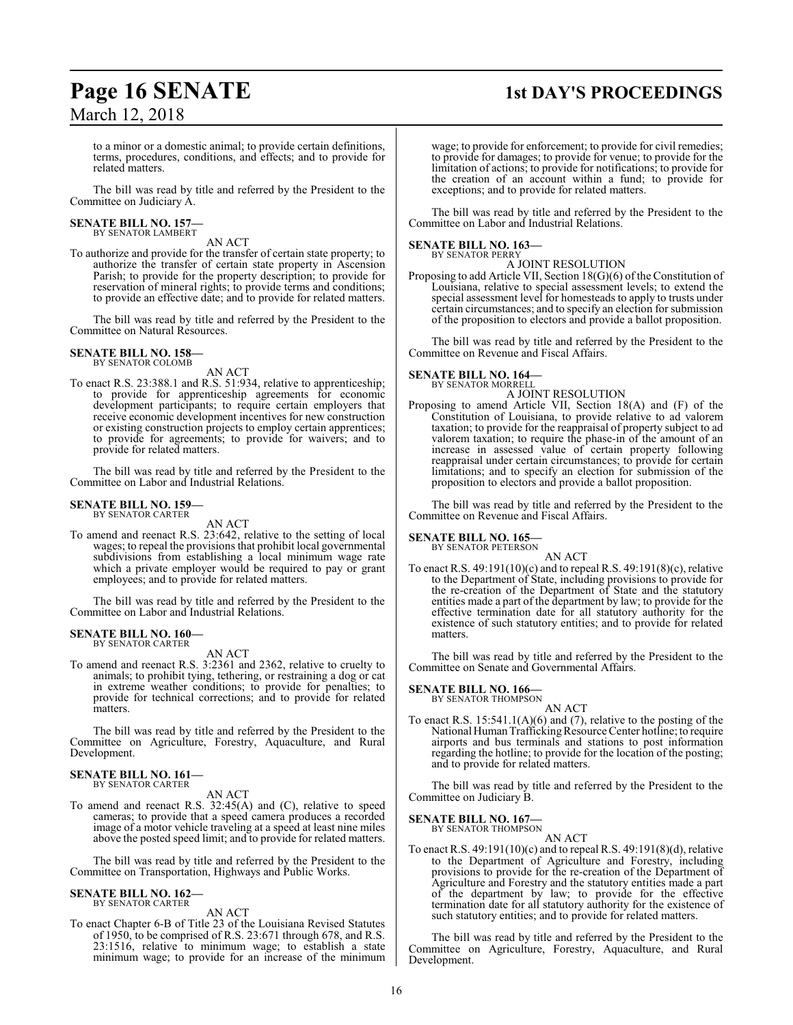## **Page 16 SENATE 1st DAY'S PROCEEDINGS**

to a minor or a domestic animal; to provide certain definitions, terms, procedures, conditions, and effects; and to provide for related matters.

The bill was read by title and referred by the President to the Committee on Judiciary A.

#### **SENATE BILL NO. 157—** BY SENATOR LAMBERT

AN ACT

To authorize and provide for the transfer of certain state property; to authorize the transfer of certain state property in Ascension Parish; to provide for the property description; to provide for reservation of mineral rights; to provide terms and conditions; to provide an effective date; and to provide for related matters.

The bill was read by title and referred by the President to the Committee on Natural Resources.

#### **SENATE BILL NO. 158—** BY SENATOR COLOMB

AN ACT

To enact R.S. 23:388.1 and R.S. 51:934, relative to apprenticeship; to provide for apprenticeship agreements for economic development participants; to require certain employers that receive economic development incentives for new construction or existing construction projects to employ certain apprentices; to provide for agreements; to provide for waivers; and to provide for related matters.

The bill was read by title and referred by the President to the Committee on Labor and Industrial Relations.

#### **SENATE BILL NO. 159—** BY SENATOR CARTER

AN ACT

To amend and reenact R.S. 23:642, relative to the setting of local wages; to repeal the provisions that prohibit local governmental subdivisions from establishing a local minimum wage rate which a private employer would be required to pay or grant employees; and to provide for related matters.

The bill was read by title and referred by the President to the Committee on Labor and Industrial Relations.

#### **SENATE BILL NO. 160—**

BY SENATOR CARTER

AN ACT To amend and reenact R.S. 3:2361 and 2362, relative to cruelty to animals; to prohibit tying, tethering, or restraining a dog or cat in extreme weather conditions; to provide for penalties; to provide for technical corrections; and to provide for related

matters. The bill was read by title and referred by the President to the Committee on Agriculture, Forestry, Aquaculture, and Rural

### **SENATE BILL NO. 161—**

Development.

BY SENATOR CARTER AN ACT

To amend and reenact R.S. 32:45(A) and (C), relative to speed cameras; to provide that a speed camera produces a recorded image of a motor vehicle traveling at a speed at least nine miles above the posted speed limit; and to provide for related matters.

The bill was read by title and referred by the President to the Committee on Transportation, Highways and Public Works.

#### **SENATE BILL NO. 162—** BY SENATOR CARTER

AN ACT

To enact Chapter 6-B of Title 23 of the Louisiana Revised Statutes of 1950, to be comprised of R.S. 23:671 through 678, and R.S. 23:1516, relative to minimum wage; to establish a state minimum wage; to provide for an increase of the minimum wage; to provide for enforcement; to provide for civil remedies; to provide for damages; to provide for venue; to provide for the limitation of actions; to provide for notifications; to provide for the creation of an account within a fund; to provide for exceptions; and to provide for related matters.

The bill was read by title and referred by the President to the Committee on Labor and Industrial Relations.

#### **SENATE BILL NO. 163—** BY SENATOR PERRY

A JOINT RESOLUTION

Proposing to add Article VII, Section 18(G)(6) of the Constitution of Louisiana, relative to special assessment levels; to extend the special assessment level for homesteads to apply to trusts under certain circumstances; and to specify an election for submission of the proposition to electors and provide a ballot proposition.

The bill was read by title and referred by the President to the Committee on Revenue and Fiscal Affairs.

#### **SENATE BILL NO. 164—** BY SENATOR MORRELL

A JOINT RESOLUTION

Proposing to amend Article VII, Section 18(A) and (F) of the Constitution of Louisiana, to provide relative to ad valorem taxation; to provide for the reappraisal of property subject to ad valorem taxation; to require the phase-in of the amount of an increase in assessed value of certain property following reappraisal under certain circumstances; to provide for certain limitations; and to specify an election for submission of the proposition to electors and provide a ballot proposition.

The bill was read by title and referred by the President to the Committee on Revenue and Fiscal Affairs.

### **SENATE BILL NO. 165—**<br>BY SENATOR PETERSON

AN ACT

To enact R.S. 49:191(10)(c) and to repeal R.S. 49:191(8)(c), relative to the Department of State, including provisions to provide for the re-creation of the Department of State and the statutory entities made a part of the department by law; to provide for the effective termination date for all statutory authority for the existence of such statutory entities; and to provide for related matters.

The bill was read by title and referred by the President to the Committee on Senate and Governmental Affairs.

### **SENATE BILL NO. 166—**<br>BY SENATOR THOMPSON

AN ACT

To enact R.S. 15:541.1(A)(6) and (7), relative to the posting of the National Human Trafficking Resource Center hotline; to require airports and bus terminals and stations to post information regarding the hotline; to provide for the location of the posting; and to provide for related matters.

The bill was read by title and referred by the President to the Committee on Judiciary B.

**SENATE BILL NO. 167** 

BY SENATOR THOMPSON AN ACT

To enact R.S. 49:191(10)(c) and to repeal R.S. 49:191(8)(d), relative to the Department of Agriculture and Forestry, including provisions to provide for the re-creation of the Department of Agriculture and Forestry and the statutory entities made a part of the department by law; to provide for the effective termination date for all statutory authority for the existence of such statutory entities; and to provide for related matters.

The bill was read by title and referred by the President to the Committee on Agriculture, Forestry, Aquaculture, and Rural Development.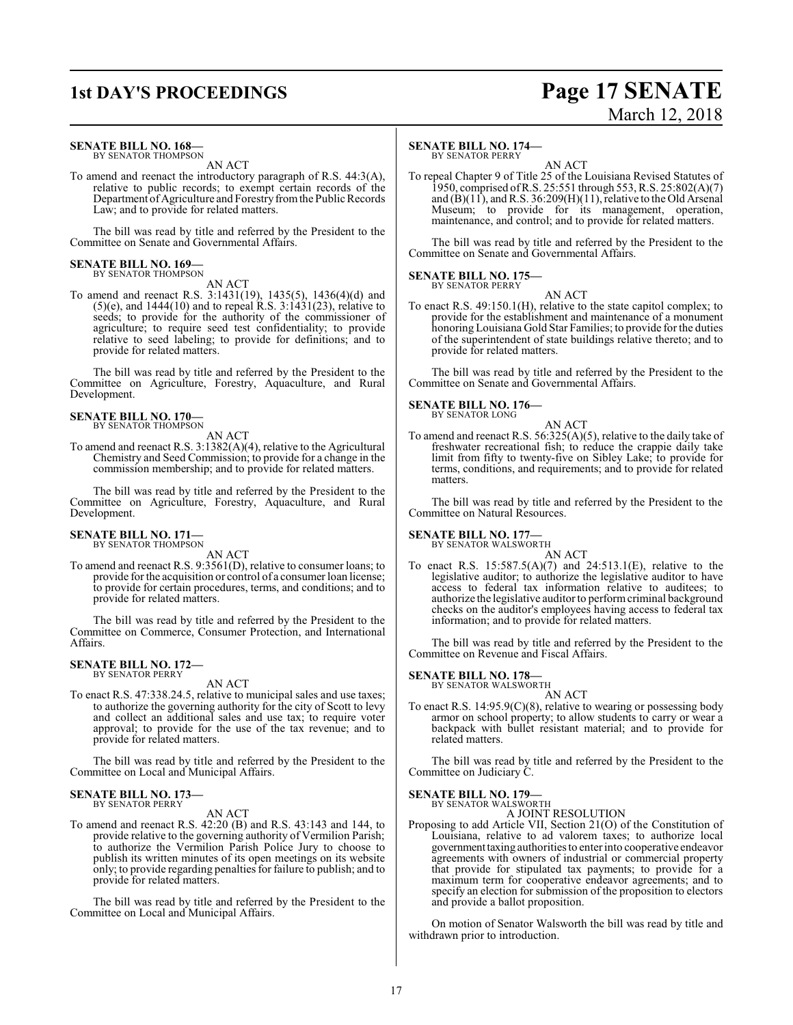### **1st DAY'S PROCEEDINGS Page 17 SENATE** March 12, 2018

#### **SENATE BILL NO. 168—**

BY SENATOR THOMPSON AN ACT

To amend and reenact the introductory paragraph of R.S. 44:3(A), relative to public records; to exempt certain records of the Department of Agriculture and Forestry from the Public Records Law; and to provide for related matters.

The bill was read by title and referred by the President to the Committee on Senate and Governmental Affairs.

### **SENATE BILL NO. 169—** BY SENATOR THOMPSON

AN ACT

To amend and reenact R.S. 3:1431(19), 1435(5), 1436(4)(d) and  $(5)(e)$ , and 1444 $(10)$  and to repeal R.S. 3:1431 $(23)$ , relative to seeds; to provide for the authority of the commissioner of agriculture; to require seed test confidentiality; to provide relative to seed labeling; to provide for definitions; and to provide for related matters.

The bill was read by title and referred by the President to the Committee on Agriculture, Forestry, Aquaculture, and Rural Development.

#### **SENATE BILL NO. 170—** BY SENATOR THOMPSON

AN ACT

To amend and reenact R.S. 3:1382(A)(4), relative to the Agricultural Chemistry and Seed Commission; to provide for a change in the commission membership; and to provide for related matters.

The bill was read by title and referred by the President to the Committee on Agriculture, Forestry, Aquaculture, and Rural Development.

### **SENATE BILL NO. 171—** BY SENATOR THOMPSON

AN ACT

To amend and reenact R.S. 9:3561(D), relative to consumer loans; to provide for the acquisition or control of a consumer loan license; to provide for certain procedures, terms, and conditions; and to provide for related matters.

The bill was read by title and referred by the President to the Committee on Commerce, Consumer Protection, and International Affairs.

#### **SENATE BILL NO. 172—** BY SENATOR PERRY

AN ACT

To enact R.S. 47:338.24.5, relative to municipal sales and use taxes; to authorize the governing authority for the city of Scott to levy and collect an additional sales and use tax; to require voter approval; to provide for the use of the tax revenue; and to provide for related matters.

The bill was read by title and referred by the President to the Committee on Local and Municipal Affairs.

#### **SENATE BILL NO. 173—** BY SENATOR PERRY

AN ACT

To amend and reenact R.S. 42:20 (B) and R.S. 43:143 and 144, to provide relative to the governing authority of Vermilion Parish; to authorize the Vermilion Parish Police Jury to choose to publish its written minutes of its open meetings on its website only; to provide regarding penalties for failure to publish; and to provide for related matters.

The bill was read by title and referred by the President to the Committee on Local and Municipal Affairs.

#### **SENATE BILL NO. 174—**

BY SENATOR PERRY

AN ACT To repeal Chapter 9 of Title 25 of the Louisiana Revised Statutes of 1950, comprised ofR.S. 25:551 through 553, R.S. 25:802(A)(7) and  $(B)(11)$ , and R.S. 36:209 $(H)(11)$ , relative to the Old Arsenal Museum; to provide for its management, operation, maintenance, and control; and to provide for related matters.

The bill was read by title and referred by the President to the Committee on Senate and Governmental Affairs.

#### **SENATE BILL NO. 175—** BY SENATOR PERRY

AN ACT

To enact R.S. 49:150.1(H), relative to the state capitol complex; to provide for the establishment and maintenance of a monument honoring Louisiana Gold Star Families; to provide for the duties of the superintendent of state buildings relative thereto; and to provide for related matters.

The bill was read by title and referred by the President to the Committee on Senate and Governmental Affairs.

#### **SENATE BILL NO. 176—**

BY SENATOR LONG

AN ACT To amend and reenact R.S. 56:325(A)(5), relative to the daily take of freshwater recreational fish; to reduce the crappie daily take limit from fifty to twenty-five on Sibley Lake; to provide for terms, conditions, and requirements; and to provide for related matters.

The bill was read by title and referred by the President to the Committee on Natural Resources.

**SENATE BILL NO. 177—**<br>BY SENATOR WALSWORTH

AN ACT

To enact R.S. 15:587.5(A)(7) and 24:513.1(E), relative to the legislative auditor; to authorize the legislative auditor to have access to federal tax information relative to auditees; to authorize the legislative auditor to perform criminal background checks on the auditor's employees having access to federal tax information; and to provide for related matters.

The bill was read by title and referred by the President to the Committee on Revenue and Fiscal Affairs.

### **SENATE BILL NO. 178—**<br>BY SENATOR WALSWORTH

AN ACT

To enact R.S. 14:95.9(C)(8), relative to wearing or possessing body armor on school property; to allow students to carry or wear a backpack with bullet resistant material; and to provide for related matters.

The bill was read by title and referred by the President to the Committee on Judiciary C.

#### **SENATE BILL NO. 179—**

BY SENATOR WALSWORTH A JOINT RESOLUTION

Proposing to add Article VII, Section 21(O) of the Constitution of Louisiana, relative to ad valorem taxes; to authorize local governmenttaxing authorities to enter into cooperative endeavor agreements with owners of industrial or commercial property that provide for stipulated tax payments; to provide for a maximum term for cooperative endeavor agreements; and to specify an election for submission of the proposition to electors and provide a ballot proposition.

On motion of Senator Walsworth the bill was read by title and withdrawn prior to introduction.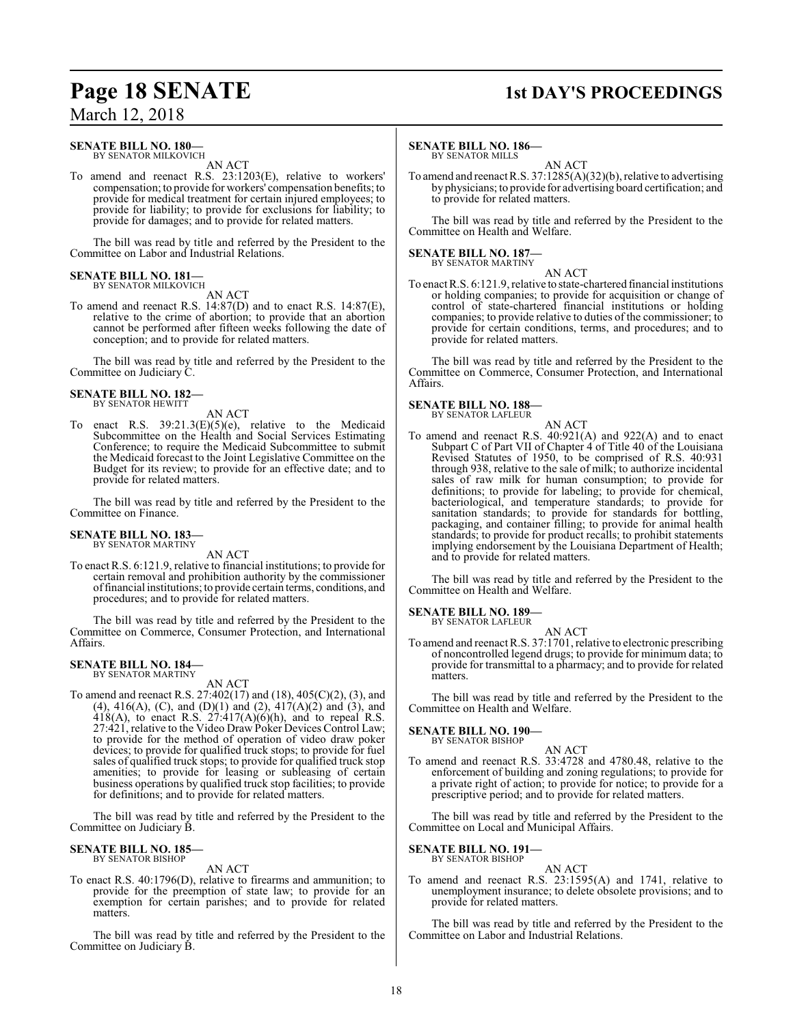#### **SENATE BILL NO. 180—**

BY SENATOR MILKOVICH AN ACT

To amend and reenact R.S. 23:1203(E), relative to workers' compensation; to provide for workers' compensation benefits; to provide for medical treatment for certain injured employees; to provide for liability; to provide for exclusions for liability; to provide for damages; and to provide for related matters.

The bill was read by title and referred by the President to the Committee on Labor and Industrial Relations.

#### **SENATE BILL NO. 181** BY SENATOR MILKOVICH

AN ACT

To amend and reenact R.S. 14:87(D) and to enact R.S. 14:87(E), relative to the crime of abortion; to provide that an abortion cannot be performed after fifteen weeks following the date of conception; and to provide for related matters.

The bill was read by title and referred by the President to the Committee on Judiciary C.

## **SENATE BILL NO. 182—** BY SENATOR HEWITT

AN ACT

To enact R.S. 39:21.3(E)(5)(e), relative to the Medicaid Subcommittee on the Health and Social Services Estimating Conference; to require the Medicaid Subcommittee to submit the Medicaid forecast to the Joint Legislative Committee on the Budget for its review; to provide for an effective date; and to provide for related matters.

The bill was read by title and referred by the President to the Committee on Finance.

#### **SENATE BILL NO. 183—** BY SENATOR MARTINY

AN ACT

To enact R.S. 6:121.9, relative to financial institutions; to provide for certain removal and prohibition authority by the commissioner offinancial institutions; to provide certain terms, conditions, and procedures; and to provide for related matters.

The bill was read by title and referred by the President to the Committee on Commerce, Consumer Protection, and International Affairs.

#### **SENATE BILL NO. 184—** BY SENATOR MARTINY

AN ACT

To amend and reenact R.S. 27:402(17) and (18), 405(C)(2), (3), and (4), 416(A), (C), and (D)(1) and (2), 417(A)(2) and (3), and  $418(A)$ , to enact R.S.  $27:417(A)(6)(h)$ , and to repeal R.S. 27:421, relative to the Video Draw Poker Devices Control Law; to provide for the method of operation of video draw poker devices; to provide for qualified truck stops; to provide for fuel sales of qualified truck stops; to provide for qualified truck stop amenities; to provide for leasing or subleasing of certain business operations by qualified truck stop facilities; to provide for definitions; and to provide for related matters.

The bill was read by title and referred by the President to the Committee on Judiciary B.

#### **SENATE BILL NO. 185—** BY SENATOR BISHOP

AN ACT

To enact R.S. 40:1796(D), relative to firearms and ammunition; to provide for the preemption of state law; to provide for an exemption for certain parishes; and to provide for related matters.

The bill was read by title and referred by the President to the Committee on Judiciary B.

### **Page 18 SENATE 1st DAY'S PROCEEDINGS**

#### **SENATE BILL NO. 186—**

BY SENATOR MILLS AN ACT

To amend and reenact R.S. 37:1285(A)(32)(b), relative to advertising by physicians; to provide for advertising board certification; and to provide for related matters.

The bill was read by title and referred by the President to the Committee on Health and Welfare.

## **SENATE BILL NO. 187—** BY SENATOR MARTINY

AN ACT

To enact R.S. 6:121.9, relative to state-chartered financial institutions or holding companies; to provide for acquisition or change of control of state-chartered financial institutions or holding companies; to provide relative to duties of the commissioner; to provide for certain conditions, terms, and procedures; and to provide for related matters.

The bill was read by title and referred by the President to the Committee on Commerce, Consumer Protection, and International Affairs.

### **SENATE BILL NO. 188—**

BY SENATOR LAFLEUR AN ACT

To amend and reenact R.S. 40:921(A) and 922(A) and to enact Subpart C of Part VII of Chapter 4 of Title 40 of the Louisiana Revised Statutes of 1950, to be comprised of R.S. 40:931 through 938, relative to the sale of milk; to authorize incidental sales of raw milk for human consumption; to provide for definitions; to provide for labeling; to provide for chemical, bacteriological, and temperature standards; to provide for sanitation standards; to provide for standards for bottling, packaging, and container filling; to provide for animal health standards; to provide for product recalls; to prohibit statements implying endorsement by the Louisiana Department of Health; and to provide for related matters.

The bill was read by title and referred by the President to the Committee on Health and Welfare.

### **SENATE BILL NO. 189—** BY SENATOR LAFLEUR

AN ACT

To amend and reenact R.S. 37:1701, relative to electronic prescribing of noncontrolled legend drugs; to provide for minimum data; to provide for transmittal to a pharmacy; and to provide for related matters.

The bill was read by title and referred by the President to the Committee on Health and Welfare.

#### **SENATE BILL NO. 190—** BY SENATOR BISHOP

#### AN ACT

To amend and reenact R.S. 33:4728 and 4780.48, relative to the enforcement of building and zoning regulations; to provide for a private right of action; to provide for notice; to provide for a prescriptive period; and to provide for related matters.

The bill was read by title and referred by the President to the Committee on Local and Municipal Affairs.

#### **SENATE BILL NO. 191—** BY SENATOR BISHOP

AN ACT

To amend and reenact R.S. 23:1595(A) and 1741, relative to unemployment insurance; to delete obsolete provisions; and to provide for related matters.

The bill was read by title and referred by the President to the Committee on Labor and Industrial Relations.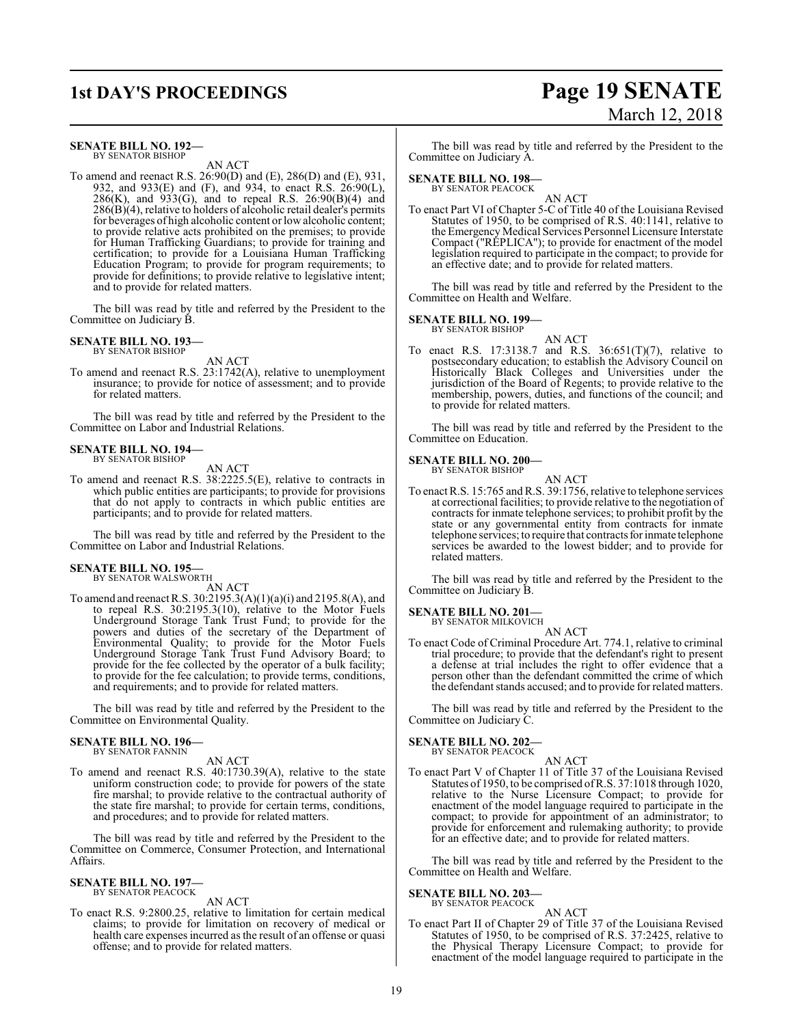#### **SENATE BILL NO. 192—** BY SENATOR BISHOP

AN ACT

To amend and reenact R.S. 26:90(D) and (E), 286(D) and (E), 931, 932, and 933(E) and (F), and 934, to enact R.S. 26:90(L),  $286(K)$ , and  $933(G)$ , and to repeal R.S.  $26:90(B)(4)$  and  $286(B)(4)$ , relative to holders of alcoholic retail dealer's permits for beverages of high alcoholic content orlow alcoholic content; to provide relative acts prohibited on the premises; to provide for Human Trafficking Guardians; to provide for training and certification; to provide for a Louisiana Human Trafficking Education Program; to provide for program requirements; to provide for definitions; to provide relative to legislative intent; and to provide for related matters.

The bill was read by title and referred by the President to the Committee on Judiciary B.

#### **SENATE BILL NO. 193—** BY SENATOR BISHOP

AN ACT

To amend and reenact R.S. 23:1742(A), relative to unemployment insurance; to provide for notice of assessment; and to provide for related matters.

The bill was read by title and referred by the President to the Committee on Labor and Industrial Relations.

### **SENATE BILL NO. 194—** BY SENATOR BISHOP

AN ACT

To amend and reenact R.S. 38:2225.5(E), relative to contracts in which public entities are participants; to provide for provisions that do not apply to contracts in which public entities are participants; and to provide for related matters.

The bill was read by title and referred by the President to the Committee on Labor and Industrial Relations.

### **SENATE BILL NO. 195—** BY SENATOR WALSWORTH

AN ACT

To amend and reenact R.S. 30:2195.3(A)(1)(a)(i) and 2195.8(A), and to repeal R.S. 30:2195.3(10), relative to the Motor Fuels Underground Storage Tank Trust Fund; to provide for the powers and duties of the secretary of the Department of Environmental Quality; to provide for the Motor Fuels Underground Storage Tank Trust Fund Advisory Board; to provide for the fee collected by the operator of a bulk facility; to provide for the fee calculation; to provide terms, conditions, and requirements; and to provide for related matters.

The bill was read by title and referred by the President to the Committee on Environmental Quality.

#### **SENATE BILL NO. 196—** BY SENATOR FANNIN

AN ACT

To amend and reenact R.S. 40:1730.39(A), relative to the state uniform construction code; to provide for powers of the state fire marshal; to provide relative to the contractual authority of the state fire marshal; to provide for certain terms, conditions, and procedures; and to provide for related matters.

The bill was read by title and referred by the President to the Committee on Commerce, Consumer Protection, and International Affairs.

### **SENATE BILL NO. 197—** BY SENATOR PEACOCK

### AN ACT

To enact R.S. 9:2800.25, relative to limitation for certain medical claims; to provide for limitation on recovery of medical or health care expenses incurred as the result of an offense or quasi offense; and to provide for related matters.

### **1st DAY'S PROCEEDINGS Page 19 SENATE** March 12, 2018

The bill was read by title and referred by the President to the Committee on Judiciary A.

#### **SENATE BILL NO. 198—**

BY SENATOR PEACOCK

AN ACT To enact Part VI of Chapter 5-C of Title 40 of the Louisiana Revised Statutes of 1950, to be comprised of R.S. 40:1141, relative to the Emergency Medical Services Personnel Licensure Interstate Compact ("REPLICA"); to provide for enactment of the model legislation required to participate in the compact; to provide for an effective date; and to provide for related matters.

The bill was read by title and referred by the President to the Committee on Health and Welfare.

#### **SENATE BILL NO. 199—**

BY SENATOR BISHOP AN ACT

To enact R.S. 17:3138.7 and R.S. 36:651(T)(7), relative to postsecondary education; to establish the Advisory Council on Historically Black Colleges and Universities under the jurisdiction of the Board of Regents; to provide relative to the membership, powers, duties, and functions of the council; and to provide for related matters.

The bill was read by title and referred by the President to the Committee on Education.

#### **SENATE BILL NO. 200—** BY SENATOR BISHOP

AN ACT To enact R.S. 15:765 and R.S. 39:1756, relative to telephone services at correctional facilities; to provide relative to the negotiation of contracts for inmate telephone services; to prohibit profit by the state or any governmental entity from contracts for inmate telephone services; to require that contractsfor inmate telephone services be awarded to the lowest bidder; and to provide for related matters.

The bill was read by title and referred by the President to the Committee on Judiciary B.

### **SENATE BILL NO. 201—**<br>BY SENATOR MILKOVICH

AN ACT

To enact Code of Criminal Procedure Art. 774.1, relative to criminal trial procedure; to provide that the defendant's right to present a defense at trial includes the right to offer evidence that a person other than the defendant committed the crime of which the defendant stands accused; and to provide for related matters.

The bill was read by title and referred by the President to the Committee on Judiciary C.

#### **SENATE BILL NO. 202—** BY SENATOR PEACOCK

AN ACT

To enact Part V of Chapter 11 of Title 37 of the Louisiana Revised Statutes of 1950, to be comprised ofR.S. 37:1018 through 1020, relative to the Nurse Licensure Compact; to provide for enactment of the model language required to participate in the compact; to provide for appointment of an administrator; to provide for enforcement and rulemaking authority; to provide for an effective date; and to provide for related matters.

The bill was read by title and referred by the President to the Committee on Health and Welfare.

#### **SENATE BILL NO. 203—**

BY SENATOR PEACOCK

AN ACT To enact Part II of Chapter 29 of Title 37 of the Louisiana Revised Statutes of 1950, to be comprised of R.S. 37:2425, relative to the Physical Therapy Licensure Compact; to provide for enactment of the model language required to participate in the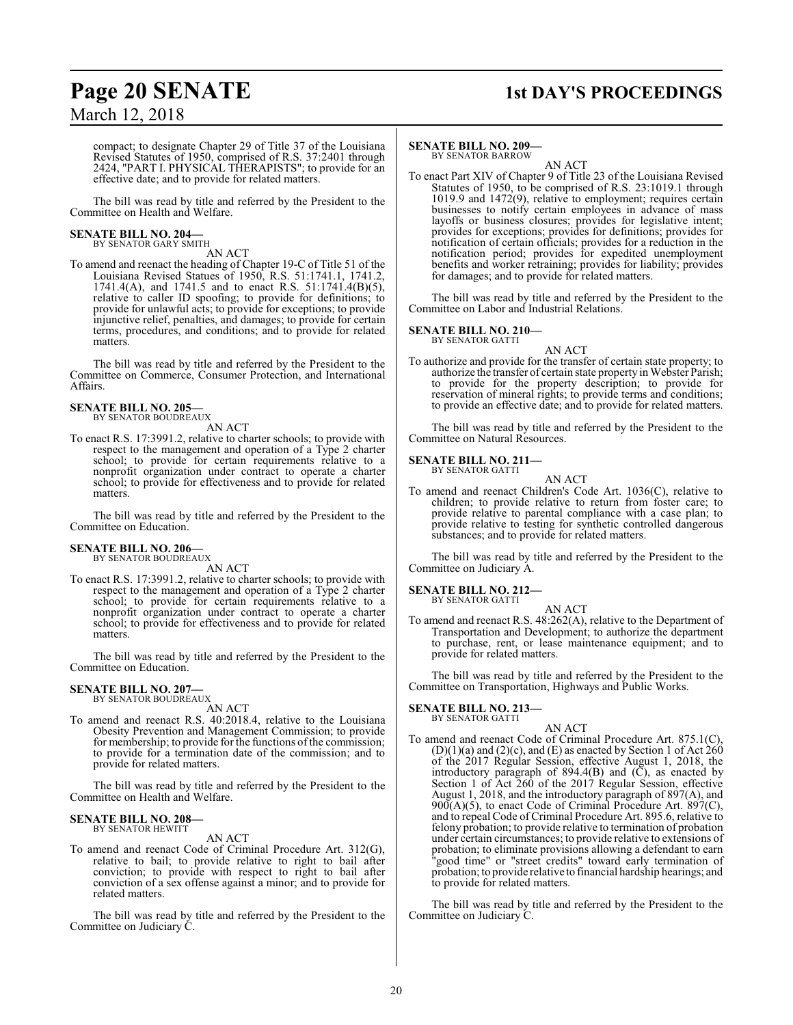## **Page 20 SENATE 1st DAY'S PROCEEDINGS**

compact; to designate Chapter 29 of Title 37 of the Louisiana Revised Statutes of 1950, comprised of R.S. 37:2401 through 2424, "PART I. PHYSICAL THERAPISTS"; to provide for an effective date; and to provide for related matters.

The bill was read by title and referred by the President to the Committee on Health and Welfare.

# **SENATE BILL NO. 204—** BY SENATOR GARY SMITH

AN ACT

To amend and reenact the heading of Chapter 19-C of Title 51 of the Louisiana Revised Statues of 1950, R.S. 51:1741.1, 1741.2, 1741.4(A), and 1741.5 and to enact R.S. 51:1741.4(B)(5), relative to caller ID spoofing; to provide for definitions; to provide for unlawful acts; to provide for exceptions; to provide injunctive relief, penalties, and damages; to provide for certain terms, procedures, and conditions; and to provide for related matters.

The bill was read by title and referred by the President to the Committee on Commerce, Consumer Protection, and International Affairs.

#### **SENATE BILL NO. 205—**

BY SENATOR BOUDREAUX

AN ACT

To enact R.S. 17:3991.2, relative to charter schools; to provide with respect to the management and operation of a Type 2 charter school; to provide for certain requirements relative to a nonprofit organization under contract to operate a charter school; to provide for effectiveness and to provide for related matters.

The bill was read by title and referred by the President to the Committee on Education.

#### **SENATE BILL NO. 206—** BY SENATOR BOUDREAUX

AN ACT

To enact R.S. 17:3991.2, relative to charter schools; to provide with respect to the management and operation of a Type 2 charter school; to provide for certain requirements relative to a nonprofit organization under contract to operate a charter school; to provide for effectiveness and to provide for related matters.

The bill was read by title and referred by the President to the Committee on Education.

#### **SENATE BILL NO. 207—** BY SENATOR BOUDREAUX

AN ACT

To amend and reenact R.S. 40:2018.4, relative to the Louisiana Obesity Prevention and Management Commission; to provide for membership; to provide for the functions of the commission; to provide for a termination date of the commission; and to provide for related matters.

The bill was read by title and referred by the President to the Committee on Health and Welfare.

#### **SENATE BILL NO. 208—** BY SENATOR HEWITT

AN ACT

To amend and reenact Code of Criminal Procedure Art. 312(G), relative to bail; to provide relative to right to bail after conviction; to provide with respect to right to bail after conviction of a sex offense against a minor; and to provide for related matters.

The bill was read by title and referred by the President to the Committee on Judiciary C.

#### **SENATE BILL NO. 209—**

BY SENATOR BARROW AN ACT

To enact Part XIV of Chapter 9 of Title 23 of the Louisiana Revised Statutes of 1950, to be comprised of R.S. 23:1019.1 through 1019.9 and 1472(9), relative to employment; requires certain businesses to notify certain employees in advance of mass layoffs or business closures; provides for legislative intent; provides for exceptions; provides for definitions; provides for notification of certain officials; provides for a reduction in the notification period; provides for expedited unemployment benefits and worker retraining; provides for liability; provides for damages; and to provide for related matters.

The bill was read by title and referred by the President to the Committee on Labor and Industrial Relations.

#### **SENATE BILL NO. 210—** BY SENATOR GATTI

AN ACT

To authorize and provide for the transfer of certain state property; to authorize the transfer of certain state property in Webster Parish; to provide for the property description; to provide for reservation of mineral rights; to provide terms and conditions; to provide an effective date; and to provide for related matters.

The bill was read by title and referred by the President to the Committee on Natural Resources.

#### **SENATE BILL NO. 211—** BY SENATOR GATTI

AN ACT

To amend and reenact Children's Code Art. 1036(C), relative to children; to provide relative to return from foster care; to provide relative to parental compliance with a case plan; to provide relative to testing for synthetic controlled dangerous substances; and to provide for related matters.

The bill was read by title and referred by the President to the Committee on Judiciary A.

#### **SENATE BILL NO. 212—** BY SENATOR GATTI

AN ACT To amend and reenact R.S. 48:262(A), relative to the Department of Transportation and Development; to authorize the department to purchase, rent, or lease maintenance equipment; and to provide for related matters.

The bill was read by title and referred by the President to the Committee on Transportation, Highways and Public Works.

**SENATE BILL NO. 213—** BY SENATOR GATTI

#### AN ACT

To amend and reenact Code of Criminal Procedure Art. 875.1(C),  $(D)(1)(a)$  and  $(2)(c)$ , and  $(E)$  as enacted by Section 1 of Act 260 of the 2017 Regular Session, effective August 1, 2018, the introductory paragraph of  $894.4(B)$  and  $(\overline{C})$ , as enacted by Section 1 of Act 260 of the 2017 Regular Session, effective August 1, 2018, and the introductory paragraph of 897(A), and  $900(A)(5)$ , to enact Code of Criminal Procedure Art.  $897(C)$ , and to repeal Code of Criminal Procedure Art. 895.6, relative to felony probation; to provide relative to termination of probation under certain circumstances; to provide relative to extensions of probation; to eliminate provisions allowing a defendant to earn "good time" or "street credits" toward early termination of probation; to provide relative to financial hardship hearings; and to provide for related matters.

The bill was read by title and referred by the President to the Committee on Judiciary C.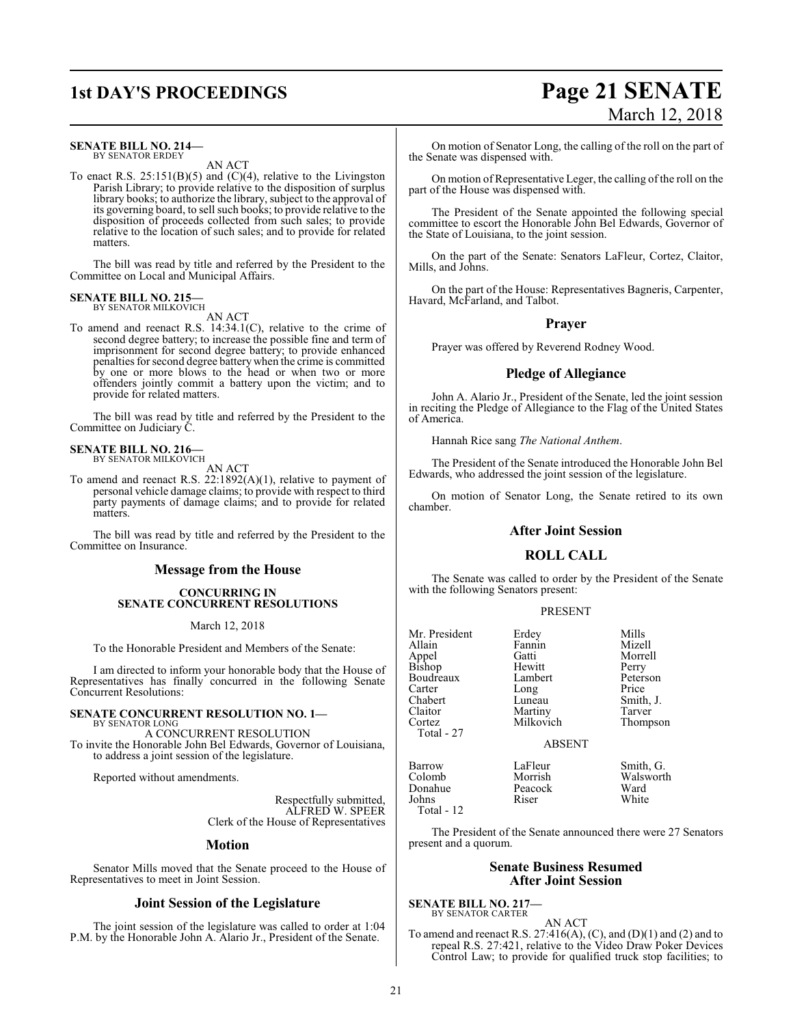### **1st DAY'S PROCEEDINGS Page 21 SENATE**

#### **SENATE BILL NO. 214—** BY SENATOR ERDEY

AN ACT

To enact R.S.  $25:151(B)(5)$  and  $(C)(4)$ , relative to the Livingston Parish Library; to provide relative to the disposition of surplus library books; to authorize the library, subject to the approval of its governing board, to sell such books; to provide relative to the disposition of proceeds collected from such sales; to provide relative to the location of such sales; and to provide for related matters.

The bill was read by title and referred by the President to the Committee on Local and Municipal Affairs.

#### **SENATE BILL NO. 215—** BY SENATOR MILKOVICH

AN ACT

To amend and reenact R.S. 14:34.1(C), relative to the crime of second degree battery; to increase the possible fine and term of imprisonment for second degree battery; to provide enhanced penalties for second degree battery when the crime is committed by one or more blows to the head or when two or more offenders jointly commit a battery upon the victim; and to provide for related matters.

The bill was read by title and referred by the President to the Committee on Judiciary C.

### **SENATE BILL NO. 216—**<br>BY SENATOR MILKOVICH

AN ACT

To amend and reenact R.S. 22:1892(A)(1), relative to payment of personal vehicle damage claims; to provide with respect to third party payments of damage claims; and to provide for related matters.

The bill was read by title and referred by the President to the Committee on Insurance.

### **Message from the House**

#### **CONCURRING IN SENATE CONCURRENT RESOLUTIONS**

March 12, 2018

To the Honorable President and Members of the Senate:

I am directed to inform your honorable body that the House of Representatives has finally concurred in the following Senate Concurrent Resolutions:

#### **SENATE CONCURRENT RESOLUTION NO. 1—** BY SENATOR LONG

A CONCURRENT RESOLUTION To invite the Honorable John Bel Edwards, Governor of Louisiana, to address a joint session of the legislature.

Reported without amendments.

Respectfully submitted, ALFRED W. SPEER Clerk of the House of Representatives

#### **Motion**

Senator Mills moved that the Senate proceed to the House of Representatives to meet in Joint Session.

#### **Joint Session of the Legislature**

The joint session of the legislature was called to order at 1:04 P.M. by the Honorable John A. Alario Jr., President of the Senate.

# March 12, 2018

On motion of Senator Long, the calling of the roll on the part of the Senate was dispensed with.

On motion of Representative Leger, the calling of the roll on the part of the House was dispensed with.

The President of the Senate appointed the following special committee to escort the Honorable John Bel Edwards, Governor of the State of Louisiana, to the joint session.

On the part of the Senate: Senators LaFleur, Cortez, Claitor, Mills, and Johns.

On the part of the House: Representatives Bagneris, Carpenter, Havard, McFarland, and Talbot.

#### **Prayer**

Prayer was offered by Reverend Rodney Wood.

#### **Pledge of Allegiance**

John A. Alario Jr., President of the Senate, led the joint session in reciting the Pledge of Allegiance to the Flag of the United States of America.

Hannah Rice sang *The National Anthem*.

The President of the Senate introduced the Honorable John Bel Edwards, who addressed the joint session of the legislature.

On motion of Senator Long, the Senate retired to its own chamber.

### **After Joint Session**

### **ROLL CALL**

The Senate was called to order by the President of the Senate with the following Senators present:

#### PRESENT

| Mr. President   | Erdey         | Mills     |
|-----------------|---------------|-----------|
| Allain          | Fannin        | Mizell    |
|                 | Gatti         | Morrell   |
| Appel<br>Bishop | Hewitt        | Perry     |
| Boudreaux       | Lambert       | Peterson  |
| Carter          | Long          | Price     |
| Chabert         | Luneau        | Smith, J. |
| Claitor         | Martiny       | Tarver    |
| Cortez          | Milkovich     | Thompson  |
| Total - 27      |               |           |
|                 | <b>ABSENT</b> |           |
|                 |               |           |

Barrow LaFleur Smith, G.<br>Colomb Morrish Walswort Donahue Peacock Ward Johns Riser White Total - 12

Morrish Walsworth<br>Peacock Ward

The President of the Senate announced there were 27 Senators present and a quorum.

#### **Senate Business Resumed After Joint Session**

**SENATE BILL NO. 217—** BY SENATOR CARTER

AN ACT

To amend and reenact R.S.  $27:416(A)$ , (C), and (D)(1) and (2) and to repeal R.S. 27:421, relative to the Video Draw Poker Devices Control Law; to provide for qualified truck stop facilities; to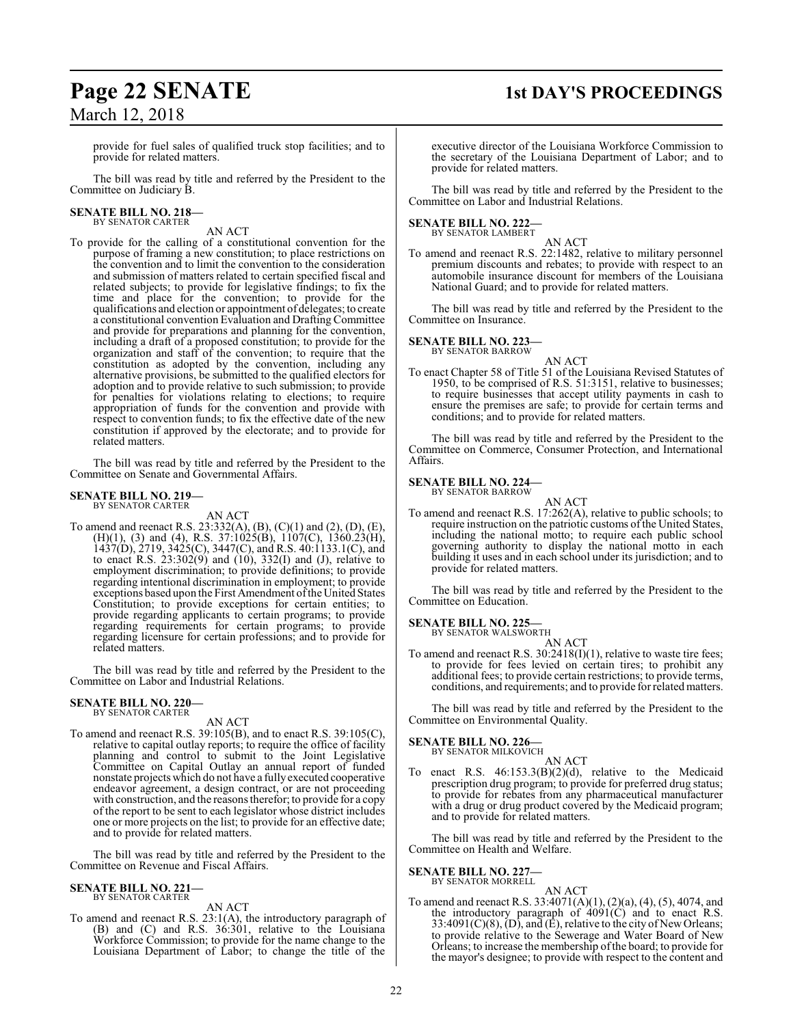## **Page 22 SENATE 1st DAY'S PROCEEDINGS**

provide for fuel sales of qualified truck stop facilities; and to provide for related matters.

The bill was read by title and referred by the President to the Committee on Judiciary B.

# **SENATE BILL NO. 218—** BY SENATOR CARTER

AN ACT

To provide for the calling of a constitutional convention for the purpose of framing a new constitution; to place restrictions on the convention and to limit the convention to the consideration and submission of matters related to certain specified fiscal and related subjects; to provide for legislative findings; to fix the time and place for the convention; to provide for the qualifications and election or appointment of delegates; to create a constitutional convention Evaluation and Drafting Committee and provide for preparations and planning for the convention, including a draft of a proposed constitution; to provide for the organization and staff of the convention; to require that the constitution as adopted by the convention, including any alternative provisions, be submitted to the qualified electors for adoption and to provide relative to such submission; to provide for penalties for violations relating to elections; to require appropriation of funds for the convention and provide with respect to convention funds; to fix the effective date of the new constitution if approved by the electorate; and to provide for related matters.

The bill was read by title and referred by the President to the Committee on Senate and Governmental Affairs.

#### **SENATE BILL NO. 219—** BY SENATOR CARTER

AN ACT

To amend and reenact R.S. 23:332(A), (B), (C)(1) and (2), (D), (E), (H)(1), (3) and (4), R.S. 37:1025(B), 1107(C), 1360.23(H), 1437(D), 2719, 3425(C), 3447(C), and R.S. 40:1133.1(C), and to enact R.S.  $23:302(9)$  and  $(10)$ ,  $332(1)$  and  $(J)$ , relative to employment discrimination; to provide definitions; to provide regarding intentional discrimination in employment; to provide exceptions based upon the First Amendment ofthe United States Constitution; to provide exceptions for certain entities; to provide regarding applicants to certain programs; to provide regarding requirements for certain programs; to provide regarding licensure for certain professions; and to provide for related matters.

The bill was read by title and referred by the President to the Committee on Labor and Industrial Relations.

#### **SENATE BILL NO. 220—** BY SENATOR CARTER

AN ACT

To amend and reenact R.S. 39:105(B), and to enact R.S. 39:105(C), relative to capital outlay reports; to require the office of facility planning and control to submit to the Joint Legislative Committee on Capital Outlay an annual report of funded nonstate projects which do not have a fullyexecuted cooperative endeavor agreement, a design contract, or are not proceeding with construction, and the reasons therefor; to provide for a copy of the report to be sent to each legislator whose district includes one or more projects on the list; to provide for an effective date; and to provide for related matters.

The bill was read by title and referred by the President to the Committee on Revenue and Fiscal Affairs.

#### **SENATE BILL NO. 221—** BY SENATOR CARTER

AN ACT

To amend and reenact R.S. 23:1(A), the introductory paragraph of (B) and (C) and R.S. 36:301, relative to the Louisiana Workforce Commission; to provide for the name change to the Louisiana Department of Labor; to change the title of the

executive director of the Louisiana Workforce Commission to the secretary of the Louisiana Department of Labor; and to provide for related matters.

The bill was read by title and referred by the President to the Committee on Labor and Industrial Relations.

#### **SENATE BILL NO. 222—** BY SENATOR LAMBERT

AN ACT To amend and reenact R.S. 22:1482, relative to military personnel premium discounts and rebates; to provide with respect to an automobile insurance discount for members of the Louisiana National Guard; and to provide for related matters.

The bill was read by title and referred by the President to the Committee on Insurance.

#### **SENATE BILL NO. 223—** BY SENATOR BARROW

AN ACT

To enact Chapter 58 of Title 51 of the Louisiana Revised Statutes of 1950, to be comprised of R.S. 51:3151, relative to businesses; to require businesses that accept utility payments in cash to ensure the premises are safe; to provide for certain terms and conditions; and to provide for related matters.

The bill was read by title and referred by the President to the Committee on Commerce, Consumer Protection, and International Affairs.

### **SENATE BILL NO. 224—** BY SENATOR BARROW

AN ACT To amend and reenact R.S. 17:262(A), relative to public schools; to require instruction on the patriotic customs of the United States, including the national motto; to require each public school governing authority to display the national motto in each building it uses and in each school under its jurisdiction; and to provide for related matters.

The bill was read by title and referred by the President to the Committee on Education.

**SENATE BILL NO. 225—**<br>BY SENATOR WALSWORTH

AN ACT

To amend and reenact R.S.  $30:2418(I)(1)$ , relative to waste tire fees; to provide for fees levied on certain tires; to prohibit any additional fees; to provide certain restrictions; to provide terms, conditions, and requirements; and to provide for related matters.

The bill was read by title and referred by the President to the Committee on Environmental Quality.

#### **SENATE BILL NO. 226—** BY SENATOR MILKOVICH

AN ACT

To enact R.S. 46:153.3(B)(2)(d), relative to the Medicaid prescription drug program; to provide for preferred drug status; to provide for rebates from any pharmaceutical manufacturer with a drug or drug product covered by the Medicaid program; and to provide for related matters.

The bill was read by title and referred by the President to the Committee on Health and Welfare.

#### **SENATE BILL NO. 227**

BY SENATOR MORRELL

AN ACT To amend and reenact R.S. 33:4071(A)(1), (2)(a), (4), (5), 4074, and the introductory paragraph of  $4091(\text{C})$  and to enact R.S. 33:4091(C)(8), (D), and (E), relative to the city of New Orleans; to provide relative to the Sewerage and Water Board of New Orleans; to increase the membership ofthe board; to provide for the mayor's designee; to provide with respect to the content and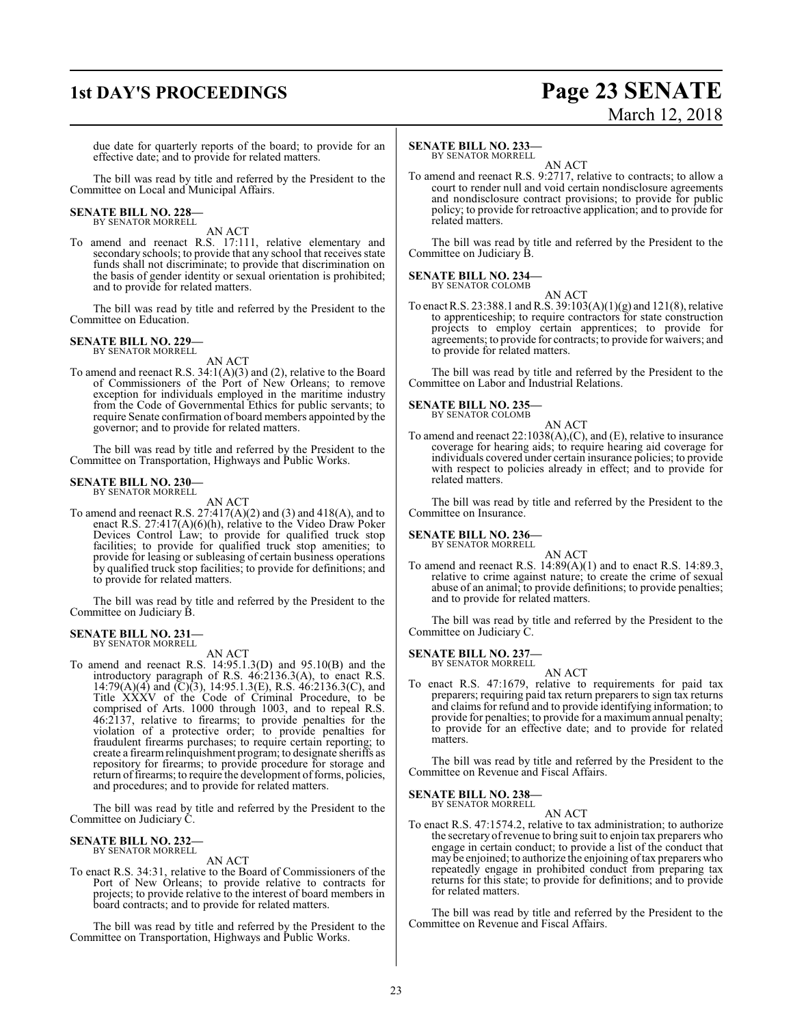### **1st DAY'S PROCEEDINGS Page 23 SENATE**

# March 12, 2018

due date for quarterly reports of the board; to provide for an effective date; and to provide for related matters.

The bill was read by title and referred by the President to the Committee on Local and Municipal Affairs.

## **SENATE BILL NO. 228—** BY SENATOR MORRELL

AN ACT

To amend and reenact R.S. 17:111, relative elementary and secondary schools; to provide that any school that receives state funds shall not discriminate; to provide that discrimination on the basis of gender identity or sexual orientation is prohibited; and to provide for related matters.

The bill was read by title and referred by the President to the Committee on Education.

#### **SENATE BILL NO. 229** BY SENATOR MORRELL

AN ACT

To amend and reenact R.S. 34:1(A)(3) and (2), relative to the Board of Commissioners of the Port of New Orleans; to remove exception for individuals employed in the maritime industry from the Code of Governmental Ethics for public servants; to require Senate confirmation of board members appointed by the governor; and to provide for related matters.

The bill was read by title and referred by the President to the Committee on Transportation, Highways and Public Works.

### **SENATE BILL NO. 230—** BY SENATOR MORRELL

AN ACT

To amend and reenact R.S. 27:417(A)(2) and (3) and 418(A), and to enact R.S. 27:417(A)(6)(h), relative to the Video Draw Poker Devices Control Law; to provide for qualified truck stop facilities; to provide for qualified truck stop amenities; to provide for leasing or subleasing of certain business operations by qualified truck stop facilities; to provide for definitions; and to provide for related matters.

The bill was read by title and referred by the President to the Committee on Judiciary B.

#### **SENATE BILL NO. 231—** BY SENATOR MORRELL

AN ACT

To amend and reenact R.S. 14:95.1.3(D) and 95.10(B) and the introductory paragraph of R.S. 46:2136.3(A), to enact R.S. 14:79(A)(4) and (C)(3), 14:95.1.3(E), R.S. 46:2136.3(C), and Title XXXV of the Code of Criminal Procedure, to be comprised of Arts. 1000 through 1003, and to repeal R.S. 46:2137, relative to firearms; to provide penalties for the violation of a protective order; to provide penalties for fraudulent firearms purchases; to require certain reporting; to create a firearmrelinquishment program; to designate sheriffs as repository for firearms; to provide procedure for storage and return of firearms; to require the development of forms, policies, and procedures; and to provide for related matters.

The bill was read by title and referred by the President to the Committee on Judiciary C.

### **SENATE BILL NO. 232—** BY SENATOR MORRELL

AN ACT

To enact R.S. 34:31, relative to the Board of Commissioners of the Port of New Orleans; to provide relative to contracts for projects; to provide relative to the interest of board members in board contracts; and to provide for related matters.

The bill was read by title and referred by the President to the Committee on Transportation, Highways and Public Works.

#### **SENATE BILL NO. 233—**

BY SENATOR MORRELL AN ACT

To amend and reenact R.S. 9:2717, relative to contracts; to allow a court to render null and void certain nondisclosure agreements and nondisclosure contract provisions; to provide for public policy; to provide for retroactive application; and to provide for related matters.

The bill was read by title and referred by the President to the Committee on Judiciary B.

#### **SENATE BILL NO. 234—** BY SENATOR COLOMB

AN ACT

To enact R.S. 23:388.1 andR.S. 39:103(A)(1)(g) and 121(8), relative to apprenticeship; to require contractors for state construction projects to employ certain apprentices; to provide for agreements; to provide for contracts; to provide for waivers; and to provide for related matters.

The bill was read by title and referred by the President to the Committee on Labor and Industrial Relations.

#### **SENATE BILL NO. 235—**

BY SENATOR COLOMB AN ACT

To amend and reenact 22:1038(A),(C), and (E), relative to insurance coverage for hearing aids; to require hearing aid coverage for individuals covered under certain insurance policies; to provide with respect to policies already in effect; and to provide for related matters.

The bill was read by title and referred by the President to the Committee on Insurance.

**SENATE BILL NO. 236—** BY SENATOR MORRELL

AN ACT

To amend and reenact R.S. 14:89(A)(1) and to enact R.S. 14:89.3, relative to crime against nature; to create the crime of sexual abuse of an animal; to provide definitions; to provide penalties; and to provide for related matters.

The bill was read by title and referred by the President to the Committee on Judiciary C.

#### **SENATE BILL NO. 237—**

BY SENATOR MORRELL

AN ACT To enact R.S. 47:1679, relative to requirements for paid tax preparers; requiring paid tax return preparers to sign tax returns and claims for refund and to provide identifying information; to provide for penalties; to provide for a maximum annual penalty; to provide for an effective date; and to provide for related matters.

The bill was read by title and referred by the President to the Committee on Revenue and Fiscal Affairs.

**SENATE BILL NO. 238—**

BY SENATOR MORRELL

AN ACT

To enact R.S. 47:1574.2, relative to tax administration; to authorize the secretary ofrevenue to bring suit to enjoin tax preparers who engage in certain conduct; to provide a list of the conduct that may be enjoined; to authorize the enjoining oftax preparers who repeatedly engage in prohibited conduct from preparing tax returns for this state; to provide for definitions; and to provide for related matters.

The bill was read by title and referred by the President to the Committee on Revenue and Fiscal Affairs.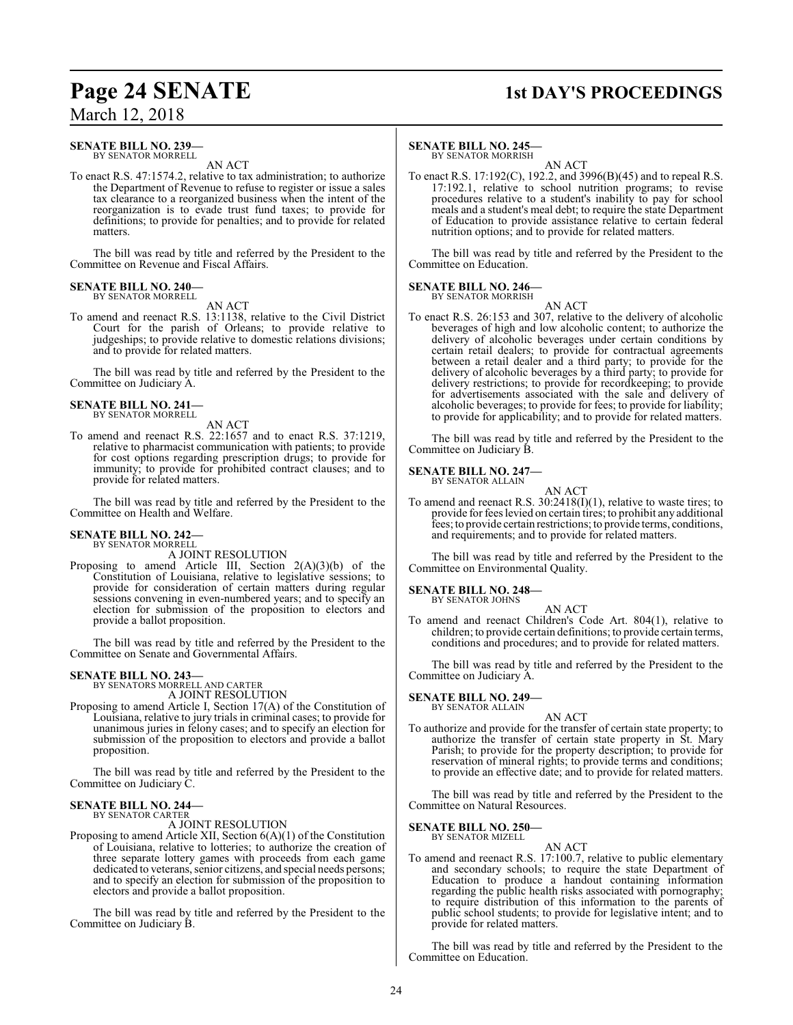### **Page 24 SENATE 1st DAY'S PROCEEDINGS**

March 12, 2018

#### **SENATE BILL NO. 239—** BY SENATOR MORRELL

AN ACT

To enact R.S. 47:1574.2, relative to tax administration; to authorize the Department of Revenue to refuse to register or issue a sales tax clearance to a reorganized business when the intent of the reorganization is to evade trust fund taxes; to provide for definitions; to provide for penalties; and to provide for related matters.

The bill was read by title and referred by the President to the Committee on Revenue and Fiscal Affairs.

#### **SENATE BILL NO. 240—** BY SENATOR MORRELL

### AN ACT

To amend and reenact R.S. 13:1138, relative to the Civil District Court for the parish of Orleans; to provide relative to judgeships; to provide relative to domestic relations divisions; and to provide for related matters.

The bill was read by title and referred by the President to the Committee on Judiciary A.

#### **SENATE BILL NO. 241—** BY SENATOR MORRELL

AN ACT

To amend and reenact R.S. 22:1657 and to enact R.S. 37:1219, relative to pharmacist communication with patients; to provide for cost options regarding prescription drugs; to provide for immunity; to provide for prohibited contract clauses; and to provide for related matters.

The bill was read by title and referred by the President to the Committee on Health and Welfare.

### **SENATE BILL NO. 242—** BY SENATOR MORRELL

A JOINT RESOLUTION

Proposing to amend Article III, Section 2(A)(3)(b) of the Constitution of Louisiana, relative to legislative sessions; to provide for consideration of certain matters during regular sessions convening in even-numbered years; and to specify an election for submission of the proposition to electors and provide a ballot proposition.

The bill was read by title and referred by the President to the Committee on Senate and Governmental Affairs.

### **SENATE BILL NO. 243—** BY SENATORS MORRELL AND CARTER

A JOINT RESOLUTION

Proposing to amend Article I, Section 17(A) of the Constitution of Louisiana, relative to jury trials in criminal cases; to provide for unanimous juries in felony cases; and to specify an election for submission of the proposition to electors and provide a ballot proposition.

The bill was read by title and referred by the President to the Committee on Judiciary C.

#### **SENATE BILL NO. 244—** BY SENATOR CARTER

A JOINT RESOLUTION

Proposing to amend Article XII, Section 6(A)(1) of the Constitution of Louisiana, relative to lotteries; to authorize the creation of three separate lottery games with proceeds from each game dedicated to veterans, senior citizens, and special needs persons; and to specify an election for submission of the proposition to electors and provide a ballot proposition.

The bill was read by title and referred by the President to the Committee on Judiciary B.

#### **SENATE BILL NO. 245—**

BY SENATOR MORRISH

AN ACT To enact R.S. 17:192(C), 192.2, and 3996(B)(45) and to repeal R.S. 17:192.1, relative to school nutrition programs; to revise procedures relative to a student's inability to pay for school meals and a student's meal debt; to require the state Department of Education to provide assistance relative to certain federal nutrition options; and to provide for related matters.

The bill was read by title and referred by the President to the Committee on Education.

#### **SENATE BILL NO. 246—** BY SENATOR MORRISH

AN ACT

To enact R.S. 26:153 and 307, relative to the delivery of alcoholic beverages of high and low alcoholic content; to authorize the delivery of alcoholic beverages under certain conditions by certain retail dealers; to provide for contractual agreements between a retail dealer and a third party; to provide for the delivery of alcoholic beverages by a third party; to provide for delivery restrictions; to provide for recordkeeping; to provide for advertisements associated with the sale and delivery of alcoholic beverages; to provide for fees; to provide for liability; to provide for applicability; and to provide for related matters.

The bill was read by title and referred by the President to the Committee on Judiciary B.

#### **SENATE BILL NO. 247—** BY SENATOR ALLAIN

AN ACT

To amend and reenact R.S. 30:2418(I)(1), relative to waste tires; to provide for fees levied on certain tires; to prohibit any additional fees; to provide certain restrictions; to provide terms, conditions, and requirements; and to provide for related matters.

The bill was read by title and referred by the President to the Committee on Environmental Quality.

### **SENATE BILL NO. 248—**

BY SENATOR JOHNS

AN ACT To amend and reenact Children's Code Art. 804(1), relative to children; to provide certain definitions; to provide certain terms, conditions and procedures; and to provide for related matters.

The bill was read by title and referred by the President to the Committee on Judiciary A.

### **SENATE BILL NO. 249—** BY SENATOR ALLAIN

AN ACT To authorize and provide for the transfer of certain state property; to authorize the transfer of certain state property in St. Mary Parish; to provide for the property description; to provide for reservation of mineral rights; to provide terms and conditions; to provide an effective date; and to provide for related matters.

The bill was read by title and referred by the President to the Committee on Natural Resources.

#### **SENATE BILL NO. 250—** BY SENATOR MIZELL

AN ACT To amend and reenact R.S. 17:100.7, relative to public elementary and secondary schools; to require the state Department of Education to produce a handout containing information regarding the public health risks associated with pornography; to require distribution of this information to the parents of public school students; to provide for legislative intent; and to provide for related matters.

The bill was read by title and referred by the President to the Committee on Education.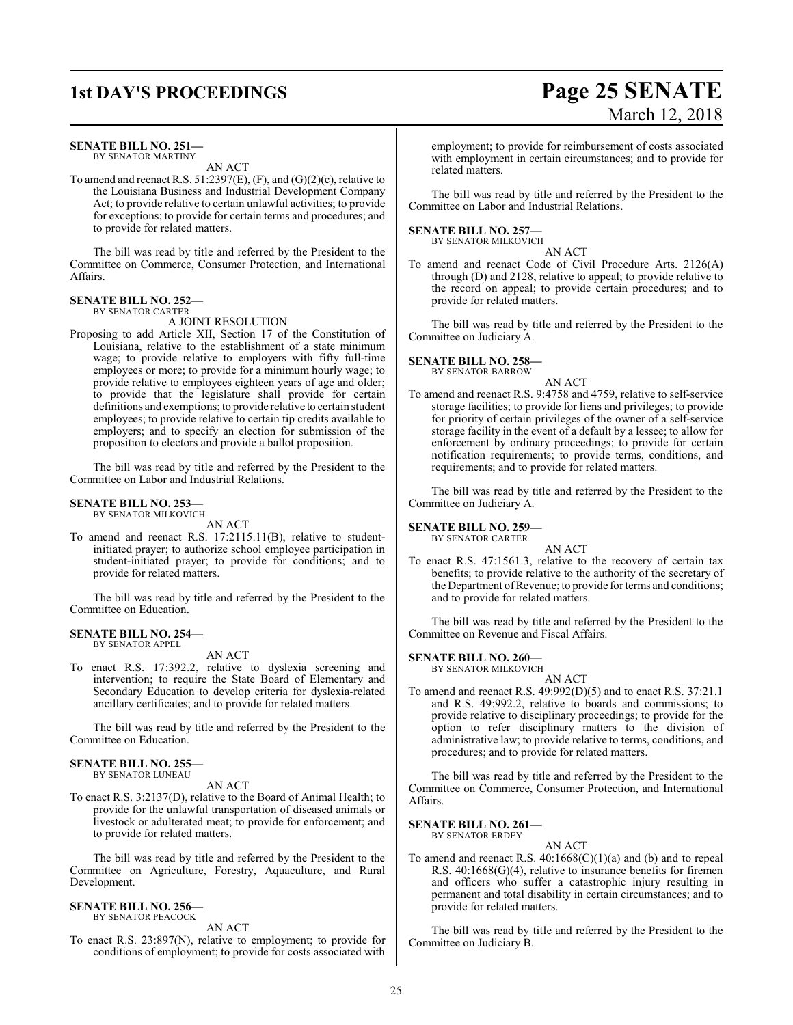### **SENATE BILL NO. 251—**

BY SENATOR MARTINY AN ACT

To amend and reenact R.S.  $51:2397(E)$ ,  $(F)$ , and  $(G)(2)(c)$ , relative to the Louisiana Business and Industrial Development Company Act; to provide relative to certain unlawful activities; to provide for exceptions; to provide for certain terms and procedures; and to provide for related matters.

The bill was read by title and referred by the President to the Committee on Commerce, Consumer Protection, and International Affairs.

#### **SENATE BILL NO. 252—** BY SENATOR CARTER

A JOINT RESOLUTION

Proposing to add Article XII, Section 17 of the Constitution of Louisiana, relative to the establishment of a state minimum wage; to provide relative to employers with fifty full-time employees or more; to provide for a minimum hourly wage; to provide relative to employees eighteen years of age and older; to provide that the legislature shall provide for certain definitions and exemptions; to provide relative to certain student employees; to provide relative to certain tip credits available to employers; and to specify an election for submission of the proposition to electors and provide a ballot proposition.

The bill was read by title and referred by the President to the Committee on Labor and Industrial Relations.

#### **SENATE BILL NO. 253—** BY SENATOR MILKOVICH

AN ACT

To amend and reenact R.S. 17:2115.11(B), relative to studentinitiated prayer; to authorize school employee participation in student-initiated prayer; to provide for conditions; and to provide for related matters.

The bill was read by title and referred by the President to the Committee on Education.

#### **SENATE BILL NO. 254—** BY SENATOR APPEL

AN ACT

To enact R.S. 17:392.2, relative to dyslexia screening and intervention; to require the State Board of Elementary and Secondary Education to develop criteria for dyslexia-related ancillary certificates; and to provide for related matters.

The bill was read by title and referred by the President to the Committee on Education.

#### **SENATE BILL NO. 255—**

BY SENATOR LUNEAU

AN ACT To enact R.S. 3:2137(D), relative to the Board of Animal Health; to provide for the unlawful transportation of diseased animals or livestock or adulterated meat; to provide for enforcement; and

to provide for related matters. The bill was read by title and referred by the President to the Committee on Agriculture, Forestry, Aquaculture, and Rural Development.

#### **SENATE BILL NO. 256—** BY SENATOR PEACOCK

AN ACT

To enact R.S. 23:897(N), relative to employment; to provide for conditions of employment; to provide for costs associated with

#### employment; to provide for reimbursement of costs associated with employment in certain circumstances; and to provide for related matters.

The bill was read by title and referred by the President to the Committee on Labor and Industrial Relations.

#### **SENATE BILL NO. 257—**

BY SENATOR MILKOVICH

AN ACT To amend and reenact Code of Civil Procedure Arts. 2126(A) through (D) and 2128, relative to appeal; to provide relative to the record on appeal; to provide certain procedures; and to provide for related matters.

The bill was read by title and referred by the President to the Committee on Judiciary A.

#### **SENATE BILL NO. 258—** BY SENATOR BARROW

AN ACT

To amend and reenact R.S. 9:4758 and 4759, relative to self-service storage facilities; to provide for liens and privileges; to provide for priority of certain privileges of the owner of a self-service storage facility in the event of a default by a lessee; to allow for enforcement by ordinary proceedings; to provide for certain notification requirements; to provide terms, conditions, and requirements; and to provide for related matters.

The bill was read by title and referred by the President to the Committee on Judiciary A.

#### **SENATE BILL NO. 259—**

BY SENATOR CARTER

AN ACT To enact R.S. 47:1561.3, relative to the recovery of certain tax benefits; to provide relative to the authority of the secretary of the Department of Revenue; to provide for terms and conditions; and to provide for related matters.

The bill was read by title and referred by the President to the Committee on Revenue and Fiscal Affairs.

#### **SENATE BILL NO. 260—**

BY SENATOR MILKOVICH

AN ACT To amend and reenact R.S. 49:992(D)(5) and to enact R.S. 37:21.1 and R.S. 49:992.2, relative to boards and commissions; to provide relative to disciplinary proceedings; to provide for the option to refer disciplinary matters to the division of administrative law; to provide relative to terms, conditions, and procedures; and to provide for related matters.

The bill was read by title and referred by the President to the Committee on Commerce, Consumer Protection, and International Affairs.

#### **SENATE BILL NO. 261—**

BY SENATOR ERDEY AN ACT

To amend and reenact R.S. 40:1668(C)(1)(a) and (b) and to repeal R.S. 40:1668(G)(4), relative to insurance benefits for firemen and officers who suffer a catastrophic injury resulting in permanent and total disability in certain circumstances; and to provide for related matters.

The bill was read by title and referred by the President to the Committee on Judiciary B.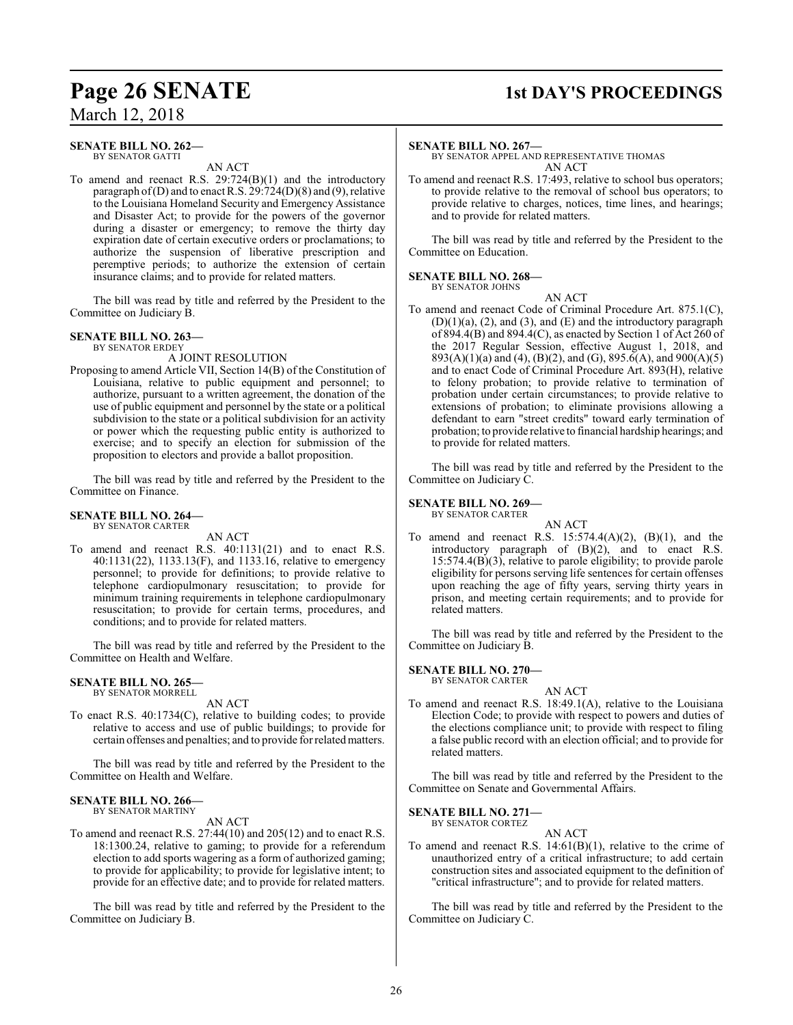### **Page 26 SENATE 1st DAY'S PROCEEDINGS**

### March 12, 2018

#### **SENATE BILL NO. 262—** BY SENATOR GATTI

AN ACT

To amend and reenact R.S. 29:724(B)(1) and the introductory paragraph of (D) and to enact R.S.  $29:724(D)(8)$  and (9), relative to the Louisiana Homeland Security and Emergency Assistance and Disaster Act; to provide for the powers of the governor during a disaster or emergency; to remove the thirty day expiration date of certain executive orders or proclamations; to authorize the suspension of liberative prescription and peremptive periods; to authorize the extension of certain insurance claims; and to provide for related matters.

The bill was read by title and referred by the President to the Committee on Judiciary B.

### **SENATE BILL NO. 263—**

BY SENATOR ERDEY

A JOINT RESOLUTION

Proposing to amend Article VII, Section 14(B) of the Constitution of Louisiana, relative to public equipment and personnel; to authorize, pursuant to a written agreement, the donation of the use of public equipment and personnel by the state or a political subdivision to the state or a political subdivision for an activity or power which the requesting public entity is authorized to exercise; and to specify an election for submission of the proposition to electors and provide a ballot proposition.

The bill was read by title and referred by the President to the Committee on Finance.

#### **SENATE BILL NO. 264—** BY SENATOR CARTER

AN ACT

To amend and reenact R.S. 40:1131(21) and to enact R.S. 40:1131(22), 1133.13(F), and 1133.16, relative to emergency personnel; to provide for definitions; to provide relative to telephone cardiopulmonary resuscitation; to provide for minimum training requirements in telephone cardiopulmonary resuscitation; to provide for certain terms, procedures, and conditions; and to provide for related matters.

The bill was read by title and referred by the President to the Committee on Health and Welfare.

#### **SENATE BILL NO. 265** BY SENATOR MORRELL

AN ACT

To enact R.S. 40:1734(C), relative to building codes; to provide relative to access and use of public buildings; to provide for certain offenses and penalties; and to provide for relatedmatters.

The bill was read by title and referred by the President to the Committee on Health and Welfare.

#### **SENATE BILL NO. 266—**

BY SENATOR MARTINY

AN ACT

To amend and reenact R.S. 27:44(10) and 205(12) and to enact R.S. 18:1300.24, relative to gaming; to provide for a referendum election to add sports wagering as a form of authorized gaming; to provide for applicability; to provide for legislative intent; to provide for an effective date; and to provide for related matters.

The bill was read by title and referred by the President to the Committee on Judiciary B.

#### **SENATE BILL NO. 267—**

BY SENATOR APPEL AND REPRESENTATIVE THOMAS AN ACT

To amend and reenact R.S. 17:493, relative to school bus operators; to provide relative to the removal of school bus operators; to provide relative to charges, notices, time lines, and hearings; and to provide for related matters.

The bill was read by title and referred by the President to the Committee on Education.

#### **SENATE BILL NO. 268—** BY SENATOR JOHNS

AN ACT

To amend and reenact Code of Criminal Procedure Art. 875.1(C),  $(D)(1)(a)$ ,  $(2)$ , and  $(3)$ , and  $(E)$  and the introductory paragraph of 894.4(B) and 894.4(C), as enacted by Section 1 of Act 260 of the 2017 Regular Session, effective August 1, 2018, and 893(A)(1)(a) and (4), (B)(2), and (G), 895.6(A), and 900(A)(5) and to enact Code of Criminal Procedure Art. 893(H), relative to felony probation; to provide relative to termination of probation under certain circumstances; to provide relative to extensions of probation; to eliminate provisions allowing a defendant to earn "street credits" toward early termination of probation; to provide relative to financial hardship hearings; and to provide for related matters.

The bill was read by title and referred by the President to the Committee on Judiciary C.

#### **SENATE BILL NO. 269—**

BY SENATOR CARTER

AN ACT To amend and reenact R.S.  $15:574.4(A)(2)$ ,  $(B)(1)$ , and the introductory paragraph of (B)(2), and to enact R.S. 15:574.4(B)(3), relative to parole eligibility; to provide parole eligibility for persons serving life sentences for certain offenses upon reaching the age of fifty years, serving thirty years in prison, and meeting certain requirements; and to provide for related matters.

The bill was read by title and referred by the President to the Committee on Judiciary B.

**SENATE BILL NO. 270—** BY SENATOR CARTER

- AN ACT
- To amend and reenact R.S. 18:49.1(A), relative to the Louisiana Election Code; to provide with respect to powers and duties of the elections compliance unit; to provide with respect to filing a false public record with an election official; and to provide for related matters.

The bill was read by title and referred by the President to the Committee on Senate and Governmental Affairs.

**SENATE BILL NO. 271—** BY SENATOR CORTEZ

AN ACT

To amend and reenact R.S. 14:61(B)(1), relative to the crime of unauthorized entry of a critical infrastructure; to add certain construction sites and associated equipment to the definition of "critical infrastructure"; and to provide for related matters.

The bill was read by title and referred by the President to the Committee on Judiciary C.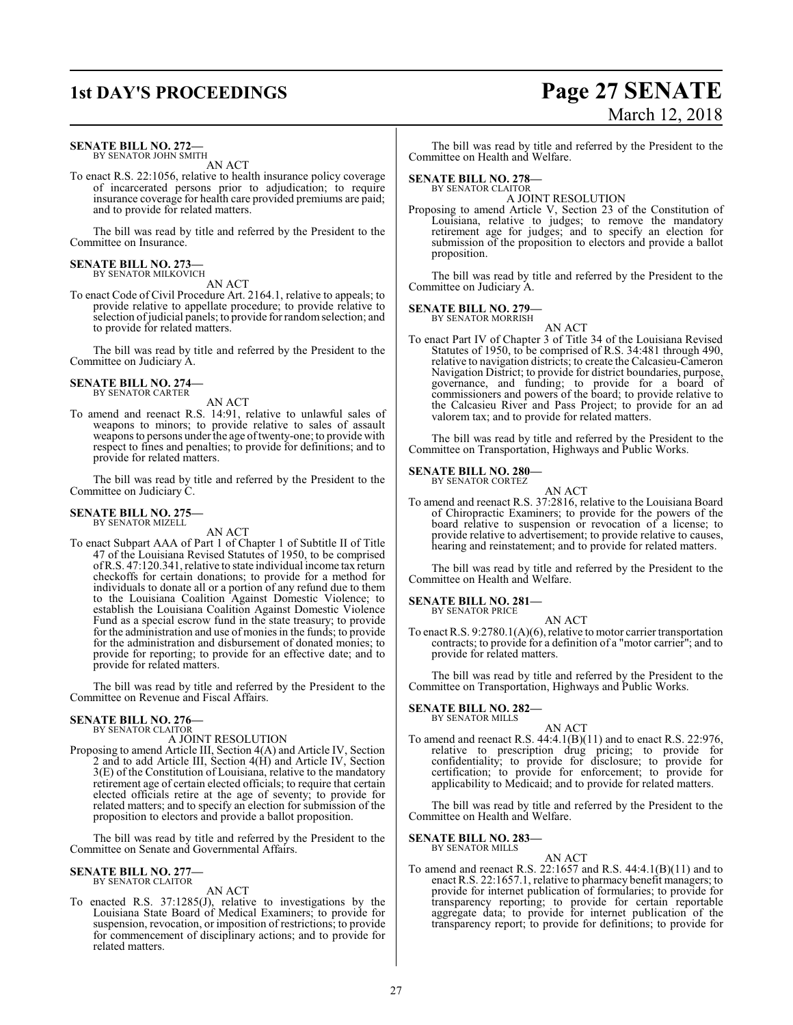### **1st DAY'S PROCEEDINGS Page 27 SENATE**

#### **SENATE BILL NO. 272—**

BY SENATOR JOHN SMITH AN ACT

To enact R.S. 22:1056, relative to health insurance policy coverage of incarcerated persons prior to adjudication; to require insurance coverage for health care provided premiums are paid; and to provide for related matters.

The bill was read by title and referred by the President to the Committee on Insurance.

### **SENATE BILL NO. 273—**<br>BY SENATOR MILKOVICH

AN ACT

To enact Code of Civil Procedure Art. 2164.1, relative to appeals; to provide relative to appellate procedure; to provide relative to selection of judicial panels; to provide for random selection; and to provide for related matters.

The bill was read by title and referred by the President to the Committee on Judiciary A.

#### **SENATE BILL NO. 274—** BY SENATOR CARTER

AN ACT

To amend and reenact R.S. 14:91, relative to unlawful sales of weapons to minors; to provide relative to sales of assault weapons to persons under the age oftwenty-one; to provide with respect to fines and penalties; to provide for definitions; and to provide for related matters.

The bill was read by title and referred by the President to the Committee on Judiciary C.

#### **SENATE BILL NO. 275—** BY SENATOR MIZELL

AN ACT

To enact Subpart AAA of Part 1 of Chapter 1 of Subtitle II of Title 47 of the Louisiana Revised Statutes of 1950, to be comprised ofR.S. 47:120.341, relative to state individual income tax return checkoffs for certain donations; to provide for a method for individuals to donate all or a portion of any refund due to them to the Louisiana Coalition Against Domestic Violence; to establish the Louisiana Coalition Against Domestic Violence Fund as a special escrow fund in the state treasury; to provide for the administration and use of monies in the funds; to provide for the administration and disbursement of donated monies; to provide for reporting; to provide for an effective date; and to provide for related matters.

The bill was read by title and referred by the President to the Committee on Revenue and Fiscal Affairs.

#### **SENATE BILL NO. 276—**

BY SENATOR CLAITOR

A JOINT RESOLUTION

Proposing to amend Article III, Section 4(A) and Article IV, Section 2 and to add Article III, Section 4(H) and Article IV, Section 3(E) of the Constitution of Louisiana, relative to the mandatory retirement age of certain elected officials; to require that certain elected officials retire at the age of seventy; to provide for related matters; and to specify an election for submission of the proposition to electors and provide a ballot proposition.

The bill was read by title and referred by the President to the Committee on Senate and Governmental Affairs.

#### **SENATE BILL NO. 277—** BY SENATOR CLAITOR

AN ACT

To enacted R.S. 37:1285(J), relative to investigations by the Louisiana State Board of Medical Examiners; to provide for suspension, revocation, or imposition of restrictions; to provide for commencement of disciplinary actions; and to provide for related matters.

# March 12, 2018

The bill was read by title and referred by the President to the Committee on Health and Welfare.

### **SENATE BILL NO. 278—**

BY SENATOR CLAITOR A JOINT RESOLUTION

Proposing to amend Article V, Section 23 of the Constitution of Louisiana, relative to judges; to remove the mandatory retirement age for judges; and to specify an election for submission of the proposition to electors and provide a ballot proposition.

The bill was read by title and referred by the President to the Committee on Judiciary A.

### **SENATE BILL NO. 279—** BY SENATOR MORRISH

AN ACT To enact Part IV of Chapter 3 of Title 34 of the Louisiana Revised Statutes of 1950, to be comprised of R.S. 34:481 through 490, relative to navigation districts; to create the Calcasieu-Cameron Navigation District; to provide for district boundaries, purpose, governance, and funding; to provide for a board of commissioners and powers of the board; to provide relative to the Calcasieu River and Pass Project; to provide for an ad valorem tax; and to provide for related matters.

The bill was read by title and referred by the President to the Committee on Transportation, Highways and Public Works.

#### **SENATE BILL NO. 280—** BY SENATOR CORTEZ

AN ACT

To amend and reenact R.S. 37:2816, relative to the Louisiana Board of Chiropractic Examiners; to provide for the powers of the board relative to suspension or revocation of a license; to provide relative to advertisement; to provide relative to causes, hearing and reinstatement; and to provide for related matters.

The bill was read by title and referred by the President to the Committee on Health and Welfare.

#### **SENATE BILL NO. 281—** BY SENATOR PRICE

AN ACT

To enact R.S. 9:2780.1(A)(6), relative to motor carrier transportation contracts; to provide for a definition of a "motor carrier"; and to provide for related matters.

The bill was read by title and referred by the President to the Committee on Transportation, Highways and Public Works.

#### **SENATE BILL NO. 282—** BY SENATOR MILLS

AN ACT

To amend and reenact R.S. 44:4.1(B)(11) and to enact R.S. 22:976, relative to prescription drug pricing; to provide for confidentiality; to provide for disclosure; to provide for certification; to provide for enforcement; to provide for applicability to Medicaid; and to provide for related matters.

The bill was read by title and referred by the President to the Committee on Health and Welfare.

#### **SENATE BILL NO. 283—** BY SENATOR MILLS

#### AN ACT

To amend and reenact R.S. 22:1657 and R.S. 44:4.1(B)(11) and to enact R.S. 22:1657.1, relative to pharmacy benefit managers; to provide for internet publication of formularies; to provide for transparency reporting; to provide for certain reportable aggregate data; to provide for internet publication of the transparency report; to provide for definitions; to provide for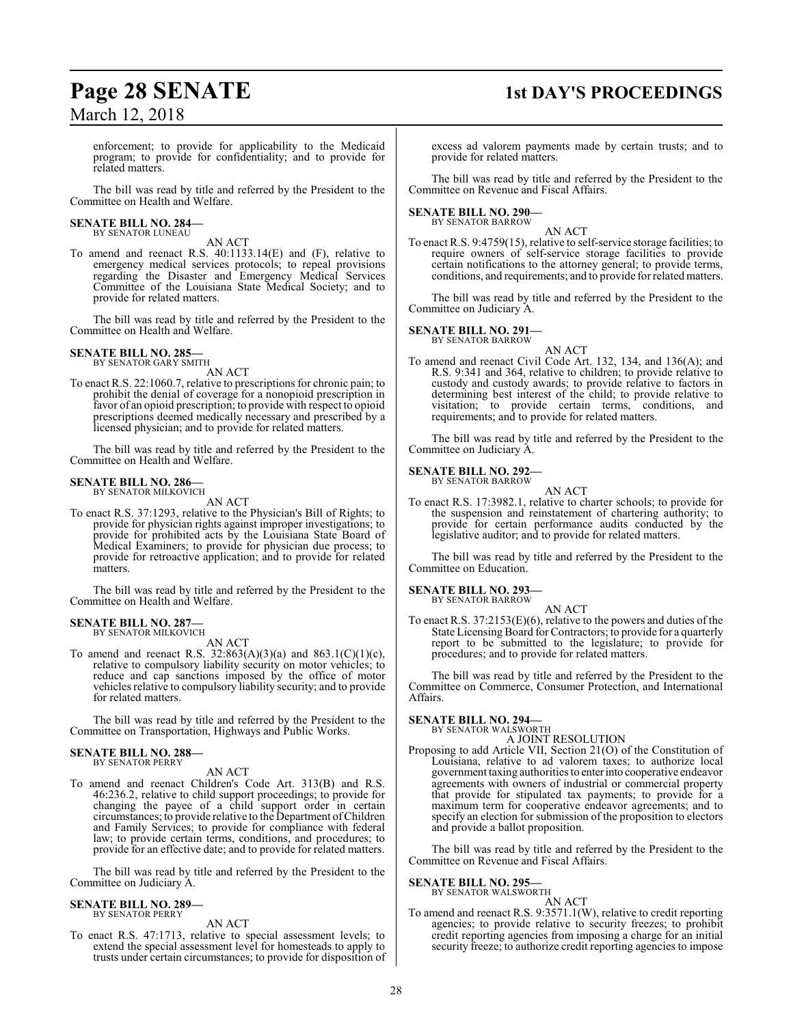### **Page 28 SENATE 1st DAY'S PROCEEDINGS**

enforcement; to provide for applicability to the Medicaid program; to provide for confidentiality; and to provide for related matters.

The bill was read by title and referred by the President to the Committee on Health and Welfare.

#### **SENATE BILL NO. 284—** BY SENATOR LUNEAU

AN ACT

To amend and reenact R.S. 40:1133.14(E) and (F), relative to emergency medical services protocols; to repeal provisions regarding the Disaster and Emergency Medical Services Committee of the Louisiana State Medical Society; and to provide for related matters.

The bill was read by title and referred by the President to the Committee on Health and Welfare.

#### **SENATE BILL NO. 285—** BY SENATOR GARY SMITH

AN ACT

To enact R.S. 22:1060.7, relative to prescriptions for chronic pain; to prohibit the denial of coverage for a nonopioid prescription in favor of an opioid prescription; to provide with respect to opioid prescriptions deemed medically necessary and prescribed by a licensed physician; and to provide for related matters.

The bill was read by title and referred by the President to the Committee on Health and Welfare.

#### **SENATE BILL NO. 286—** BY SENATOR MILKOVICH

AN ACT

To enact R.S. 37:1293, relative to the Physician's Bill of Rights; to provide for physician rights against improper investigations; to provide for prohibited acts by the Louisiana State Board of Medical Examiners; to provide for physician due process; to provide for retroactive application; and to provide for related matters.

The bill was read by title and referred by the President to the Committee on Health and Welfare.

### **SENATE BILL NO. 287—** BY SENATOR MILKOVICH

AN ACT

To amend and reenact R.S.  $32:863(A)(3)(a)$  and  $863.1(C)(1)(c)$ , relative to compulsory liability security on motor vehicles; to reduce and cap sanctions imposed by the office of motor vehicles relative to compulsory liability security; and to provide for related matters.

The bill was read by title and referred by the President to the Committee on Transportation, Highways and Public Works.

## **SENATE BILL NO. 288—** BY SENATOR PERRY

#### AN ACT

To amend and reenact Children's Code Art. 313(B) and R.S. 46:236.2, relative to child support proceedings; to provide for changing the payee of a child support order in certain circumstances; to provide relative to the Department ofChildren and Family Services; to provide for compliance with federal law; to provide certain terms, conditions, and procedures; to provide for an effective date; and to provide for related matters.

The bill was read by title and referred by the President to the Committee on Judiciary A.

#### **SENATE BILL NO. 289—** BY SENATOR PERRY

AN ACT

To enact R.S. 47:1713, relative to special assessment levels; to extend the special assessment level for homesteads to apply to trusts under certain circumstances; to provide for disposition of excess ad valorem payments made by certain trusts; and to provide for related matters.

The bill was read by title and referred by the President to the Committee on Revenue and Fiscal Affairs.

### **SENATE BILL NO. 290—** BY SENATOR BARROW

AN ACT

To enact R.S. 9:4759(15), relative to self-service storage facilities; to require owners of self-service storage facilities to provide certain notifications to the attorney general; to provide terms, conditions, and requirements; and to provide for related matters.

The bill was read by title and referred by the President to the Committee on Judiciary A.

#### **SENATE BILL NO. 291—**

BY SENATOR BARROW AN ACT

To amend and reenact Civil Code Art. 132, 134, and 136(A); and R.S. 9:341 and 364, relative to children; to provide relative to custody and custody awards; to provide relative to factors in determining best interest of the child; to provide relative to visitation; to provide certain terms, conditions, and requirements; and to provide for related matters.

The bill was read by title and referred by the President to the Committee on Judiciary A.

#### **SENATE BILL NO. 292—** BY SENATOR BARROW

AN ACT

To enact R.S. 17:3982.1, relative to charter schools; to provide for the suspension and reinstatement of chartering authority; to provide for certain performance audits conducted by the legislative auditor; and to provide for related matters.

The bill was read by title and referred by the President to the Committee on Education.

#### **SENATE BILL NO. 293—**

BY SENATOR BARROW AN ACT

To enact R.S. 37:2153(E)(6), relative to the powers and duties of the State Licensing Board for Contractors; to provide for a quarterly report to be submitted to the legislature; to provide for procedures; and to provide for related matters.

The bill was read by title and referred by the President to the Committee on Commerce, Consumer Protection, and International Affairs.

#### **SENATE BILL NO. 294—**

BY SENATOR WALSWORTH

A JOINT RESOLUTION Proposing to add Article VII, Section 21(O) of the Constitution of Louisiana, relative to ad valorem taxes; to authorize local government taxing authorities to enterinto cooperative endeavor agreements with owners of industrial or commercial property that provide for stipulated tax payments; to provide for a maximum term for cooperative endeavor agreements; and to specify an election for submission of the proposition to electors and provide a ballot proposition.

The bill was read by title and referred by the President to the Committee on Revenue and Fiscal Affairs.

### **SENATE BILL NO. 295—**<br>BY SENATOR WALSWORTH

AN ACT

To amend and reenact R.S. 9:3571.1(W), relative to credit reporting agencies; to provide relative to security freezes; to prohibit credit reporting agencies from imposing a charge for an initial security freeze; to authorize credit reporting agencies to impose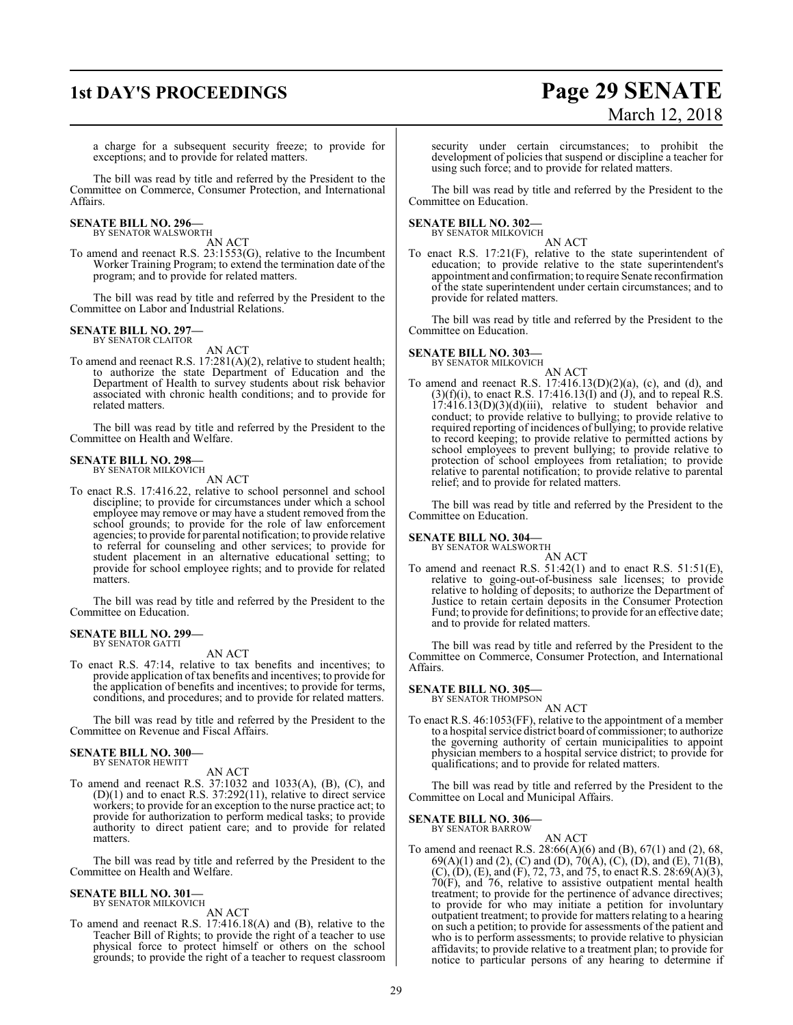### **1st DAY'S PROCEEDINGS Page 29 SENATE** March 12, 2018

a charge for a subsequent security freeze; to provide for exceptions; and to provide for related matters.

The bill was read by title and referred by the President to the Committee on Commerce, Consumer Protection, and International Affairs.

#### **SENATE BILL NO. 296—** BY SENATOR WALSWORTH

AN ACT

To amend and reenact R.S. 23:1553(G), relative to the Incumbent Worker Training Program; to extend the termination date of the program; and to provide for related matters.

The bill was read by title and referred by the President to the Committee on Labor and Industrial Relations.

#### **SENATE BILL NO. 297—** BY SENATOR CLAITOR

AN ACT

To amend and reenact R.S. 17:281(A)(2), relative to student health; to authorize the state Department of Education and the Department of Health to survey students about risk behavior associated with chronic health conditions; and to provide for related matters.

The bill was read by title and referred by the President to the Committee on Health and Welfare.

#### **SENATE BILL NO. 298—**

BY SENATOR MILKOVICH AN ACT

To enact R.S. 17:416.22, relative to school personnel and school discipline; to provide for circumstances under which a school employee may remove or may have a student removed from the school grounds; to provide for the role of law enforcement agencies; to provide for parental notification; to provide relative to referral for counseling and other services; to provide for student placement in an alternative educational setting; to provide for school employee rights; and to provide for related matters.

The bill was read by title and referred by the President to the Committee on Education.

#### **SENATE BILL NO. 299—**

BY SENATOR GATTI

AN ACT

To enact R.S. 47:14, relative to tax benefits and incentives; to provide application oftax benefits and incentives; to provide for the application of benefits and incentives; to provide for terms, conditions, and procedures; and to provide for related matters.

The bill was read by title and referred by the President to the Committee on Revenue and Fiscal Affairs.

### **SENATE BILL NO. 300—** BY SENATOR HEWITT

AN ACT

To amend and reenact R.S. 37:1032 and 1033(A), (B), (C), and (D)(1) and to enact R.S. 37:292(11), relative to direct service workers; to provide for an exception to the nurse practice act; to provide for authorization to perform medical tasks; to provide authority to direct patient care; and to provide for related matters.

The bill was read by title and referred by the President to the Committee on Health and Welfare.

#### **SENATE BILL NO. 301—** BY SENATOR MILKOVICH

AN ACT

To amend and reenact R.S. 17:416.18(A) and (B), relative to the Teacher Bill of Rights; to provide the right of a teacher to use physical force to protect himself or others on the school grounds; to provide the right of a teacher to request classroom security under certain circumstances; to prohibit the development of policies that suspend or discipline a teacher for using such force; and to provide for related matters.

The bill was read by title and referred by the President to the Committee on Education.

#### **SENATE BILL NO. 302—** BY SENATOR MILKOVICH

AN ACT

To enact R.S. 17:21(F), relative to the state superintendent of education; to provide relative to the state superintendent's appointment and confirmation; to require Senate reconfirmation of the state superintendent under certain circumstances; and to provide for related matters.

The bill was read by title and referred by the President to the Committee on Education.

### **SENATE BILL NO. 303—**

BY SENATOR MILKOVICH

AN ACT To amend and reenact R.S. 17:416.13(D)(2)(a), (c), and (d), and  $(3)(f)(i)$ , to enact R.S. 17:416.13(I) and (J), and to repeal R.S.  $17:416.13(D)(3)(d)(iii)$ , relative to student behavior and conduct; to provide relative to bullying; to provide relative to required reporting of incidences of bullying; to provide relative to record keeping; to provide relative to permitted actions by school employees to prevent bullying; to provide relative to protection of school employees from retaliation; to provide relative to parental notification; to provide relative to parental relief; and to provide for related matters.

The bill was read by title and referred by the President to the Committee on Education.

### **SENATE BILL NO. 304—** BY SENATOR WALSWORTH

AN ACT

To amend and reenact R.S.  $51:42(1)$  and to enact R.S.  $51:51(E)$ , relative to going-out-of-business sale licenses; to provide relative to holding of deposits; to authorize the Department of Justice to retain certain deposits in the Consumer Protection Fund; to provide for definitions; to provide for an effective date; and to provide for related matters.

The bill was read by title and referred by the President to the Committee on Commerce, Consumer Protection, and International Affairs.

#### **SENATE BILL NO. 305—**

BY SENATOR THOMPSON

### AN ACT

To enact R.S. 46:1053(FF), relative to the appointment of a member to a hospital service district board of commissioner; to authorize the governing authority of certain municipalities to appoint physician members to a hospital service district; to provide for qualifications; and to provide for related matters.

The bill was read by title and referred by the President to the Committee on Local and Municipal Affairs.

#### **SENATE BILL NO. 306—** BY SENATOR BARROW

AN ACT

To amend and reenact R.S. 28:66(A)(6) and (B), 67(1) and (2), 68,  $69(A)(1)$  and (2), (C) and (D),  $70(A)$ , (C), (D), and (E),  $71(B)$ ,  $(C)$ ,  $(D)$ ,  $(E)$ , and  $(F)$ , 72, 73, and 75, to enact R.S. 28:69 $(A)(3)$ , 70(F), and 76, relative to assistive outpatient mental health treatment; to provide for the pertinence of advance directives; to provide for who may initiate a petition for involuntary outpatient treatment; to provide for matters relating to a hearing on such a petition; to provide for assessments of the patient and who is to perform assessments; to provide relative to physician affidavits; to provide relative to a treatment plan; to provide for notice to particular persons of any hearing to determine if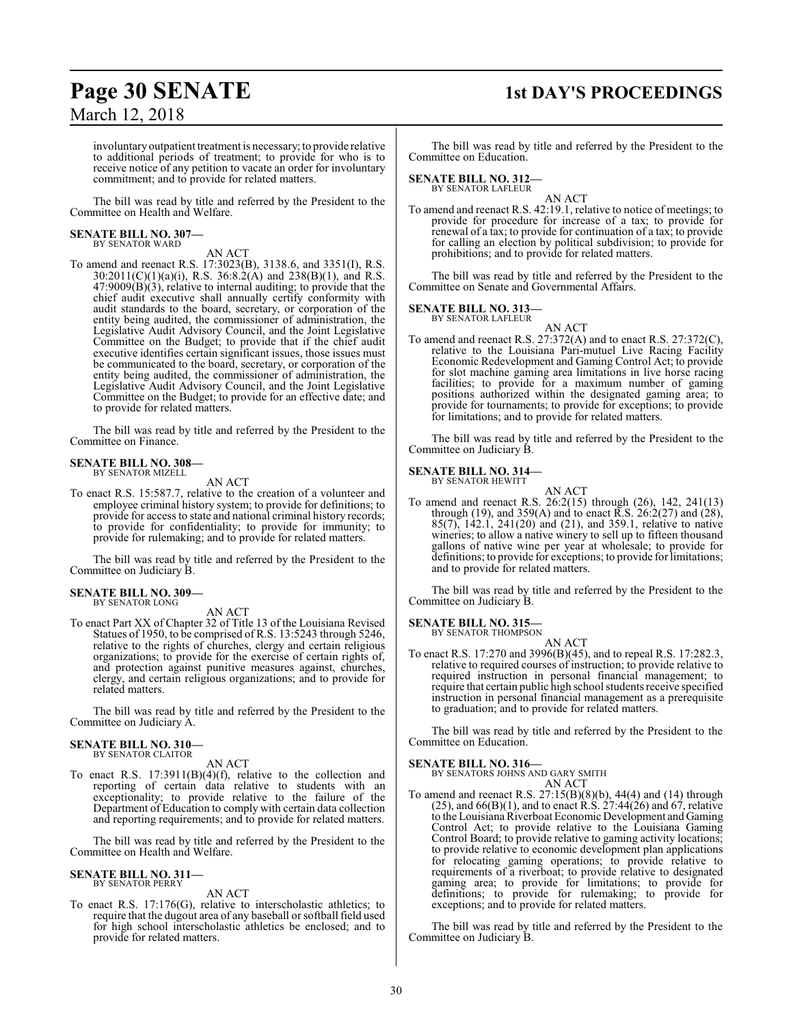## **Page 30 SENATE 1st DAY'S PROCEEDINGS**

involuntary outpatient treatment is necessary; to provide relative to additional periods of treatment; to provide for who is to receive notice of any petition to vacate an order for involuntary commitment; and to provide for related matters.

The bill was read by title and referred by the President to the Committee on Health and Welfare.

## **SENATE BILL NO. 307—** BY SENATOR WARD

### AN ACT

To amend and reenact R.S. 17:3023(B), 3138.6, and 3351(I), R.S.  $30:2011(C)(1)(a)(i)$ , R.S.  $36:8.\dot{2}(\hat{A})$  and  $238(B)(1)$ , and R.S.  $47:9009(B)(3)$ , relative to internal auditing; to provide that the chief audit executive shall annually certify conformity with audit standards to the board, secretary, or corporation of the entity being audited, the commissioner of administration, the Legislative Audit Advisory Council, and the Joint Legislative Committee on the Budget; to provide that if the chief audit executive identifies certain significant issues, those issues must be communicated to the board, secretary, or corporation of the entity being audited, the commissioner of administration, the Legislative Audit Advisory Council, and the Joint Legislative Committee on the Budget; to provide for an effective date; and to provide for related matters.

The bill was read by title and referred by the President to the Committee on Finance.

#### **SENATE BILL NO. 308—** BY SENATOR MIZELL

AN ACT

To enact R.S. 15:587.7, relative to the creation of a volunteer and employee criminal history system; to provide for definitions; to provide for access to state and national criminal history records; to provide for confidentiality; to provide for immunity; to provide for rulemaking; and to provide for related matters.

The bill was read by title and referred by the President to the Committee on Judiciary B.

#### **SENATE BILL NO. 309—** BY SENATOR LONG

AN ACT

To enact Part XX of Chapter 32 of Title 13 of the Louisiana Revised Statues of 1950, to be comprised of R.S. 13:5243 through 5246, relative to the rights of churches, clergy and certain religious organizations; to provide for the exercise of certain rights of, and protection against punitive measures against, churches, clergy, and certain religious organizations; and to provide for related matters.

The bill was read by title and referred by the President to the Committee on Judiciary A.

#### **SENATE BILL NO. 310—** BY SENATOR CLAITOR

AN ACT

To enact R.S. 17:3911(B)(4)(f), relative to the collection and reporting of certain data relative to students with an exceptionality; to provide relative to the failure of the Department of Education to comply with certain data collection and reporting requirements; and to provide for related matters.

The bill was read by title and referred by the President to the Committee on Health and Welfare.

#### **SENATE BILL NO. 311—** BY SENATOR PERRY

AN ACT

To enact R.S. 17:176(G), relative to interscholastic athletics; to require that the dugout area of any baseball or softball field used for high school interscholastic athletics be enclosed; and to provide for related matters.

The bill was read by title and referred by the President to the Committee on Education.

### **SENATE BILL NO. 312—**

BY SENATOR LAFLEUR

AN ACT To amend and reenact R.S. 42:19.1, relative to notice of meetings; to provide for procedure for increase of a tax; to provide for renewal of a tax; to provide for continuation of a tax; to provide for calling an election by political subdivision; to provide for prohibitions; and to provide for related matters.

The bill was read by title and referred by the President to the Committee on Senate and Governmental Affairs.

## **SENATE BILL NO. 313—** BY SENATOR LAFLEUR

AN ACT To amend and reenact R.S. 27:372(A) and to enact R.S. 27:372(C), relative to the Louisiana Pari-mutuel Live Racing Facility Economic Redevelopment and Gaming Control Act; to provide for slot machine gaming area limitations in live horse racing facilities; to provide for a maximum number of gaming positions authorized within the designated gaming area; to provide for tournaments; to provide for exceptions; to provide for limitations; and to provide for related matters.

The bill was read by title and referred by the President to the Committee on Judiciary B.

#### **SENATE BILL NO. 314—** BY SENATOR HEWITT

AN ACT

To amend and reenact R.S. 26:2(15) through (26), 142, 241(13) through (19), and 359(A) and to enact R.S. 26:2(27) and (28), 85(7), 142.1, 241(20) and (21), and 359.1, relative to native wineries; to allow a native winery to sell up to fifteen thousand gallons of native wine per year at wholesale; to provide for definitions; to provide for exceptions; to provide for limitations; and to provide for related matters.

The bill was read by title and referred by the President to the Committee on Judiciary B.

### **SENATE BILL NO. 315—**<br>BY SENATOR THOMPSON

AN ACT

To enact R.S. 17:270 and 3996(B)(45), and to repeal R.S. 17:282.3, relative to required courses of instruction; to provide relative to required instruction in personal financial management; to require that certain public high school students receive specified instruction in personal financial management as a prerequisite to graduation; and to provide for related matters.

The bill was read by title and referred by the President to the Committee on Education.

#### **SENATE BILL NO. 316—**

BY SENATORS JOHNS AND GARY SMITH AN ACT

To amend and reenact R.S. 27:15(B)(8)(b), 44(4) and (14) through  $(25)$ , and  $66(B)(1)$ , and to enact R.S.  $27:44(26)$  and 67, relative to the Louisiana Riverboat Economic Development and Gaming Control Act; to provide relative to the Louisiana Gaming Control Board; to provide relative to gaming activity locations; to provide relative to economic development plan applications for relocating gaming operations; to provide relative to requirements of a riverboat; to provide relative to designated gaming area; to provide for limitations; to provide for definitions; to provide for rulemaking; to provide for exceptions; and to provide for related matters.

The bill was read by title and referred by the President to the Committee on Judiciary B.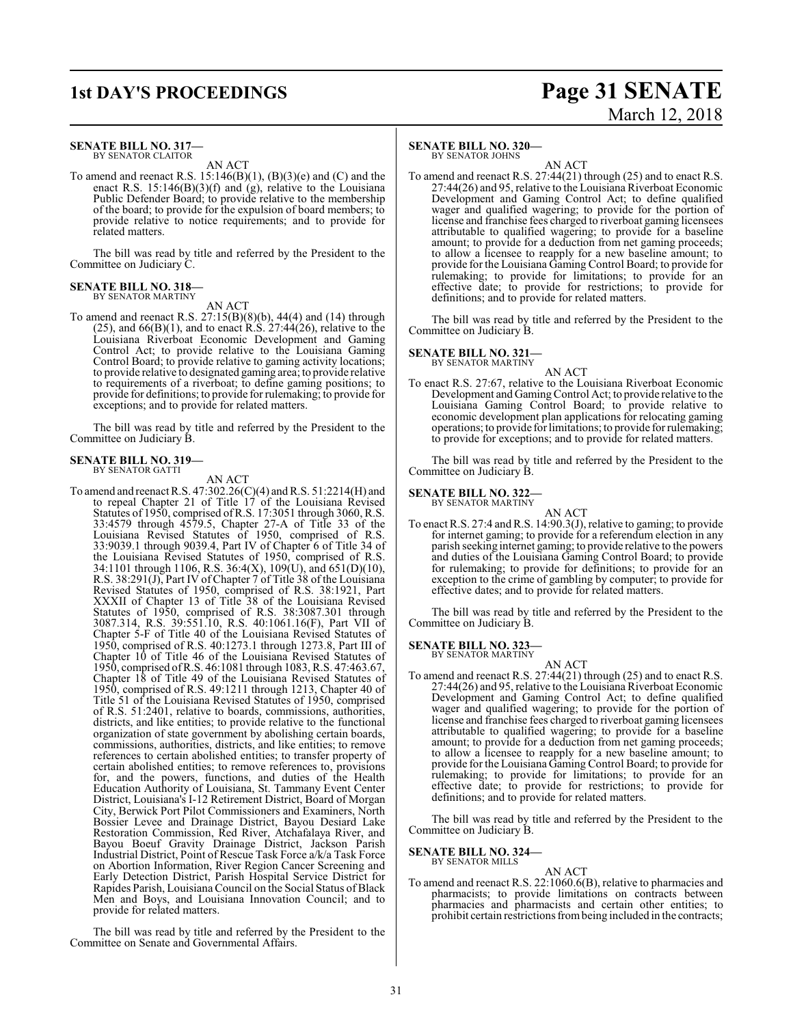### **1st DAY'S PROCEEDINGS Page 31 SENATE** March 12, 2018

#### **SENATE BILL NO. 317—** BY SENATOR CLAITOR

AN ACT

To amend and reenact R.S.  $15:146(B)(1)$ ,  $(B)(3)(e)$  and  $(C)$  and the enact R.S. 15:146(B)(3)(f) and (g), relative to the Louisiana Public Defender Board; to provide relative to the membership of the board; to provide for the expulsion of board members; to provide relative to notice requirements; and to provide for related matters.

The bill was read by title and referred by the President to the Committee on Judiciary C.

#### **SENATE BILL NO. 318—** BY SENATOR MARTINY

AN ACT

To amend and reenact R.S. 27:15(B)(8)(b), 44(4) and (14) through  $(25)$ , and  $66(B)(1)$ , and to enact R.S.  $27:44(26)$ , relative to the Louisiana Riverboat Economic Development and Gaming Control Act; to provide relative to the Louisiana Gaming Control Board; to provide relative to gaming activity locations; to provide relative to designated gaming area; to provide relative to requirements of a riverboat; to define gaming positions; to provide for definitions; to provide for rulemaking; to provide for exceptions; and to provide for related matters.

The bill was read by title and referred by the President to the Committee on Judiciary B.

#### **SENATE BILL NO. 319—**

BY SENATOR GATTI

#### AN ACT

To amend and reenact R.S. 47:302.26(C)(4) andR.S. 51:2214(H) and to repeal Chapter 21 of Title 17 of the Louisiana Revised Statutes of 1950, comprised ofR.S. 17:3051 through 3060, R.S. 33:4579 through 4579.5, Chapter 27-A of Title 33 of the Louisiana Revised Statutes of 1950, comprised of R.S. 33:9039.1 through 9039.4, Part IV of Chapter 6 of Title 34 of the Louisiana Revised Statutes of 1950, comprised of R.S.  $34:1101$  through 1106, R.S.  $36:4(X)$ ,  $109(U)$ , and  $651(D)(10)$ , R.S. 38:291(J), Part IV of Chapter 7 of Title 38 of the Louisiana Revised Statutes of 1950, comprised of R.S. 38:1921, Part XXXII of Chapter 13 of Title 38 of the Louisiana Revised Statutes of 1950, comprised of R.S. 38:3087.301 through 3087.314, R.S. 39:551.10, R.S. 40:1061.16(F), Part VII of Chapter 5-F of Title 40 of the Louisiana Revised Statutes of 1950, comprised of R.S. 40:1273.1 through 1273.8, Part III of Chapter 10 of Title 46 of the Louisiana Revised Statutes of 1950, comprised ofR.S. 46:1081 through 1083, R.S. 47:463.67, Chapter 18 of Title 49 of the Louisiana Revised Statutes of 1950, comprised of R.S. 49:1211 through 1213, Chapter 40 of Title 51 of the Louisiana Revised Statutes of 1950, comprised of R.S. 51:2401, relative to boards, commissions, authorities, districts, and like entities; to provide relative to the functional organization of state government by abolishing certain boards, commissions, authorities, districts, and like entities; to remove references to certain abolished entities; to transfer property of certain abolished entities; to remove references to, provisions for, and the powers, functions, and duties of the Health Education Authority of Louisiana, St. Tammany Event Center District, Louisiana's I-12 Retirement District, Board of Morgan City, Berwick Port Pilot Commissioners and Examiners, North Bossier Levee and Drainage District, Bayou Desiard Lake Restoration Commission, Red River, Atchafalaya River, and Bayou Boeuf Gravity Drainage District, Jackson Parish Industrial District, Point of Rescue Task Force a/k/a Task Force on Abortion Information, River Region Cancer Screening and Early Detection District, Parish Hospital Service District for Rapides Parish, Louisiana Council on the Social Status of Black Men and Boys, and Louisiana Innovation Council; and to provide for related matters.

The bill was read by title and referred by the President to the Committee on Senate and Governmental Affairs.

#### **SENATE BILL NO. 320—**

BY SENATOR JOHNS

AN ACT To amend and reenact R.S. 27:44(21) through (25) and to enact R.S. 27:44(26) and 95, relative to the Louisiana Riverboat Economic Development and Gaming Control Act; to define qualified wager and qualified wagering; to provide for the portion of license and franchise fees charged to riverboat gaming licensees attributable to qualified wagering; to provide for a baseline amount; to provide for a deduction from net gaming proceeds; to allow a licensee to reapply for a new baseline amount; to provide for the Louisiana Gaming Control Board; to provide for rulemaking; to provide for limitations; to provide for an effective date; to provide for restrictions; to provide for definitions; and to provide for related matters.

The bill was read by title and referred by the President to the Committee on Judiciary B.

#### **SENATE BILL NO. 321—** BY SENATOR MARTINY

AN ACT To enact R.S. 27:67, relative to the Louisiana Riverboat Economic Development and Gaming Control Act; to provide relative to the Louisiana Gaming Control Board; to provide relative to economic development plan applications for relocating gaming operations; to provide for limitations; to provide for rulemaking; to provide for exceptions; and to provide for related matters.

The bill was read by title and referred by the President to the Committee on Judiciary B.

#### **SENATE BILL NO. 322—**

BY SENATOR MARTINY

AN ACT To enact R.S. 27:4 and R.S. 14:90.3(J), relative to gaming; to provide for internet gaming; to provide for a referendum election in any parish seeking internet gaming; to provide relative to the powers and duties of the Louisiana Gaming Control Board; to provide for rulemaking; to provide for definitions; to provide for an exception to the crime of gambling by computer; to provide for effective dates; and to provide for related matters.

The bill was read by title and referred by the President to the Committee on Judiciary B.

**SENATE BILL NO. 323—** BY SENATOR MARTINY

AN ACT

To amend and reenact R.S. 27:44(21) through (25) and to enact R.S. 27:44(26) and 95, relative to the Louisiana Riverboat Economic Development and Gaming Control Act; to define qualified wager and qualified wagering; to provide for the portion of license and franchise fees charged to riverboat gaming licensees attributable to qualified wagering; to provide for a baseline amount; to provide for a deduction from net gaming proceeds; to allow a licensee to reapply for a new baseline amount; to provide for the Louisiana Gaming Control Board; to provide for rulemaking; to provide for limitations; to provide for an effective date; to provide for restrictions; to provide for definitions; and to provide for related matters.

The bill was read by title and referred by the President to the Committee on Judiciary B.

#### **SENATE BILL NO. 324—**

BY SENATOR MILLS AN ACT

To amend and reenact R.S. 22:1060.6(B), relative to pharmacies and pharmacists; to provide limitations on contracts between pharmacies and pharmacists and certain other entities; to prohibit certain restrictions frombeing included in the contracts;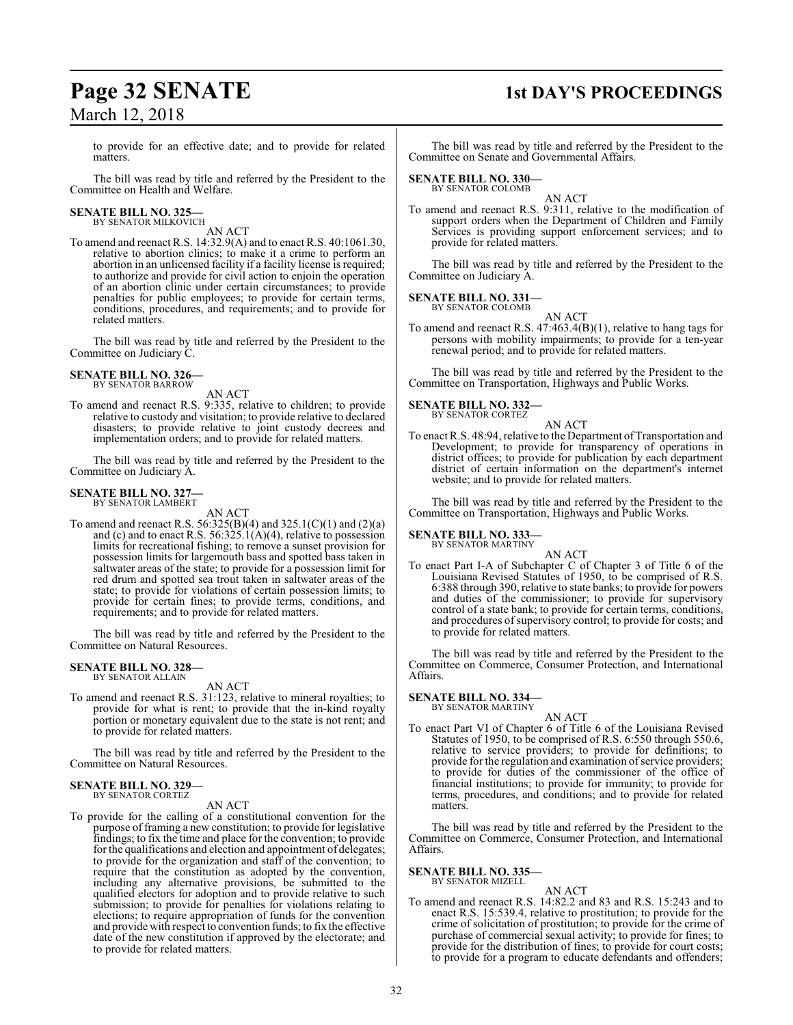### **Page 32 SENATE 1st DAY'S PROCEEDINGS**

to provide for an effective date; and to provide for related matters.

The bill was read by title and referred by the President to the Committee on Health and Welfare.

## **SENATE BILL NO. 325—** BY SENATOR MILKOVICH

AN ACT

To amend and reenact R.S. 14:32.9(A) and to enact R.S. 40:1061.30, relative to abortion clinics; to make it a crime to perform an abortion in an unlicensed facility if a facility license is required; to authorize and provide for civil action to enjoin the operation of an abortion clinic under certain circumstances; to provide penalties for public employees; to provide for certain terms, conditions, procedures, and requirements; and to provide for related matters.

The bill was read by title and referred by the President to the Committee on Judiciary C.

#### **SENATE BILL NO. 326—** BY SENATOR BARROW

AN ACT

To amend and reenact R.S. 9:335, relative to children; to provide relative to custody and visitation; to provide relative to declared disasters; to provide relative to joint custody decrees and implementation orders; and to provide for related matters.

The bill was read by title and referred by the President to the Committee on Judiciary A.

#### **SENATE BILL NO. 327—** BY SENATOR LAMBERT

AN ACT

To amend and reenact R.S. 56:325(B)(4) and 325.1(C)(1) and (2)(a) and (c) and to enact R.S.  $56:325.1(A)(4)$ , relative to possession limits for recreational fishing; to remove a sunset provision for possession limits for largemouth bass and spotted bass taken in saltwater areas of the state; to provide for a possession limit for red drum and spotted sea trout taken in saltwater areas of the state; to provide for violations of certain possession limits; to provide for certain fines; to provide terms, conditions, and requirements; and to provide for related matters.

The bill was read by title and referred by the President to the Committee on Natural Resources.

## **SENATE BILL NO. 328—** BY SENATOR ALLAIN

AN ACT

To amend and reenact R.S. 31:123, relative to mineral royalties; to provide for what is rent; to provide that the in-kind royalty portion or monetary equivalent due to the state is not rent; and to provide for related matters.

The bill was read by title and referred by the President to the Committee on Natural Resources.

#### **SENATE BILL NO. 329—** BY SENATOR CORTEZ

AN ACT

To provide for the calling of a constitutional convention for the purpose of framing a new constitution; to provide for legislative findings; to fix the time and place for the convention; to provide for the qualifications and election and appointment of delegates; to provide for the organization and staff of the convention; to require that the constitution as adopted by the convention, including any alternative provisions, be submitted to the qualified electors for adoption and to provide relative to such submission; to provide for penalties for violations relating to elections; to require appropriation of funds for the convention and provide with respect to convention funds; to fix the effective date of the new constitution if approved by the electorate; and to provide for related matters.

The bill was read by title and referred by the President to the Committee on Senate and Governmental Affairs.

#### **SENATE BILL NO. 330—** BY SENATOR COLOMB

AN ACT To amend and reenact R.S. 9:311, relative to the modification of support orders when the Department of Children and Family Services is providing support enforcement services; and to provide for related matters.

The bill was read by title and referred by the President to the Committee on Judiciary A.

**SENATE BILL NO. 331—** BY SENATOR COLO

$$
AN ACT
$$

To amend and reenact R.S. 47:463.4(B)(1), relative to hang tags for persons with mobility impairments; to provide for a ten-year renewal period; and to provide for related matters.

The bill was read by title and referred by the President to the Committee on Transportation, Highways and Public Works.

#### **SENATE BILL NO. 332—**

BY SENATOR CORTEZ AN ACT

To enact R.S. 48:94, relative to the Department of Transportation and Development; to provide for transparency of operations in district offices; to provide for publication by each department district of certain information on the department's internet website; and to provide for related matters.

The bill was read by title and referred by the President to the Committee on Transportation, Highways and Public Works.

**SENATE BILL NO. 333—** BY SENATOR MARTINY

AN ACT

To enact Part I-A of Subchapter C of Chapter 3 of Title 6 of the Louisiana Revised Statutes of 1950, to be comprised of R.S. 6:388 through 390, relative to state banks; to provide for powers and duties of the commissioner; to provide for supervisory control of a state bank; to provide for certain terms, conditions, and procedures of supervisory control; to provide for costs; and to provide for related matters.

The bill was read by title and referred by the President to the Committee on Commerce, Consumer Protection, and International Affairs.

## **SENATE BILL NO. 334—** BY SENATOR MARTINY

AN ACT

To enact Part VI of Chapter 6 of Title 6 of the Louisiana Revised Statutes of 1950, to be comprised of R.S. 6:550 through 550.6, relative to service providers; to provide for definitions; to provide for the regulation and examination of service providers; to provide for duties of the commissioner of the office of financial institutions; to provide for immunity; to provide for terms, procedures, and conditions; and to provide for related matters.

The bill was read by title and referred by the President to the Committee on Commerce, Consumer Protection, and International Affairs.

#### **SENATE BILL NO. 335—**

BY SENATOR MIZELL

AN ACT To amend and reenact R.S. 14:82.2 and 83 and R.S. 15:243 and to enact R.S. 15:539.4, relative to prostitution; to provide for the crime of solicitation of prostitution; to provide for the crime of purchase of commercial sexual activity; to provide for fines; to provide for the distribution of fines; to provide for court costs; to provide for a program to educate defendants and offenders;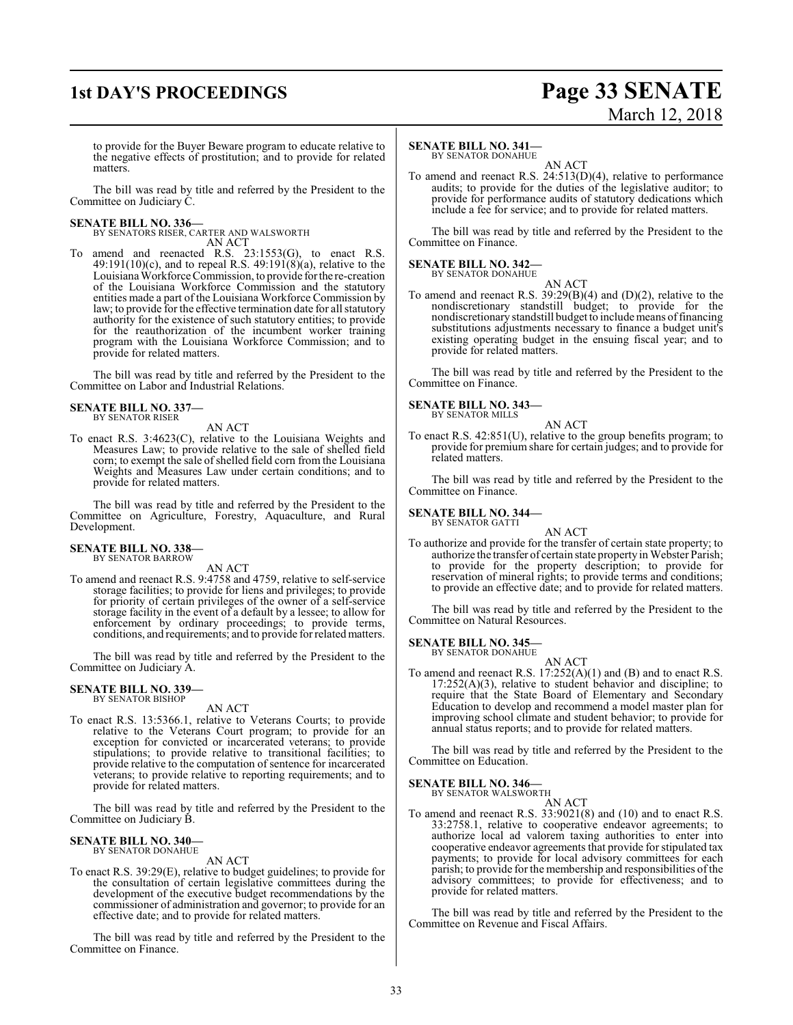### **1st DAY'S PROCEEDINGS Page 33 SENATE**

# March 12, 2018

to provide for the Buyer Beware program to educate relative to the negative effects of prostitution; and to provide for related matters.

The bill was read by title and referred by the President to the Committee on Judiciary C.

#### **SENATE BILL NO. 336—**

BY SENATORS RISER, CARTER AND WALSWORTH AN ACT

To amend and reenacted R.S. 23:1553(G), to enact R.S.  $49:191(10)$ (c), and to repeal R.S.  $49:191(8)$ (a), relative to the Louisiana Workforce Commission, to provide for the re-creation of the Louisiana Workforce Commission and the statutory entities made a part of the Louisiana Workforce Commission by law; to provide for the effective termination date for all statutory authority for the existence of such statutory entities; to provide for the reauthorization of the incumbent worker training program with the Louisiana Workforce Commission; and to provide for related matters.

The bill was read by title and referred by the President to the Committee on Labor and Industrial Relations.

**SENATE BILL NO. 337—** BY SENATOR RISER

AN ACT

To enact R.S. 3:4623(C), relative to the Louisiana Weights and Measures Law; to provide relative to the sale of shelled field corn; to exempt the sale ofshelled field corn from the Louisiana Weights and Measures Law under certain conditions; and to provide for related matters.

The bill was read by title and referred by the President to the Committee on Agriculture, Forestry, Aquaculture, and Rural Development.

#### **SENATE BILL NO. 338—** BY SENATOR BARROW

AN ACT

To amend and reenact R.S. 9:4758 and 4759, relative to self-service storage facilities; to provide for liens and privileges; to provide for priority of certain privileges of the owner of a self-service storage facility in the event of a default by a lessee; to allow for enforcement by ordinary proceedings; to provide terms, conditions, and requirements; and to provide forrelated matters.

The bill was read by title and referred by the President to the Committee on Judiciary A.

#### **SENATE BILL NO. 339—** BY SENATOR BISHOP

#### AN ACT

To enact R.S. 13:5366.1, relative to Veterans Courts; to provide relative to the Veterans Court program; to provide for an exception for convicted or incarcerated veterans; to provide stipulations; to provide relative to transitional facilities; to provide relative to the computation of sentence for incarcerated veterans; to provide relative to reporting requirements; and to provide for related matters.

The bill was read by title and referred by the President to the Committee on Judiciary B.

### **SENATE BILL NO. 340—** BY SENATOR DONAHUE

AN ACT

To enact R.S. 39:29(E), relative to budget guidelines; to provide for the consultation of certain legislative committees during the development of the executive budget recommendations by the commissioner of administration and governor; to provide for an effective date; and to provide for related matters.

The bill was read by title and referred by the President to the Committee on Finance.

#### **SENATE BILL NO. 341—**

BY SENATOR DONAHUE

AN ACT To amend and reenact R.S. 24:513(D)(4), relative to performance audits; to provide for the duties of the legislative auditor; to provide for performance audits of statutory dedications which include a fee for service; and to provide for related matters.

The bill was read by title and referred by the President to the Committee on Finance.

#### **SENATE BILL NO. 342—** BY SENATOR DONAHUE

AN ACT To amend and reenact R.S. 39:29(B)(4) and (D)(2), relative to the nondiscretionary standstill budget; to provide for the nondiscretionary standstill budget to include means offinancing substitutions adjustments necessary to finance a budget unit's existing operating budget in the ensuing fiscal year; and to provide for related matters.

The bill was read by title and referred by the President to the Committee on Finance.

**SENATE BILL NO. 343—** BY SENATOR MILLS

AN ACT

To enact R.S. 42:851(U), relative to the group benefits program; to provide for premium share for certain judges; and to provide for related matters.

The bill was read by title and referred by the President to the Committee on Finance.

**SENATE BILL NO. 344—**

BY SENATOR GATTI AN ACT

To authorize and provide for the transfer of certain state property; to authorize the transfer of certain state property in Webster Parish; to provide for the property description; to provide for reservation of mineral rights; to provide terms and conditions; to provide an effective date; and to provide for related matters.

The bill was read by title and referred by the President to the Committee on Natural Resources.

**SENATE BILL NO. 345—**

BY SENATOR DONAHUE AN ACT

To amend and reenact R.S. 17:252(A)(1) and (B) and to enact R.S. 17:252(A)(3), relative to student behavior and discipline; to require that the State Board of Elementary and Secondary Education to develop and recommend a model master plan for improving school climate and student behavior; to provide for annual status reports; and to provide for related matters.

The bill was read by title and referred by the President to the Committee on Education.

### **SENATE BILL NO. 346—**<br>BY SENATOR WALSWORTH

AN ACT

To amend and reenact R.S. 33:9021(8) and (10) and to enact R.S. 33:2758.1, relative to cooperative endeavor agreements; to authorize local ad valorem taxing authorities to enter into cooperative endeavor agreements that provide for stipulated tax payments; to provide for local advisory committees for each parish; to provide for the membership and responsibilities ofthe advisory committees; to provide for effectiveness; and to provide for related matters.

The bill was read by title and referred by the President to the Committee on Revenue and Fiscal Affairs.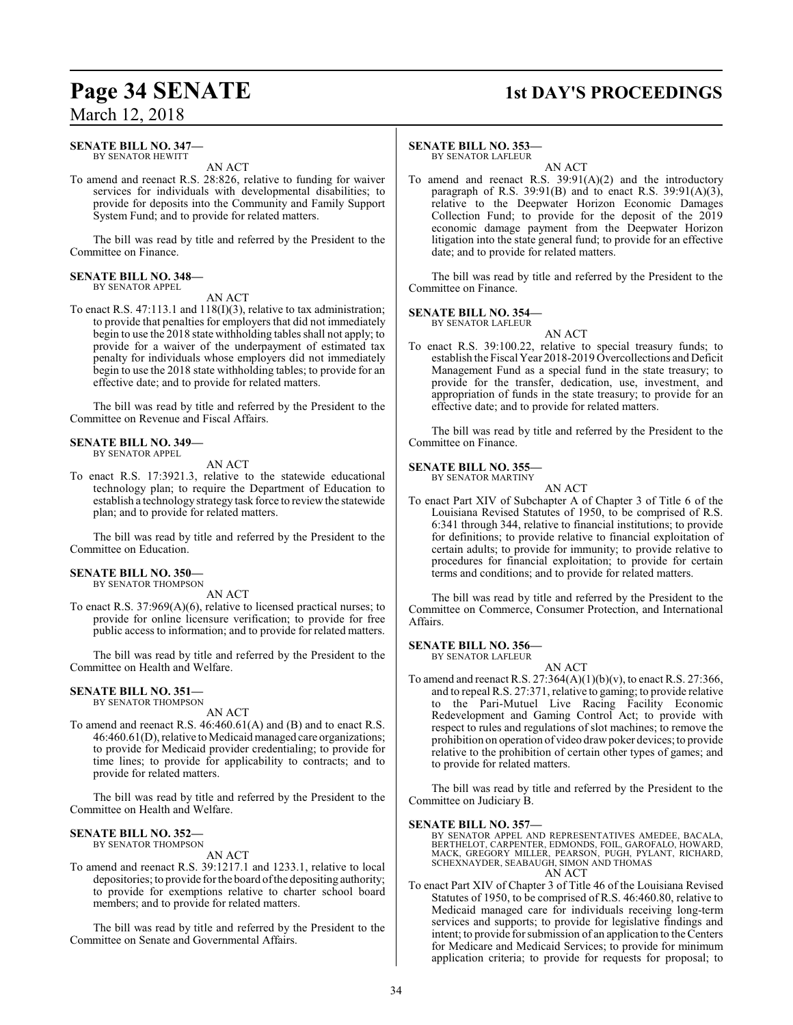### **Page 34 SENATE 1st DAY'S PROCEEDINGS**

### March 12, 2018

#### **SENATE BILL NO. 347—** BY SENATOR HEWITT

AN ACT

To amend and reenact R.S. 28:826, relative to funding for waiver services for individuals with developmental disabilities; to provide for deposits into the Community and Family Support System Fund; and to provide for related matters.

The bill was read by title and referred by the President to the Committee on Finance.

#### **SENATE BILL NO. 348—**

BY SENATOR APPEL AN ACT

To enact R.S. 47:113.1 and 118(I)(3), relative to tax administration; to provide that penalties for employers that did not immediately begin to use the 2018 state withholding tables shall not apply; to provide for a waiver of the underpayment of estimated tax penalty for individuals whose employers did not immediately begin to use the 2018 state withholding tables; to provide for an effective date; and to provide for related matters.

The bill was read by title and referred by the President to the Committee on Revenue and Fiscal Affairs.

#### **SENATE BILL NO. 349—** BY SENATOR APPEL

AN ACT

To enact R.S. 17:3921.3, relative to the statewide educational technology plan; to require the Department of Education to establish a technology strategy task force to reviewthe statewide plan; and to provide for related matters.

The bill was read by title and referred by the President to the Committee on Education.

#### **SENATE BILL NO. 350—**

BY SENATOR THOMPSON AN ACT

To enact R.S. 37:969(A)(6), relative to licensed practical nurses; to provide for online licensure verification; to provide for free public access to information; and to provide for related matters.

The bill was read by title and referred by the President to the Committee on Health and Welfare.

#### **SENATE BILL NO. 351—** BY SENATOR THOMPSON

AN ACT

To amend and reenact R.S. 46:460.61(A) and (B) and to enact R.S. 46:460.61(D), relative to Medicaidmanaged care organizations; to provide for Medicaid provider credentialing; to provide for time lines; to provide for applicability to contracts; and to provide for related matters.

The bill was read by title and referred by the President to the Committee on Health and Welfare.

#### **SENATE BILL NO. 352—**

BY SENATOR THOMPSON

AN ACT

To amend and reenact R.S. 39:1217.1 and 1233.1, relative to local depositories; to provide for the board of the depositing authority; to provide for exemptions relative to charter school board members; and to provide for related matters.

The bill was read by title and referred by the President to the Committee on Senate and Governmental Affairs.

#### **SENATE BILL NO. 353—**

BY SENATOR LAFLEUR AN ACT

To amend and reenact R.S. 39:91(A)(2) and the introductory paragraph of R.S.  $39:91(B)$  and to enact R.S.  $39:91(A)(3)$ , relative to the Deepwater Horizon Economic Damages Collection Fund; to provide for the deposit of the 2019 economic damage payment from the Deepwater Horizon litigation into the state general fund; to provide for an effective date; and to provide for related matters.

The bill was read by title and referred by the President to the Committee on Finance.

#### **SENATE BILL NO. 354—**

BY SENATOR LAFLEUR

AN ACT To enact R.S. 39:100.22, relative to special treasury funds; to establish the Fiscal Year 2018-2019 Overcollections and Deficit Management Fund as a special fund in the state treasury; to provide for the transfer, dedication, use, investment, and appropriation of funds in the state treasury; to provide for an effective date; and to provide for related matters.

The bill was read by title and referred by the President to the Committee on Finance.

#### **SENATE BILL NO. 355—**

BY SENATOR MARTINY AN ACT

To enact Part XIV of Subchapter A of Chapter 3 of Title 6 of the Louisiana Revised Statutes of 1950, to be comprised of R.S. 6:341 through 344, relative to financial institutions; to provide for definitions; to provide relative to financial exploitation of certain adults; to provide for immunity; to provide relative to procedures for financial exploitation; to provide for certain terms and conditions; and to provide for related matters.

The bill was read by title and referred by the President to the Committee on Commerce, Consumer Protection, and International Affairs.

**SENATE BILL NO. 356—**

BY SENATOR LAFLEUR

AN ACT To amend and reenact R.S. 27:364(A)(1)(b)(v), to enact R.S. 27:366, and to repeal R.S. 27:371, relative to gaming; to provide relative to the Pari-Mutuel Live Racing Facility Economic Redevelopment and Gaming Control Act; to provide with respect to rules and regulations of slot machines; to remove the prohibition on operation of video drawpoker devices; to provide relative to the prohibition of certain other types of games; and to provide for related matters.

The bill was read by title and referred by the President to the Committee on Judiciary B.

#### **SENATE BILL NO. 357—**

BY SENATOR APPEL AND REPRESENTATIVES AMEDEE, BACALA, BERTHELOT, CARPENTER, EDMONDS, FOIL, GAROFALO, HOWARD, MACK, GREGORY MILLER, PEARSON, PUGH, PYLANT, RICHARD, SCHEXNAYDER, SEABAUGH, SIMON AND THOMAS

AN ACT

To enact Part XIV of Chapter 3 of Title 46 of the Louisiana Revised Statutes of 1950, to be comprised of R.S. 46:460.80, relative to Medicaid managed care for individuals receiving long-term services and supports; to provide for legislative findings and intent; to provide for submission of an application to the Centers for Medicare and Medicaid Services; to provide for minimum application criteria; to provide for requests for proposal; to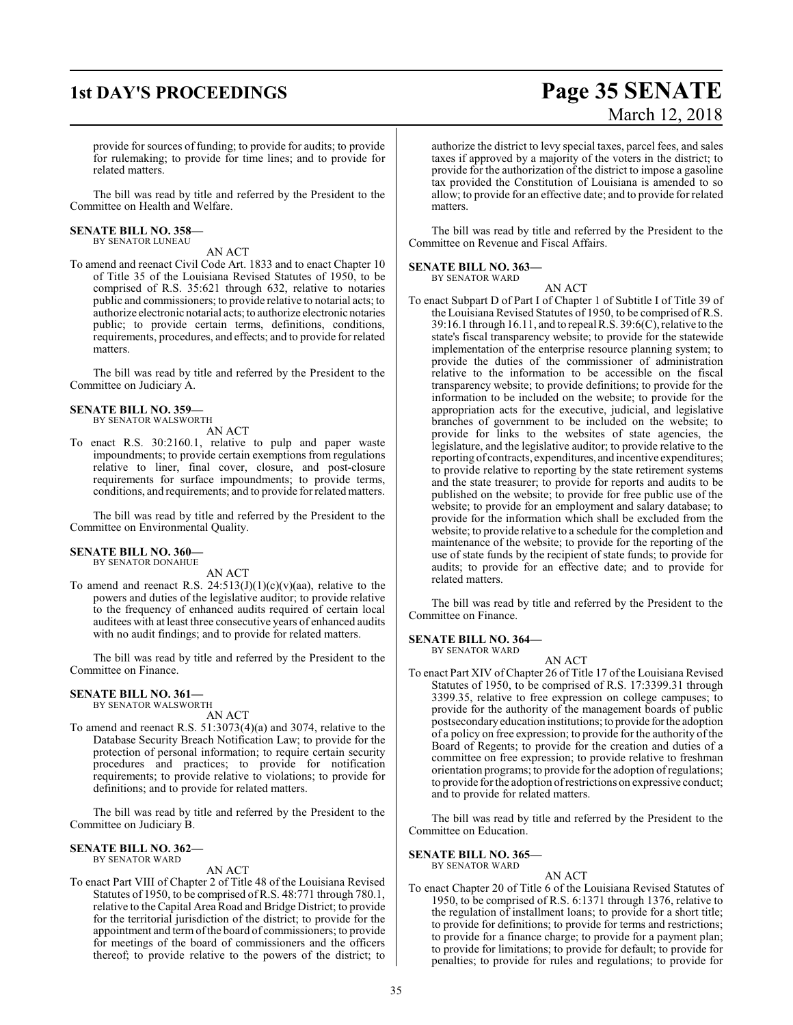### **1st DAY'S PROCEEDINGS Page 35 SENATE**

# March 12, 2018

provide for sources of funding; to provide for audits; to provide for rulemaking; to provide for time lines; and to provide for related matters.

The bill was read by title and referred by the President to the Committee on Health and Welfare.

#### **SENATE BILL NO. 358—**

BY SENATOR LUNEAU

AN ACT

To amend and reenact Civil Code Art. 1833 and to enact Chapter 10 of Title 35 of the Louisiana Revised Statutes of 1950, to be comprised of R.S. 35:621 through 632, relative to notaries public and commissioners; to provide relative to notarial acts; to authorize electronic notarial acts; to authorize electronic notaries public; to provide certain terms, definitions, conditions, requirements, procedures, and effects; and to provide for related matters.

The bill was read by title and referred by the President to the Committee on Judiciary A.

#### **SENATE BILL NO. 359—**

BY SENATOR WALSWORTH

#### AN ACT

To enact R.S. 30:2160.1, relative to pulp and paper waste impoundments; to provide certain exemptions from regulations relative to liner, final cover, closure, and post-closure requirements for surface impoundments; to provide terms, conditions, and requirements; and to provide forrelated matters.

The bill was read by title and referred by the President to the Committee on Environmental Quality.

#### **SENATE BILL NO. 360—**

BY SENATOR DONAHUE

AN ACT To amend and reenact R.S.  $24:513(J)(1)(c)(v)(aa)$ , relative to the powers and duties of the legislative auditor; to provide relative to the frequency of enhanced audits required of certain local auditees with at least three consecutive years of enhanced audits with no audit findings; and to provide for related matters.

The bill was read by title and referred by the President to the Committee on Finance.

#### **SENATE BILL NO. 361—**

BY SENATOR WALSWORTH AN ACT

To amend and reenact R.S. 51:3073(4)(a) and 3074, relative to the Database Security Breach Notification Law; to provide for the protection of personal information; to require certain security procedures and practices; to provide for notification requirements; to provide relative to violations; to provide for definitions; and to provide for related matters.

The bill was read by title and referred by the President to the Committee on Judiciary B.

#### **SENATE BILL NO. 362—** BY SENATOR WARD

#### AN ACT

To enact Part VIII of Chapter 2 of Title 48 of the Louisiana Revised Statutes of 1950, to be comprised of R.S. 48:771 through 780.1, relative to the Capital Area Road and Bridge District; to provide for the territorial jurisdiction of the district; to provide for the appointment and termofthe board of commissioners; to provide for meetings of the board of commissioners and the officers thereof; to provide relative to the powers of the district; to

authorize the district to levy special taxes, parcel fees, and sales taxes if approved by a majority of the voters in the district; to provide for the authorization of the district to impose a gasoline tax provided the Constitution of Louisiana is amended to so allow; to provide for an effective date; and to provide for related matters.

The bill was read by title and referred by the President to the Committee on Revenue and Fiscal Affairs.

#### **SENATE BILL NO. 363—**

BY SENATOR WARD

AN ACT To enact Subpart D of Part I of Chapter 1 of Subtitle I of Title 39 of the Louisiana Revised Statutes of 1950, to be comprised of R.S. 39:16.1 through 16.11, and to repeal R.S. 39:6(C), relative to the state's fiscal transparency website; to provide for the statewide implementation of the enterprise resource planning system; to provide the duties of the commissioner of administration relative to the information to be accessible on the fiscal transparency website; to provide definitions; to provide for the information to be included on the website; to provide for the appropriation acts for the executive, judicial, and legislative branches of government to be included on the website; to provide for links to the websites of state agencies, the legislature, and the legislative auditor; to provide relative to the reporting of contracts, expenditures, and incentive expenditures; to provide relative to reporting by the state retirement systems and the state treasurer; to provide for reports and audits to be published on the website; to provide for free public use of the website; to provide for an employment and salary database; to provide for the information which shall be excluded from the website; to provide relative to a schedule for the completion and maintenance of the website; to provide for the reporting of the use of state funds by the recipient of state funds; to provide for audits; to provide for an effective date; and to provide for related matters.

The bill was read by title and referred by the President to the Committee on Finance.

#### **SENATE BILL NO. 364—** BY SENATOR WARD

AN ACT

To enact Part XIV of Chapter 26 of Title 17 of the Louisiana Revised Statutes of 1950, to be comprised of R.S. 17:3399.31 through 3399.35, relative to free expression on college campuses; to provide for the authority of the management boards of public postsecondaryeducation institutions; to provide forthe adoption of a policy on free expression; to provide for the authority of the Board of Regents; to provide for the creation and duties of a committee on free expression; to provide relative to freshman orientation programs; to provide for the adoption ofregulations; to provide for the adoption ofrestrictions on expressive conduct; and to provide for related matters.

The bill was read by title and referred by the President to the Committee on Education.

#### **SENATE BILL NO. 365—** BY SENATOR WARD

### AN ACT

To enact Chapter 20 of Title 6 of the Louisiana Revised Statutes of 1950, to be comprised of R.S. 6:1371 through 1376, relative to the regulation of installment loans; to provide for a short title; to provide for definitions; to provide for terms and restrictions; to provide for a finance charge; to provide for a payment plan; to provide for limitations; to provide for default; to provide for penalties; to provide for rules and regulations; to provide for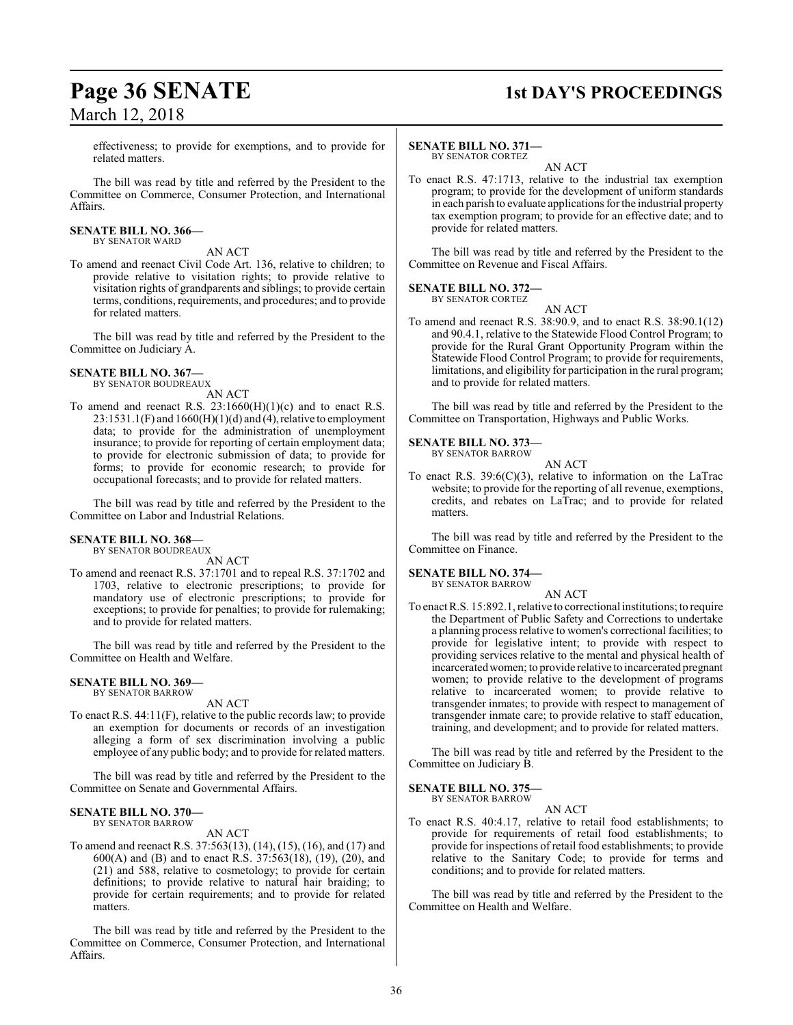### **Page 36 SENATE 1st DAY'S PROCEEDINGS**

effectiveness; to provide for exemptions, and to provide for related matters.

The bill was read by title and referred by the President to the Committee on Commerce, Consumer Protection, and International Affairs.

#### **SENATE BILL NO. 366—**

BY SENATOR WARD

AN ACT To amend and reenact Civil Code Art. 136, relative to children; to provide relative to visitation rights; to provide relative to visitation rights of grandparents and siblings; to provide certain terms, conditions, requirements, and procedures; and to provide for related matters.

The bill was read by title and referred by the President to the Committee on Judiciary A.

#### **SENATE BILL NO. 367—**

BY SENATOR BOUDREAUX AN ACT

- To amend and reenact R.S.  $23:1660(H)(1)(c)$  and to enact R.S.
- $23:1531.1(F)$  and  $1660(H)(1)(d)$  and  $(4)$ , relative to employment data; to provide for the administration of unemployment insurance; to provide for reporting of certain employment data; to provide for electronic submission of data; to provide for forms; to provide for economic research; to provide for occupational forecasts; and to provide for related matters.

The bill was read by title and referred by the President to the Committee on Labor and Industrial Relations.

#### **SENATE BILL NO. 368—** BY SENATOR BOUDREAUX

AN ACT

To amend and reenact R.S. 37:1701 and to repeal R.S. 37:1702 and 1703, relative to electronic prescriptions; to provide for mandatory use of electronic prescriptions; to provide for exceptions; to provide for penalties; to provide for rulemaking; and to provide for related matters.

The bill was read by title and referred by the President to the Committee on Health and Welfare.

#### **SENATE BILL NO. 369—** BY SENATOR BARROW

#### AN ACT

To enact R.S. 44:11(F), relative to the public records law; to provide an exemption for documents or records of an investigation alleging a form of sex discrimination involving a public employee of any public body; and to provide for related matters.

The bill was read by title and referred by the President to the Committee on Senate and Governmental Affairs.

#### **SENATE BILL NO. 370—** BY SENATOR BARROW

AN ACT

To amend and reenact R.S. 37:563(13), (14), (15), (16), and (17) and 600(A) and (B) and to enact R.S. 37:563(18), (19), (20), and (21) and 588, relative to cosmetology; to provide for certain definitions; to provide relative to natural hair braiding; to provide for certain requirements; and to provide for related matters.

The bill was read by title and referred by the President to the Committee on Commerce, Consumer Protection, and International Affairs.

#### **SENATE BILL NO. 371—** BY SENATOR CORTEZ

AN ACT

To enact R.S. 47:1713, relative to the industrial tax exemption program; to provide for the development of uniform standards in each parish to evaluate applications for the industrial property tax exemption program; to provide for an effective date; and to provide for related matters.

The bill was read by title and referred by the President to the Committee on Revenue and Fiscal Affairs.

#### **SENATE BILL NO. 372—** BY SENATOR CORTEZ

AN ACT

To amend and reenact R.S. 38:90.9, and to enact R.S. 38:90.1(12) and 90.4.1, relative to the Statewide Flood Control Program; to provide for the Rural Grant Opportunity Program within the Statewide Flood Control Program; to provide for requirements, limitations, and eligibility for participation in the rural program; and to provide for related matters.

The bill was read by title and referred by the President to the Committee on Transportation, Highways and Public Works.

#### **SENATE BILL NO. 373—** BY SENATOR BARROW

AN ACT

To enact R.S.  $39:6(C)(3)$ , relative to information on the LaTrac website; to provide for the reporting of all revenue, exemptions, credits, and rebates on LaTrac; and to provide for related matters.

The bill was read by title and referred by the President to the Committee on Finance.

### **SENATE BILL NO. 374—**

BY SENATOR BARROW

AN ACT To enact R.S. 15:892.1, relative to correctional institutions; to require the Department of Public Safety and Corrections to undertake a planning process relative to women's correctional facilities; to provide for legislative intent; to provide with respect to providing services relative to the mental and physical health of incarceratedwomen; to provide relative to incarcerated pregnant women; to provide relative to the development of programs relative to incarcerated women; to provide relative to transgender inmates; to provide with respect to management of transgender inmate care; to provide relative to staff education, training, and development; and to provide for related matters.

The bill was read by title and referred by the President to the Committee on Judiciary B.

#### **SENATE BILL NO. 375—** BY SENATOR BARROW

AN ACT

To enact R.S. 40:4.17, relative to retail food establishments; to provide for requirements of retail food establishments; to provide for inspections of retail food establishments; to provide relative to the Sanitary Code; to provide for terms and conditions; and to provide for related matters.

The bill was read by title and referred by the President to the Committee on Health and Welfare.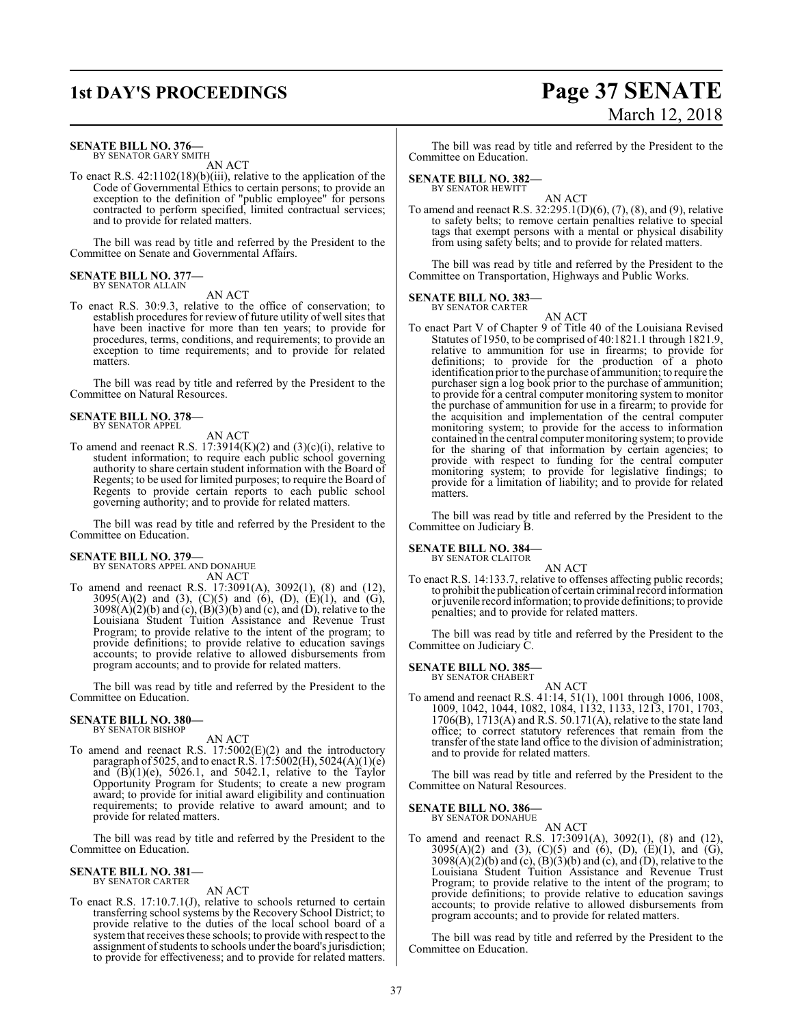## **1st DAY'S PROCEEDINGS Page 37 SENATE** March 12, 2018

#### **SENATE BILL NO. 376—**

BY SENATOR GARY SMITH AN ACT

To enact R.S. 42:1102(18)(b)(iii), relative to the application of the Code of Governmental Ethics to certain persons; to provide an exception to the definition of "public employee" for persons contracted to perform specified, limited contractual services; and to provide for related matters.

The bill was read by title and referred by the President to the Committee on Senate and Governmental Affairs.

#### **SENATE BILL NO. 377—** BY SENATOR ALLAIN

AN ACT

To enact R.S. 30:9.3, relative to the office of conservation; to establish procedures for review of future utility of well sites that have been inactive for more than ten years; to provide for procedures, terms, conditions, and requirements; to provide an exception to time requirements; and to provide for related matters.

The bill was read by title and referred by the President to the Committee on Natural Resources.

#### **SENATE BILL NO. 378—** BY SENATOR APPEL

AN ACT

To amend and reenact R.S.  $17:3914(K)(2)$  and  $(3)(c)(i)$ , relative to student information; to require each public school governing authority to share certain student information with the Board of Regents; to be used for limited purposes; to require the Board of Regents to provide certain reports to each public school governing authority; and to provide for related matters.

The bill was read by title and referred by the President to the Committee on Education.

#### **SENATE BILL NO. 379—**

BY SENATORS APPEL AND DONAHUE AN ACT

To amend and reenact R.S. 17:3091(A), 3092(1), (8) and (12), 3095(A)(2) and (3), (C)(5) and (6), (D), (E)(1), and (G),  $3098(A)(2)(b)$  and (c),  $(B)(3)(b)$  and (c), and (D), relative to the Louisiana Student Tuition Assistance and Revenue Trust Program; to provide relative to the intent of the program; to provide definitions; to provide relative to education savings accounts; to provide relative to allowed disbursements from program accounts; and to provide for related matters.

The bill was read by title and referred by the President to the Committee on Education.

#### **SENATE BILL NO. 380—** BY SENATOR BISHOP

AN ACT

To amend and reenact R.S. 17:5002(E)(2) and the introductory paragraph of 5025, and to enact R.S.  $17:5002(H)$ , 5024(A)(1)(e) and  $(B)(1)(e)$ , 5026.1, and 5042.1, relative to the Taylor Opportunity Program for Students; to create a new program award; to provide for initial award eligibility and continuation requirements; to provide relative to award amount; and to provide for related matters.

The bill was read by title and referred by the President to the Committee on Education.

#### **SENATE BILL NO. 381—** BY SENATOR CARTER

AN ACT

To enact R.S. 17:10.7.1(J), relative to schools returned to certain transferring school systems by the Recovery School District; to provide relative to the duties of the local school board of a system that receives these schools; to provide with respect to the assignment of students to schools under the board's jurisdiction; to provide for effectiveness; and to provide for related matters.

The bill was read by title and referred by the President to the Committee on Education.

#### **SENATE BILL NO. 382—** BY SENATOR HEWITT

AN ACT

To amend and reenact R.S. 32:295.1(D)(6), (7), (8), and (9), relative to safety belts; to remove certain penalties relative to special tags that exempt persons with a mental or physical disability from using safety belts; and to provide for related matters.

The bill was read by title and referred by the President to the Committee on Transportation, Highways and Public Works.

#### **SENATE BILL NO. 383—** BY SENATOR CARTER

AN ACT

To enact Part V of Chapter 9 of Title 40 of the Louisiana Revised Statutes of 1950, to be comprised of 40:1821.1 through 1821.9, relative to ammunition for use in firearms; to provide for definitions; to provide for the production of a photo identification prior to the purchase of ammunition; to require the purchaser sign a log book prior to the purchase of ammunition; to provide for a central computer monitoring system to monitor the purchase of ammunition for use in a firearm; to provide for the acquisition and implementation of the central computer monitoring system; to provide for the access to information contained in the central computer monitoring system; to provide for the sharing of that information by certain agencies; to provide with respect to funding for the central computer monitoring system; to provide for legislative findings; to provide for a limitation of liability; and to provide for related matters.

The bill was read by title and referred by the President to the Committee on Judiciary B.

### **SENATE BILL NO. 384—** BY SENATOR CLAITOR

AN ACT

To enact R.S. 14:133.7, relative to offenses affecting public records; to prohibit the publication of certain criminal record information or juvenile record information; to provide definitions; to provide penalties; and to provide for related matters.

The bill was read by title and referred by the President to the Committee on Judiciary C.

### **SENATE BILL NO. 385—** BY SENATOR CHABERT

AN ACT

To amend and reenact R.S. 41:14, 51(1), 1001 through 1006, 1008, 1009, 1042, 1044, 1082, 1084, 1132, 1133, 1213, 1701, 1703, 1706(B), 1713(A) and R.S. 50.171(A), relative to the state land office; to correct statutory references that remain from the transfer of the state land office to the division of administration; and to provide for related matters.

The bill was read by title and referred by the President to the Committee on Natural Resources.

#### **SENATE BILL NO. 386—**

BY SENATOR DONAHUE AN ACT

To amend and reenact R.S. 17:3091(A), 3092(1), (8) and (12),  $3095(A)(2)$  and  $(3)$ ,  $(C)(5)$  and  $(6)$ ,  $(D)$ ,  $(E)(1)$ , and  $(G)$ ,  $3098(A)(2)(b)$  and  $(c)$ ,  $(B)(3)(b)$  and  $(c)$ , and  $(D)$ , relative to the Louisiana Student Tuition Assistance and Revenue Trust Program; to provide relative to the intent of the program; to provide definitions; to provide relative to education savings accounts; to provide relative to allowed disbursements from program accounts; and to provide for related matters.

The bill was read by title and referred by the President to the Committee on Education.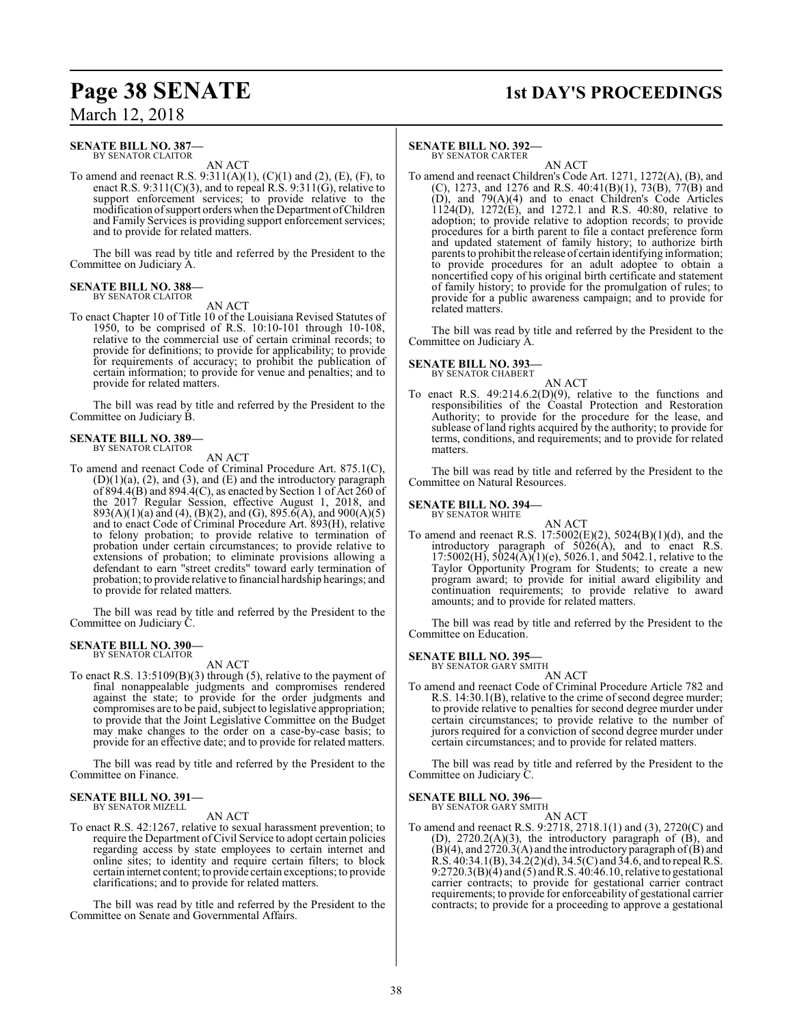#### **SENATE BILL NO. 387—** BY SENATOR CLAITOR

AN ACT

To amend and reenact R.S.  $9:311(A)(1)$ ,  $(C)(1)$  and  $(2)$ ,  $(E)$ ,  $(F)$ , to enact R.S. 9:311(C)(3), and to repeal R.S. 9:311(G), relative to support enforcement services; to provide relative to the modification ofsupport orders when the Department ofChildren and Family Services is providing support enforcement services; and to provide for related matters.

The bill was read by title and referred by the President to the Committee on Judiciary A.

#### **SENATE BILL NO. 388—** BY SENATOR CLAITOR

AN ACT

To enact Chapter 10 of Title 10 of the Louisiana Revised Statutes of 1950, to be comprised of R.S. 10:10-101 through 10-108, relative to the commercial use of certain criminal records; to provide for definitions; to provide for applicability; to provide for requirements of accuracy; to prohibit the publication of certain information; to provide for venue and penalties; and to provide for related matters.

The bill was read by title and referred by the President to the Committee on Judiciary B.

### **SENATE BILL NO. 389—** BY SENATOR CLAITOR

AN ACT

To amend and reenact Code of Criminal Procedure Art. 875.1(C),  $(D)(1)(a)$ ,  $(2)$ , and  $(3)$ , and  $(E)$  and the introductory paragraph of  $894.4(B)$  and  $894.4(C)$ , as enacted by Section 1 of Act  $260$  of the 2017 Regular Session, effective August 1, 2018, and 893(A)(1)(a) and (4), (B)(2), and (G), 895.6(A), and 900(A)(5) and to enact Code of Criminal Procedure Art. 893(H), relative to felony probation; to provide relative to termination of probation under certain circumstances; to provide relative to extensions of probation; to eliminate provisions allowing a defendant to earn "street credits" toward early termination of probation; to provide relative to financial hardship hearings; and to provide for related matters.

The bill was read by title and referred by the President to the Committee on Judiciary C.

#### **SENATE BILL NO. 390—** BY SENATOR CLAITOR

AN ACT

To enact R.S. 13:5109(B)(3) through (5), relative to the payment of final nonappealable judgments and compromises rendered against the state; to provide for the order judgments and compromises are to be paid, subject to legislative appropriation; to provide that the Joint Legislative Committee on the Budget may make changes to the order on a case-by-case basis; to provide for an effective date; and to provide for related matters.

The bill was read by title and referred by the President to the Committee on Finance.

## **SENATE BILL NO. 391—** BY SENATOR MIZELL

AN ACT

To enact R.S. 42:1267, relative to sexual harassment prevention; to require the Department ofCivil Service to adopt certain policies regarding access by state employees to certain internet and online sites; to identity and require certain filters; to block certain internet content; to provide certain exceptions; to provide clarifications; and to provide for related matters.

The bill was read by title and referred by the President to the Committee on Senate and Governmental Affairs.

### **Page 38 SENATE 1st DAY'S PROCEEDINGS**

#### **SENATE BILL NO. 392—**

BY SENATOR CARTER AN ACT

To amend and reenact Children's Code Art. 1271, 1272(A), (B), and (C), 1273, and 1276 and R.S.  $40:41(B)(1)$ ,  $73(B)$ ,  $77(B)$  and (D), and 79(A)(4) and to enact Children's Code Articles 1124(D), 1272(E), and 1272.1 and R.S. 40:80, relative to adoption; to provide relative to adoption records; to provide procedures for a birth parent to file a contact preference form and updated statement of family history; to authorize birth parents to prohibit the release of certain identifying information; to provide procedures for an adult adoptee to obtain a noncertified copy of his original birth certificate and statement of family history; to provide for the promulgation of rules; to provide for a public awareness campaign; and to provide for related matters.

The bill was read by title and referred by the President to the Committee on Judiciary A.

### **SENATE BILL NO. 393—** BY SENATOR CHABERT

AN ACT

To enact R.S. 49:214.6.2(D)(9), relative to the functions and responsibilities of the Coastal Protection and Restoration Authority; to provide for the procedure for the lease, and sublease of land rights acquired by the authority; to provide for terms, conditions, and requirements; and to provide for related matters.

The bill was read by title and referred by the President to the Committee on Natural Resources.

#### **SENATE BILL NO. 394—**

BY SENATOR WHITE

AN ACT To amend and reenact R.S. 17:5002(E)(2), 5024(B)(1)(d), and the introductory paragraph of 5026(A), and to enact R.S.  $17:5002(H)$ ,  $5024(A)(1)(e)$ ,  $5026.1$ , and  $5042.1$ , relative to the Taylor Opportunity Program for Students; to create a new program award; to provide for initial award eligibility and continuation requirements; to provide relative to award amounts; and to provide for related matters.

The bill was read by title and referred by the President to the Committee on Education.

#### **SENATE BILL NO. 395—** BY SENATOR GARY SMITH

AN ACT

To amend and reenact Code of Criminal Procedure Article 782 and R.S. 14:30.1(B), relative to the crime of second degree murder; to provide relative to penalties for second degree murder under certain circumstances; to provide relative to the number of jurors required for a conviction of second degree murder under certain circumstances; and to provide for related matters.

The bill was read by title and referred by the President to the Committee on Judiciary C.

### **SENATE BILL NO. 396—**<br>BY SENATOR GARY SMITH

AN ACT

To amend and reenact R.S. 9:2718, 2718.1(1) and (3), 2720(C) and (D), 2720.2(A)(3), the introductory paragraph of (B), and  $(B)(4)$ , and 2720.3(A) and the introductory paragraph of  $(B)$  and R.S. 40:34.1(B), 34.2(2)(d), 34.5(C) and 34.6, and to repeal R.S. 9:2720.3(B)(4) and (5) and R.S. 40:46.10, relative to gestational carrier contracts; to provide for gestational carrier contract requirements; to provide for enforceability of gestational carrier contracts; to provide for a proceeding to approve a gestational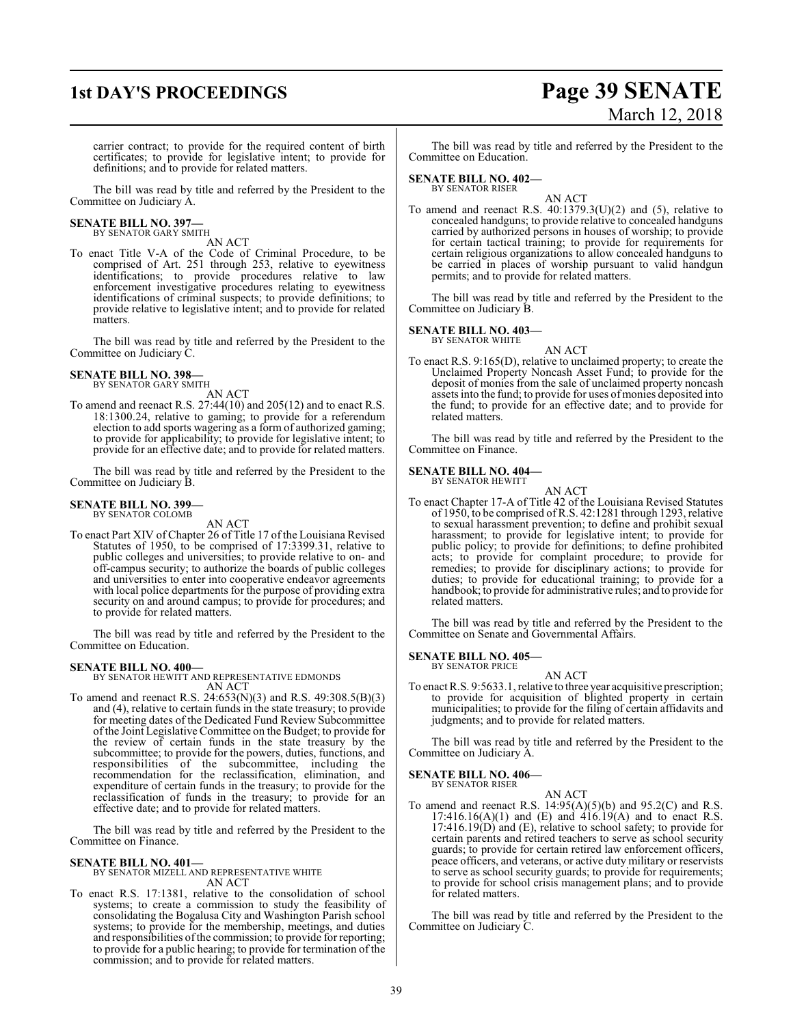## **1st DAY'S PROCEEDINGS Page 39 SENATE** March 12, 2018

carrier contract; to provide for the required content of birth certificates; to provide for legislative intent; to provide for definitions; and to provide for related matters.

The bill was read by title and referred by the President to the Committee on Judiciary A.

#### **SENATE BILL NO. 397—** BY SENATOR GARY SMITH

AN ACT

To enact Title V-A of the Code of Criminal Procedure, to be comprised of Art. 251 through 253, relative to eyewitness identifications; to provide procedures relative to law enforcement investigative procedures relating to eyewitness identifications of criminal suspects; to provide definitions; to provide relative to legislative intent; and to provide for related matters.

The bill was read by title and referred by the President to the Committee on Judiciary C.

## **SENATE BILL NO. 398—** BY SENATOR GARY SMITH

AN ACT

To amend and reenact R.S. 27:44(10) and 205(12) and to enact R.S. 18:1300.24, relative to gaming; to provide for a referendum election to add sports wagering as a form of authorized gaming; to provide for applicability; to provide for legislative intent; to provide for an effective date; and to provide for related matters.

The bill was read by title and referred by the President to the Committee on Judiciary B.

#### **SENATE BILL NO. 399—** BY SENATOR COLOMB

AN ACT

To enact Part XIV of Chapter 26 of Title 17 of the Louisiana Revised Statutes of 1950, to be comprised of 17:3399.31, relative to public colleges and universities; to provide relative to on- and off-campus security; to authorize the boards of public colleges and universities to enter into cooperative endeavor agreements with local police departments for the purpose of providing extra security on and around campus; to provide for procedures; and to provide for related matters.

The bill was read by title and referred by the President to the Committee on Education.

**SENATE BILL NO. 400—** BY SENATOR HEWITT AND REPRESENTATIVE EDMONDS AN ACT

To amend and reenact R.S. 24:653(N)(3) and R.S. 49:308.5(B)(3) and (4), relative to certain funds in the state treasury; to provide for meeting dates of the Dedicated Fund Review Subcommittee of the Joint Legislative Committee on the Budget; to provide for the review of certain funds in the state treasury by the subcommittee; to provide for the powers, duties, functions, and<br>responsibilities of the subcommittee, including the responsibilities of the subcommittee, recommendation for the reclassification, elimination, and expenditure of certain funds in the treasury; to provide for the reclassification of funds in the treasury; to provide for an effective date; and to provide for related matters.

The bill was read by title and referred by the President to the Committee on Finance.

### **SENATE BILL NO. 401—** BY SENATOR MIZELL AND REPRESENTATIVE WHITE AN ACT

To enact R.S. 17:1381, relative to the consolidation of school systems; to create a commission to study the feasibility of consolidating the Bogalusa City and Washington Parish school systems; to provide for the membership, meetings, and duties and responsibilities of the commission; to provide for reporting; to provide for a public hearing; to provide for termination of the commission; and to provide for related matters.

The bill was read by title and referred by the President to the Committee on Education.

#### **SENATE BILL NO. 402—** BY SENATOR RISER

AN ACT

To amend and reenact R.S.  $40:1379.3(U)(2)$  and  $(5)$ , relative to concealed handguns; to provide relative to concealed handguns carried by authorized persons in houses of worship; to provide for certain tactical training; to provide for requirements for certain religious organizations to allow concealed handguns to be carried in places of worship pursuant to valid handgun permits; and to provide for related matters.

The bill was read by title and referred by the President to the Committee on Judiciary B.

#### **SENATE BILL NO. 403—** BY SENATOR WHITE

AN ACT

To enact R.S. 9:165(D), relative to unclaimed property; to create the Unclaimed Property Noncash Asset Fund; to provide for the deposit of monies from the sale of unclaimed property noncash assets into the fund; to provide for uses of monies deposited into the fund; to provide for an effective date; and to provide for related matters.

The bill was read by title and referred by the President to the Committee on Finance.

#### **SENATE BILL NO. 404—** BY SENATOR HEWITT

AN ACT

To enact Chapter 17-A of Title 42 of the Louisiana Revised Statutes of 1950, to be comprised of R.S. 42:1281 through 1293, relative to sexual harassment prevention; to define and prohibit sexual harassment; to provide for legislative intent; to provide for public policy; to provide for definitions; to define prohibited acts; to provide for complaint procedure; to provide for remedies; to provide for disciplinary actions; to provide for duties; to provide for educational training; to provide for a handbook; to provide for administrative rules; and to provide for related matters.

The bill was read by title and referred by the President to the Committee on Senate and Governmental Affairs.

#### **SENATE BILL NO. 405—** BY SENATOR PRICE

AN ACT

To enact R.S. 9:5633.1, relative to three year acquisitive prescription; to provide for acquisition of blighted property in certain municipalities; to provide for the filing of certain affidavits and judgments; and to provide for related matters.

The bill was read by title and referred by the President to the Committee on Judiciary A.

#### **SENATE BILL NO. 406—**

BY SENATOR RISER

AN ACT To amend and reenact R.S.  $14:95(A)(5)(b)$  and  $95.2(C)$  and R.S.  $17:416.16(A)(1)$  and  $(E)$  and  $416.19(A)$  and to enact R.S.  $17:416.19(D)$  and  $(E)$ , relative to school safety; to provide for certain parents and retired teachers to serve as school security guards; to provide for certain retired law enforcement officers, peace officers, and veterans, or active duty military or reservists to serve as school security guards; to provide for requirements; to provide for school crisis management plans; and to provide for related matters.

The bill was read by title and referred by the President to the Committee on Judiciary C.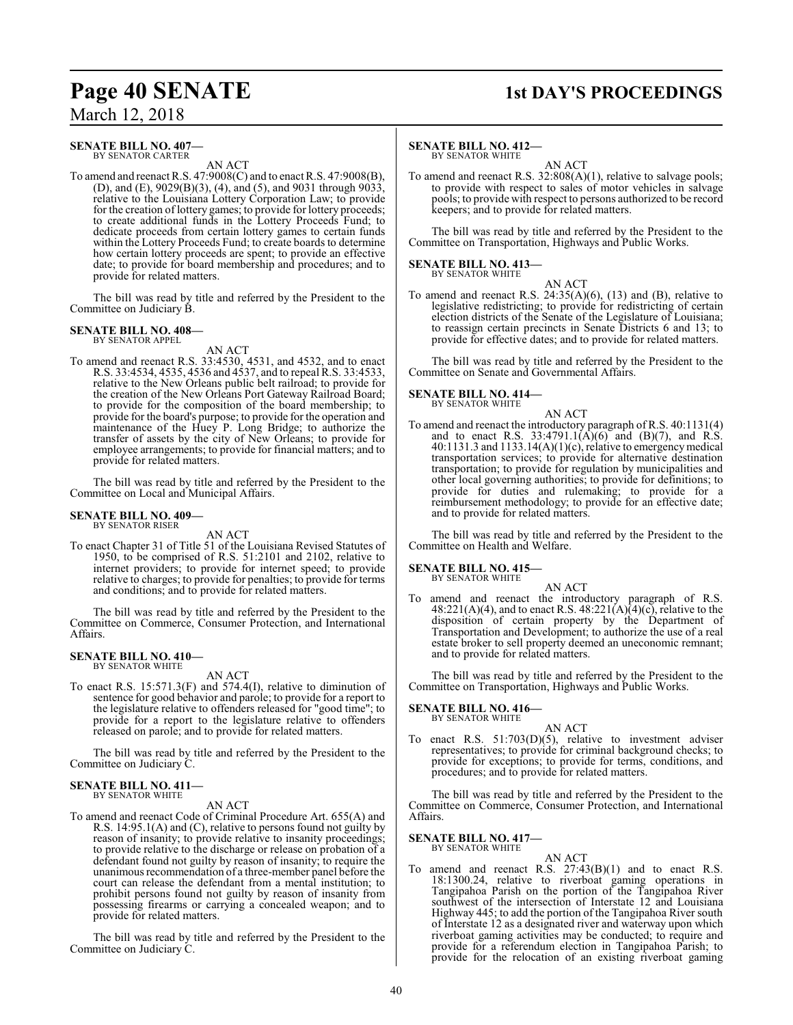# **Page 40 SENATE 1st DAY'S PROCEEDINGS**

March 12, 2018

#### **SENATE BILL NO. 407—** BY SENATOR CARTER

AN ACT

To amend and reenact R.S. 47:9008(C) and to enact R.S. 47:9008(B), (D), and (E), 9029(B)(3), (4), and (5), and 9031 through 9033, relative to the Louisiana Lottery Corporation Law; to provide for the creation of lottery games; to provide for lottery proceeds; to create additional funds in the Lottery Proceeds Fund; to dedicate proceeds from certain lottery games to certain funds within the Lottery Proceeds Fund; to create boards to determine how certain lottery proceeds are spent; to provide an effective date; to provide for board membership and procedures; and to provide for related matters.

The bill was read by title and referred by the President to the Committee on Judiciary B.

#### **SENATE BILL NO. 408—** BY SENATOR APPEL

AN ACT

To amend and reenact R.S. 33:4530, 4531, and 4532, and to enact R.S. 33:4534, 4535, 4536 and 4537, and to repeal R.S. 33:4533, relative to the New Orleans public belt railroad; to provide for the creation of the New Orleans Port Gateway Railroad Board; to provide for the composition of the board membership; to provide for the board's purpose; to provide for the operation and maintenance of the Huey P. Long Bridge; to authorize the transfer of assets by the city of New Orleans; to provide for employee arrangements; to provide for financial matters; and to provide for related matters.

The bill was read by title and referred by the President to the Committee on Local and Municipal Affairs.

#### **SENATE BILL NO. 409—** BY SENATOR RISER

AN ACT

To enact Chapter 31 of Title 51 of the Louisiana Revised Statutes of 1950, to be comprised of R.S. 51:2101 and 2102, relative to internet providers; to provide for internet speed; to provide relative to charges; to provide for penalties; to provide for terms and conditions; and to provide for related matters.

The bill was read by title and referred by the President to the Committee on Commerce, Consumer Protection, and International Affairs.

#### **SENATE BILL NO. 410—** BY SENATOR WHITE

AN ACT

To enact R.S. 15:571.3(F) and 574.4(I), relative to diminution of sentence for good behavior and parole; to provide for a report to the legislature relative to offenders released for "good time"; to provide for a report to the legislature relative to offenders released on parole; and to provide for related matters.

The bill was read by title and referred by the President to the Committee on Judiciary C.

#### **SENATE BILL NO. 411—** BY SENATOR WHITE

AN ACT

To amend and reenact Code of Criminal Procedure Art. 655(A) and R.S. 14:95.1(A) and (C), relative to persons found not guilty by reason of insanity; to provide relative to insanity proceedings; to provide relative to the discharge or release on probation of a defendant found not guilty by reason of insanity; to require the unanimous recommendation of a three-member panel before the court can release the defendant from a mental institution; to prohibit persons found not guilty by reason of insanity from possessing firearms or carrying a concealed weapon; and to provide for related matters.

The bill was read by title and referred by the President to the Committee on Judiciary C.

#### **SENATE BILL NO. 412—** BY SENATOR WHITE

AN ACT

To amend and reenact R.S. 32:808(A)(1), relative to salvage pools; to provide with respect to sales of motor vehicles in salvage pools; to provide with respect to persons authorized to be record keepers; and to provide for related matters.

The bill was read by title and referred by the President to the Committee on Transportation, Highways and Public Works.

#### **SENATE BILL NO. 413—** BY SENATOR WHITE

AN ACT To amend and reenact R.S. 24:35(A)(6), (13) and (B), relative to legislative redistricting; to provide for redistricting of certain election districts of the Senate of the Legislature of Louisiana; to reassign certain precincts in Senate Districts 6 and 13; to provide for effective dates; and to provide for related matters.

The bill was read by title and referred by the President to the Committee on Senate and Governmental Affairs.

### **SENATE BILL NO. 414—**<br>BY SENATOR WHITE

AN ACT

To amend and reenact the introductory paragraph of R.S. 40:1131(4) and to enact R.S. 33:4791.1( $\vec{A}$ )(6) and (B)(7), and R.S.  $40:1131.3$  and  $1133.14(A)(1)(c)$ , relative to emergency medical transportation services; to provide for alternative destination transportation; to provide for regulation by municipalities and other local governing authorities; to provide for definitions; to provide for duties and rulemaking; to provide for a reimbursement methodology; to provide for an effective date; and to provide for related matters.

The bill was read by title and referred by the President to the Committee on Health and Welfare.

### **SENATE BILL NO. 415—**<br>BY SENATOR WHITE

AN ACT To amend and reenact the introductory paragraph of R.S.  $48:221(A)(4)$ , and to enact R.S.  $48:221(A)(4)(c)$ , relative to the disposition of certain property by the Department of Transportation and Development; to authorize the use of a real estate broker to sell property deemed an uneconomic remnant; and to provide for related matters.

The bill was read by title and referred by the President to the Committee on Transportation, Highways and Public Works.

**SENATE BILL NO. 416—**<br>BY SENATOR WHITE

AN ACT

To enact R.S. 51:703(D)(5), relative to investment adviser representatives; to provide for criminal background checks; to provide for exceptions; to provide for terms, conditions, and procedures; and to provide for related matters.

The bill was read by title and referred by the President to the Committee on Commerce, Consumer Protection, and International Affairs.

**SENATE BILL NO. 417—**<br>BY SENATOR WHITE

AN ACT

To amend and reenact R.S.  $27:43(B)(1)$  and to enact R.S. 18:1300.24, relative to riverboat gaming operations in Tangipahoa Parish on the portion of the Tangipahoa River southwest of the intersection of Interstate 12 and Louisiana Highway 445; to add the portion of the Tangipahoa River south of Interstate 12 as a designated river and waterway upon which riverboat gaming activities may be conducted; to require and provide for a referendum election in Tangipahoa Parish; to provide for the relocation of an existing riverboat gaming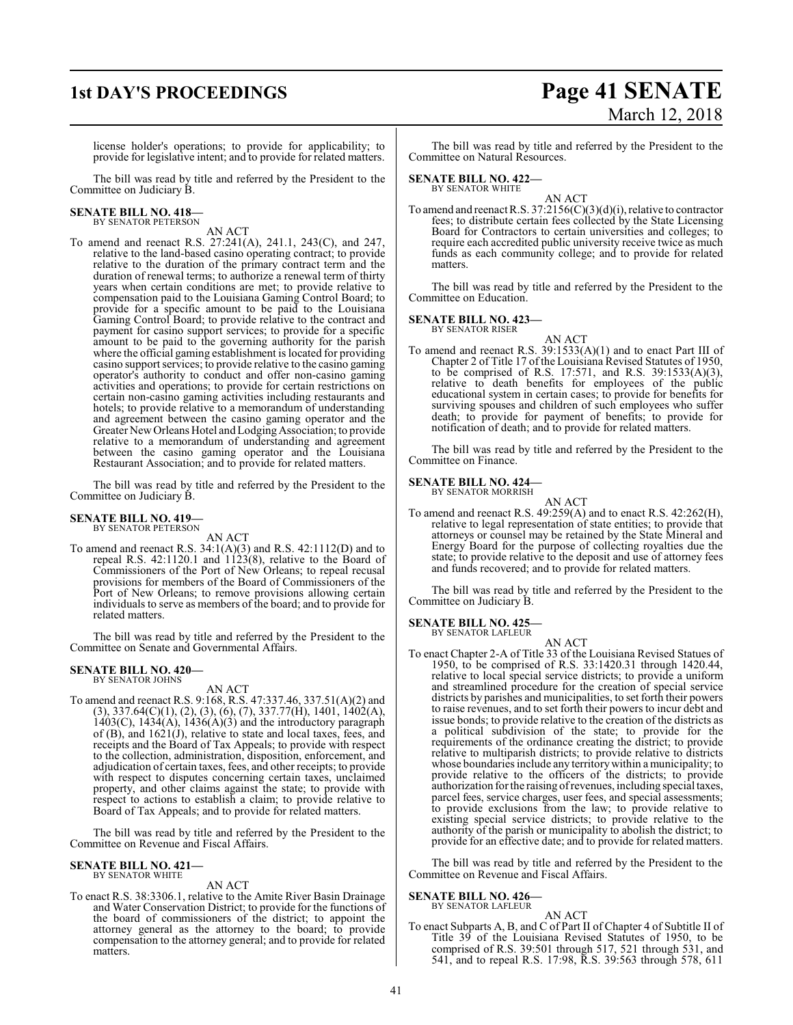## **1st DAY'S PROCEEDINGS Page 41 SENATE** March 12, 2018

license holder's operations; to provide for applicability; to provide for legislative intent; and to provide for related matters.

The bill was read by title and referred by the President to the Committee on Judiciary B.

# **SENATE BILL NO. 418—** BY SENATOR PETERSON

AN ACT

To amend and reenact R.S. 27:241(A), 241.1, 243(C), and 247, relative to the land-based casino operating contract; to provide relative to the duration of the primary contract term and the duration of renewal terms; to authorize a renewal term of thirty years when certain conditions are met; to provide relative to compensation paid to the Louisiana Gaming Control Board; to provide for a specific amount to be paid to the Louisiana Gaming Control Board; to provide relative to the contract and payment for casino support services; to provide for a specific amount to be paid to the governing authority for the parish where the official gaming establishment is located for providing casino support services; to provide relative to the casino gaming operator's authority to conduct and offer non-casino gaming activities and operations; to provide for certain restrictions on certain non-casino gaming activities including restaurants and hotels; to provide relative to a memorandum of understanding and agreement between the casino gaming operator and the Greater NewOrleans Hotel and LodgingAssociation; to provide relative to a memorandum of understanding and agreement between the casino gaming operator and the Louisiana Restaurant Association; and to provide for related matters.

The bill was read by title and referred by the President to the Committee on Judiciary B.

#### **SENATE BILL NO. 419—** BY SENATOR PETERSON

AN ACT

To amend and reenact R.S. 34:1(A)(3) and R.S. 42:1112(D) and to repeal R.S.  $42:1120.1$  and  $1123(8)$ , relative to the Board of Commissioners of the Port of New Orleans; to repeal recusal provisions for members of the Board of Commissioners of the Port of New Orleans; to remove provisions allowing certain individuals to serve as members of the board; and to provide for related matters.

The bill was read by title and referred by the President to the Committee on Senate and Governmental Affairs.

#### **SENATE BILL NO. 420—** BY SENATOR JOHNS

AN ACT

To amend and reenact R.S. 9:168, R.S. 47:337.46, 337.51(A)(2) and (3), 337.64(C)(1), (2), (3), (6), (7), 337.77(H), 1401, 1402(A),  $1403(C)$ ,  $1434(A)$ ,  $1436(A)(3)$  and the introductory paragraph of  $(B)$ , and  $1621(J)$ , relative to state and local taxes, fees, and receipts and the Board of Tax Appeals; to provide with respect to the collection, administration, disposition, enforcement, and adjudication of certain taxes, fees, and other receipts; to provide with respect to disputes concerning certain taxes, unclaimed property, and other claims against the state; to provide with respect to actions to establish a claim; to provide relative to Board of Tax Appeals; and to provide for related matters.

The bill was read by title and referred by the President to the Committee on Revenue and Fiscal Affairs.

### **SENATE BILL NO. 421—** BY SENATOR WHITE

#### AN ACT

To enact R.S. 38:3306.1, relative to the Amite River Basin Drainage and Water Conservation District; to provide for the functions of the board of commissioners of the district; to appoint the attorney general as the attorney to the board; to provide compensation to the attorney general; and to provide for related matters.

The bill was read by title and referred by the President to the Committee on Natural Resources.

### **SENATE BILL NO. 422—**

BY SENATOR WHITE

AN ACT To amend and reenact R.S. 37:2156(C)(3)(d)(i), relative to contractor fees; to distribute certain fees collected by the State Licensing Board for Contractors to certain universities and colleges; to require each accredited public university receive twice as much funds as each community college; and to provide for related matters.

The bill was read by title and referred by the President to the Committee on Education.

#### **SENATE BILL NO. 423—**

BY SENATOR RISER

AN ACT To amend and reenact R.S. 39:1533(A)(1) and to enact Part III of Chapter 2 of Title 17 of the Louisiana Revised Statutes of 1950, to be comprised of R.S. 17:571, and R.S. 39:1533(A)(3), relative to death benefits for employees of the public educational system in certain cases; to provide for benefits for surviving spouses and children of such employees who suffer death; to provide for payment of benefits; to provide for notification of death; and to provide for related matters.

The bill was read by title and referred by the President to the Committee on Finance.

### **SENATE BILL NO. 424—** BY SENATOR MORRISH

AN ACT To amend and reenact R.S. 49:259(A) and to enact R.S. 42:262(H), relative to legal representation of state entities; to provide that attorneys or counsel may be retained by the State Mineral and Energy Board for the purpose of collecting royalties due the state; to provide relative to the deposit and use of attorney fees and funds recovered; and to provide for related matters.

The bill was read by title and referred by the President to the Committee on Judiciary B.

### **SENATE BILL NO. 425—** BY SENATOR LAFLEUR

AN ACT

To enact Chapter 2-A of Title 33 of the Louisiana Revised Statues of 1950, to be comprised of R.S. 33:1420.31 through 1420.44, relative to local special service districts; to provide a uniform and streamlined procedure for the creation of special service districts by parishes and municipalities, to set forth their powers to raise revenues, and to set forth their powers to incur debt and issue bonds; to provide relative to the creation of the districts as a political subdivision of the state; to provide for the requirements of the ordinance creating the district; to provide relative to multiparish districts; to provide relative to districts whose boundaries include any territory within a municipality; to provide relative to the officers of the districts; to provide authorization for the raising ofrevenues, including special taxes, parcel fees, service charges, user fees, and special assessments; to provide exclusions from the law; to provide relative to existing special service districts; to provide relative to the authority of the parish or municipality to abolish the district; to provide for an effective date; and to provide for related matters.

The bill was read by title and referred by the President to the Committee on Revenue and Fiscal Affairs.

## **SENATE BILL NO. 426—** BY SENATOR LAFLEUR

AN ACT

To enact Subparts A, B, and C of Part II of Chapter 4 of Subtitle II of Title 39 of the Louisiana Revised Statutes of 1950, to be comprised of R.S. 39:501 through 517, 521 through 531, and 541, and to repeal R.S. 17:98, R.S. 39:563 through 578, 611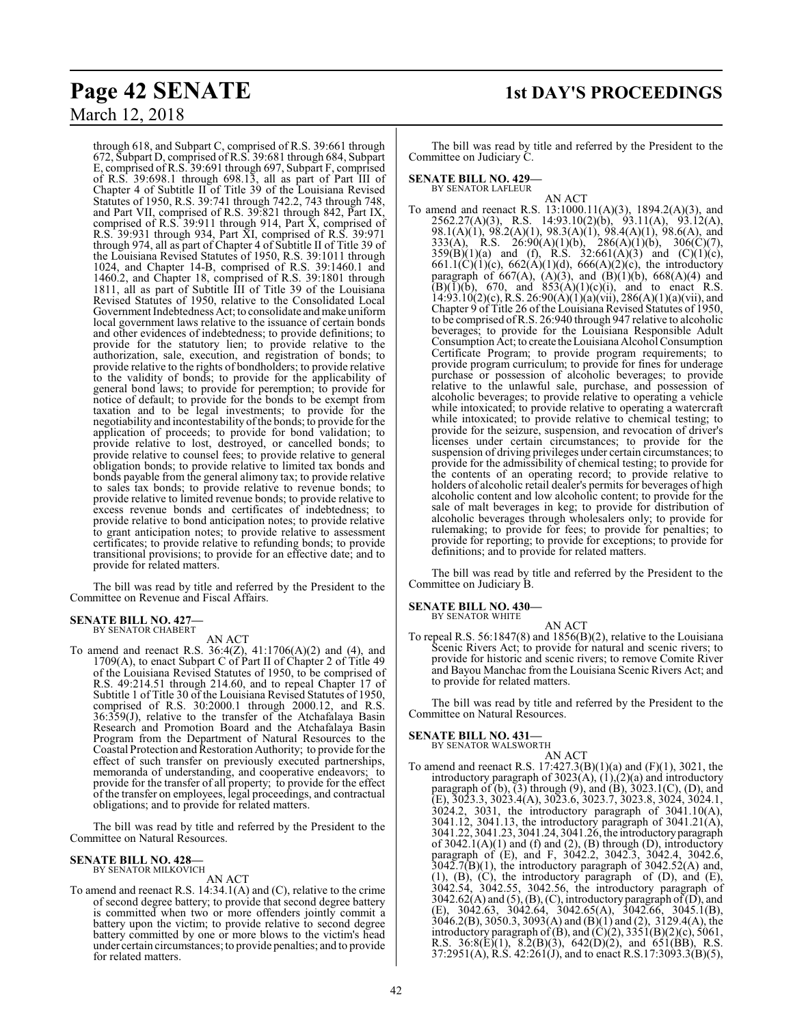through 618, and Subpart C, comprised of R.S. 39:661 through 672, Subpart D, comprised of R.S. 39:681 through 684, Subpart E, comprised of R.S. 39:691 through 697, Subpart F, comprised of R.S. 39:698.1 through 698.13, all as part of Part III of Chapter 4 of Subtitle II of Title 39 of the Louisiana Revised Statutes of 1950, R.S. 39:741 through 742.2, 743 through 748, and Part VII, comprised of R.S. 39:821 through 842, Part IX, comprised of R.S. 39:911 through 914, Part X, comprised of R.S. 39:931 through 934, Part XI, comprised of R.S. 39:971 through 974, all as part of Chapter 4 of Subtitle II of Title 39 of the Louisiana Revised Statutes of 1950, R.S. 39:1011 through 1024, and Chapter 14-B, comprised of R.S. 39:1460.1 and 1460.2, and Chapter 18, comprised of R.S. 39:1801 through 1811, all as part of Subtitle III of Title 39 of the Louisiana Revised Statutes of 1950, relative to the Consolidated Local Government Indebtedness Act; to consolidate and make uniform local government laws relative to the issuance of certain bonds and other evidences of indebtedness; to provide definitions; to provide for the statutory lien; to provide relative to the authorization, sale, execution, and registration of bonds; to provide relative to the rights of bondholders; to provide relative to the validity of bonds; to provide for the applicability of general bond laws; to provide for peremption; to provide for notice of default; to provide for the bonds to be exempt from taxation and to be legal investments; to provide for the negotiability and incontestability ofthe bonds; to provide for the application of proceeds; to provide for bond validation; to provide relative to lost, destroyed, or cancelled bonds; to provide relative to counsel fees; to provide relative to general obligation bonds; to provide relative to limited tax bonds and bonds payable from the general alimony tax; to provide relative to sales tax bonds; to provide relative to revenue bonds; to provide relative to limited revenue bonds; to provide relative to excess revenue bonds and certificates of indebtedness; to provide relative to bond anticipation notes; to provide relative to grant anticipation notes; to provide relative to assessment certificates; to provide relative to refunding bonds; to provide transitional provisions; to provide for an effective date; and to provide for related matters.

The bill was read by title and referred by the President to the Committee on Revenue and Fiscal Affairs.

### **SENATE BILL NO. 427—** BY SENATOR CHABERT

AN ACT

To amend and reenact R.S.  $36:4(Z)$ ,  $41:1706(A)(2)$  and (4), and 1709(A), to enact Subpart C of Part II of Chapter 2 of Title 49 of the Louisiana Revised Statutes of 1950, to be comprised of R.S. 49:214.51 through 214.60, and to repeal Chapter 17 of Subtitle 1 of Title 30 of the Louisiana Revised Statutes of 1950, comprised of R.S. 30:2000.1 through 2000.12, and R.S. 36:359(J), relative to the transfer of the Atchafalaya Basin Research and Promotion Board and the Atchafalaya Basin Program from the Department of Natural Resources to the Coastal Protection and Restoration Authority; to provide for the effect of such transfer on previously executed partnerships, memoranda of understanding, and cooperative endeavors; to provide for the transfer of all property; to provide for the effect of the transfer on employees, legal proceedings, and contractual obligations; and to provide for related matters.

The bill was read by title and referred by the President to the Committee on Natural Resources.

#### **SENATE BILL NO. 428—** BY SENATOR MILKOVICH

AN ACT

To amend and reenact R.S. 14:34.1(A) and (C), relative to the crime of second degree battery; to provide that second degree battery is committed when two or more offenders jointly commit a battery upon the victim; to provide relative to second degree battery committed by one or more blows to the victim's head under certain circumstances; to provide penalties; and to provide for related matters.

The bill was read by title and referred by the President to the Committee on Judiciary C.

#### **SENATE BILL NO. 429—** BY SENATOR LAFLEUR

- AN ACT
- To amend and reenact R.S. 13:1000.11(A)(3), 1894.2(A)(3), and 2562.27(A)(3), R.S. 14:93.10(2)(b), 93.11(A), 93.12(A), 98.1(A)(1), 98.2(A)(1), 98.3(A)(1), 98.4(A)(1), 98.6(A), and 333(A), R.S. 26:90(A)(1)(b), 286(A)(1)(b), 306(C)(7),  $359(B)(1)(a)$  and (f), R.S.  $32:661(A)(3)$  and  $(C)(1)(c)$ , 661.1(C)(1)(c), 662(A)(1)(d), 666(A)(2)(c), the introductory paragraph of 667(A),  $(A)(3)$ , and  $(B)(1)(b)$ , 668(A)(4) and  $(B)(1)(b)$ , 670, and  $853(A)(1)(c)(i)$ , and to enact R.S.  $14:93.10(2)(c)$ , R.S.  $26:90(A)(1)(a)(vii)$ ,  $286(A)(1)(a)(vii)$ , and Chapter 9 of Title 26 of the Louisiana Revised Statutes of 1950, to be comprised ofR.S. 26:940 through 947 relative to alcoholic beverages; to provide for the Louisiana Responsible Adult Consumption Act; to create the Louisiana Alcohol Consumption Certificate Program; to provide program requirements; to provide program curriculum; to provide for fines for underage purchase or possession of alcoholic beverages; to provide relative to the unlawful sale, purchase, and possession of alcoholic beverages; to provide relative to operating a vehicle while intoxicated; to provide relative to operating a watercraft while intoxicated; to provide relative to chemical testing; to provide for the seizure, suspension, and revocation of driver's licenses under certain circumstances; to provide for the suspension of driving privileges under certain circumstances; to provide for the admissibility of chemical testing; to provide for the contents of an operating record; to provide relative to holders of alcoholic retail dealer's permits for beverages of high alcoholic content and low alcoholic content; to provide for the sale of malt beverages in keg; to provide for distribution of alcoholic beverages through wholesalers only; to provide for rulemaking; to provide for fees; to provide for penalties; to provide for reporting; to provide for exceptions; to provide for definitions; and to provide for related matters.

The bill was read by title and referred by the President to the Committee on Judiciary B.

#### **SENATE BILL NO. 430—** BY SENATOR WHITE

AN ACT To repeal R.S. 56:1847(8) and 1856(B)(2), relative to the Louisiana Scenic Rivers Act; to provide for natural and scenic rivers; to provide for historic and scenic rivers; to remove Comite River and Bayou Manchac from the Louisiana Scenic Rivers Act; and to provide for related matters.

The bill was read by title and referred by the President to the Committee on Natural Resources.

#### **SENATE BILL NO. 431—**

BY SENATOR WALSWORTH AN ACT

To amend and reenact R.S. 17:427.3(B)(1)(a) and (F)(1), 3021, the introductory paragraph of  $3023(A)$ ,  $(1)$ ,  $(2)(a)$  and introductory paragraph of  $(b)$ ,  $(3)$  through  $(9)$ , and  $(B)$ ,  $3023.1(C)$ ,  $(D)$ , and (E), 3023.3, 3023.4(A), 3023.6, 3023.7, 3023.8, 3024, 3024.1, 3024.2, 3031, the introductory paragraph of 3041.10(A), 3041.12, 3041.13, the introductory paragraph of 3041.21(A), 3041.22, 3041.23, 3041.24, 3041.26, the introductoryparagraph of  $3042.1(A)(1)$  and (f) and (2), (B) through (D), introductory paragraph of (E), and F, 3042.2, 3042.3, 3042.4, 3042.6,  $3042.7(B)(1)$ , the introductory paragraph of  $3042.52(A)$  and, (1), (B), (C), the introductory paragraph of (D), and (E), 3042.54, 3042.55, 3042.56, the introductory paragraph of 3042.62(A) and (5), (B), (C), introductory paragraph of  $(D)$ , and (E), 3042.63, 3042.64, 3042.65(A), 3042.66, 3045.1(B), 3046.2(B), 3050.3, 3093(A) and (B)(1) and (2), 3129.4(A), the introductory paragraph of  $(B)$ , and  $(C)(2)$ , 3351 $(B)(2)(c)$ , 5061, R.S. 36:8(E)(1), 8.2(B)(3), 642(D)(2), and 651(BB), R.S.  $37:2951(A)$ , R.S.  $42:261(J)$ , and to enact R.S.17:3093.3(B)(5),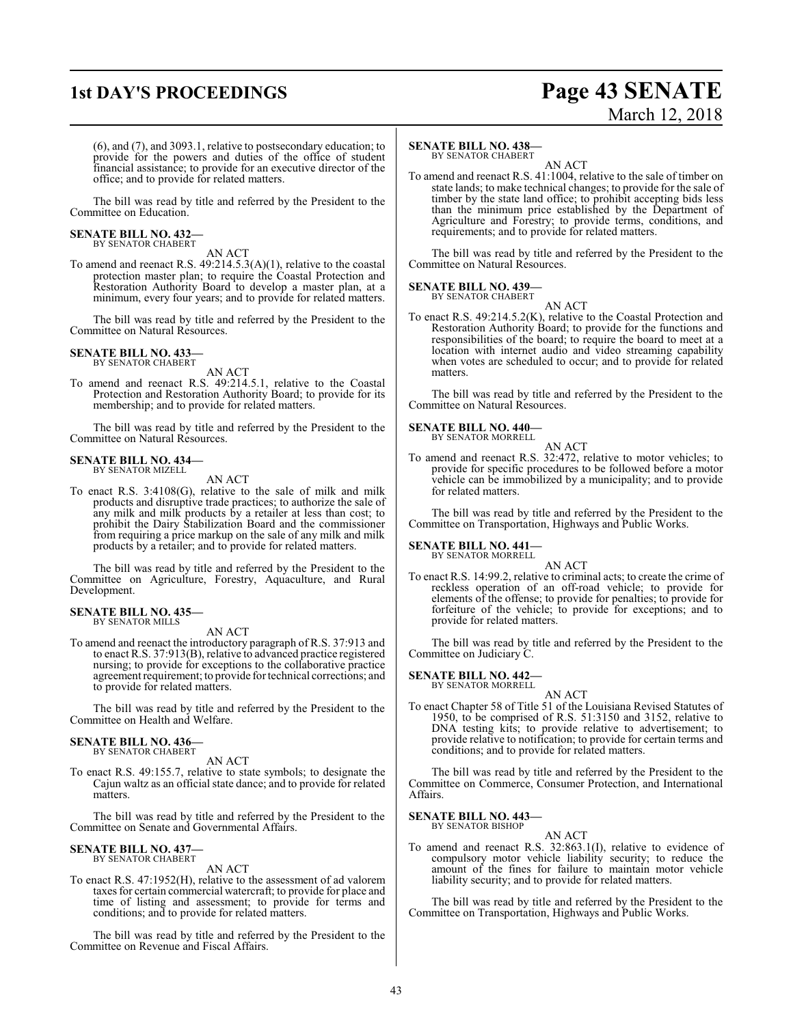### **1st DAY'S PROCEEDINGS Page 43 SENATE**

# March 12, 2018

(6), and (7), and 3093.1, relative to postsecondary education; to provide for the powers and duties of the office of student financial assistance; to provide for an executive director of the office; and to provide for related matters.

The bill was read by title and referred by the President to the Committee on Education.

## **SENATE BILL NO. 432—** BY SENATOR CHABERT

AN ACT

To amend and reenact R.S. 49:214.5.3(A)(1), relative to the coastal protection master plan; to require the Coastal Protection and Restoration Authority Board to develop a master plan, at a minimum, every four years; and to provide for related matters.

The bill was read by title and referred by the President to the Committee on Natural Resources.

#### **SENATE BILL NO. 433—** BY SENATOR CHABERT

AN ACT

To amend and reenact R.S. 49:214.5.1, relative to the Coastal Protection and Restoration Authority Board; to provide for its membership; and to provide for related matters.

The bill was read by title and referred by the President to the Committee on Natural Resources.

#### **SENATE BILL NO. 434—**

BY SENATOR MIZELL

- AN ACT
- To enact R.S. 3:4108(G), relative to the sale of milk and milk products and disruptive trade practices; to authorize the sale of any milk and milk products by a retailer at less than cost; to prohibit the Dairy Stabilization Board and the commissioner from requiring a price markup on the sale of any milk and milk products by a retailer; and to provide for related matters.

The bill was read by title and referred by the President to the Committee on Agriculture, Forestry, Aquaculture, and Rural Development.

### **SENATE BILL NO. 435—** BY SENATOR MILLS

AN ACT

To amend and reenact the introductory paragraph of R.S. 37:913 and to enact R.S. 37:913(B), relative to advanced practice registered nursing; to provide for exceptions to the collaborative practice agreement requirement; to provide for technical corrections; and to provide for related matters.

The bill was read by title and referred by the President to the Committee on Health and Welfare.

#### **SENATE BILL NO. 436—** BY SENATOR CHABERT

AN ACT

To enact R.S. 49:155.7, relative to state symbols; to designate the Cajun waltz as an official state dance; and to provide for related matters.

The bill was read by title and referred by the President to the Committee on Senate and Governmental Affairs.

#### **SENATE BILL NO. 437—** BY SENATOR CHABERT

AN ACT

To enact R.S. 47:1952(H), relative to the assessment of ad valorem taxes for certain commercial watercraft; to provide for place and time of listing and assessment; to provide for terms and conditions; and to provide for related matters.

The bill was read by title and referred by the President to the Committee on Revenue and Fiscal Affairs.

#### **SENATE BILL NO. 438—**

BY SENATOR CHABERT

AN ACT To amend and reenact R.S. 41:1004, relative to the sale of timber on state lands; to make technical changes; to provide for the sale of timber by the state land office; to prohibit accepting bids less than the minimum price established by the Department of Agriculture and Forestry; to provide terms, conditions, and requirements; and to provide for related matters.

The bill was read by title and referred by the President to the Committee on Natural Resources.

#### **SENATE BILL NO. 439—** BY SENATOR CHABERT

AN ACT

To enact R.S. 49:214.5.2(K), relative to the Coastal Protection and Restoration Authority Board; to provide for the functions and responsibilities of the board; to require the board to meet at a location with internet audio and video streaming capability when votes are scheduled to occur; and to provide for related matters.

The bill was read by title and referred by the President to the Committee on Natural Resources.

#### **SENATE BILL NO. 440—** BY SENATOR MORRELL

AN ACT

To amend and reenact R.S. 32:472, relative to motor vehicles; to provide for specific procedures to be followed before a motor vehicle can be immobilized by a municipality; and to provide for related matters.

The bill was read by title and referred by the President to the Committee on Transportation, Highways and Public Works.

#### **SENATE BILL NO. 441—** BY SENATOR MORRELL

AN ACT

To enact R.S. 14:99.2, relative to criminal acts; to create the crime of reckless operation of an off-road vehicle; to provide for elements of the offense; to provide for penalties; to provide for forfeiture of the vehicle; to provide for exceptions; and to provide for related matters.

The bill was read by title and referred by the President to the Committee on Judiciary C.

#### **SENATE BILL NO. 442—** BY SENATOR MORRELL

AN ACT

To enact Chapter 58 of Title 51 of the Louisiana Revised Statutes of 1950, to be comprised of R.S. 51:3150 and 3152, relative to DNA testing kits; to provide relative to advertisement; to provide relative to notification; to provide for certain terms and conditions; and to provide for related matters.

The bill was read by title and referred by the President to the Committee on Commerce, Consumer Protection, and International Affairs.

**SENATE BILL NO. 443—** BY SENATOR BISHOP

### AN ACT

To amend and reenact R.S. 32:863.1(I), relative to evidence of compulsory motor vehicle liability security; to reduce the amount of the fines for failure to maintain motor vehicle liability security; and to provide for related matters.

The bill was read by title and referred by the President to the Committee on Transportation, Highways and Public Works.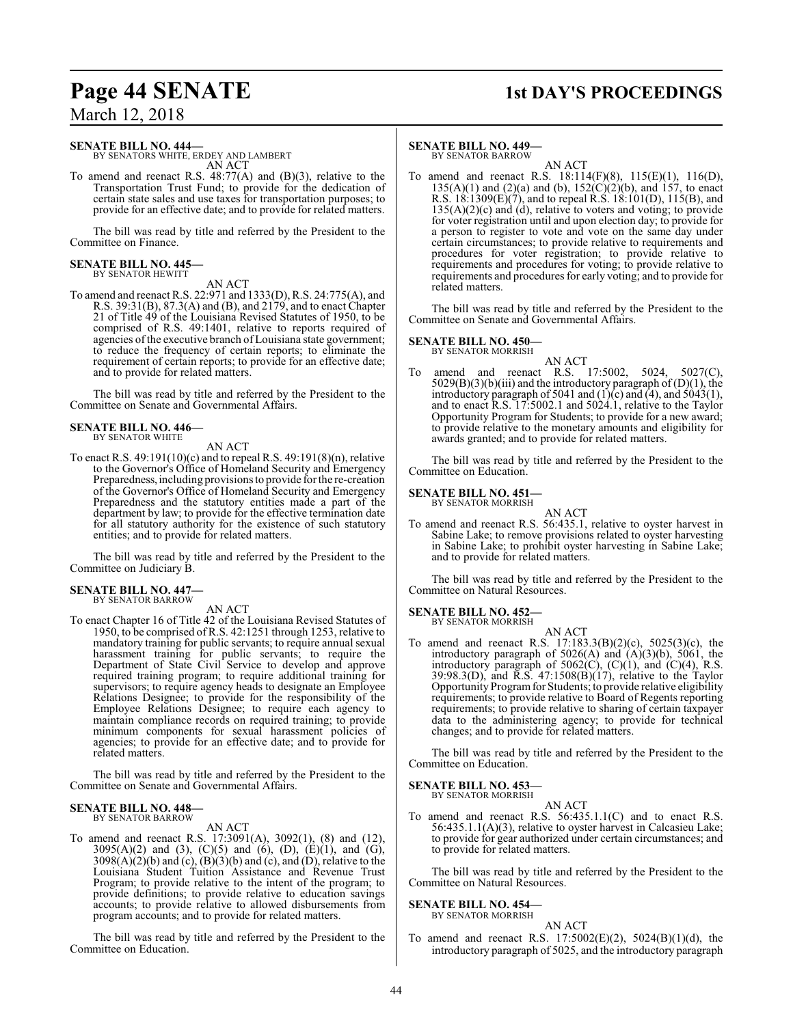# **Page 44 SENATE 1st DAY'S PROCEEDINGS**

March 12, 2018

#### **SENATE BILL NO. 444—**

BY SENATORS WHITE, ERDEY AND LAMBERT AN ACT

To amend and reenact R.S. 48:77(A) and (B)(3), relative to the Transportation Trust Fund; to provide for the dedication of certain state sales and use taxes for transportation purposes; to provide for an effective date; and to provide for related matters.

The bill was read by title and referred by the President to the Committee on Finance.

### **SENATE BILL NO. 445—** BY SENATOR HEWITT

AN ACT

To amend and reenact R.S. 22:971 and 1333(D), R.S. 24:775(A), and R.S. 39:31(B), 87.3(A) and (B), and 2179, and to enact Chapter 21 of Title 49 of the Louisiana Revised Statutes of 1950, to be comprised of R.S. 49:1401, relative to reports required of agencies ofthe executive branch of Louisiana state government; to reduce the frequency of certain reports; to eliminate the requirement of certain reports; to provide for an effective date; and to provide for related matters.

The bill was read by title and referred by the President to the Committee on Senate and Governmental Affairs.

#### **SENATE BILL NO. 446—** BY SENATOR WHITE

AN ACT

To enact R.S. 49:191(10)(c) and to repeal R.S. 49:191(8)(n), relative to the Governor's Office of Homeland Security and Emergency Preparedness, including provisions to provide for the re-creation of the Governor's Office of Homeland Security and Emergency Preparedness and the statutory entities made a part of the department by law; to provide for the effective termination date for all statutory authority for the existence of such statutory entities; and to provide for related matters.

The bill was read by title and referred by the President to the Committee on Judiciary B.

#### **SENATE BILL NO. 447—** BY SENATOR BARROW

AN ACT

To enact Chapter 16 of Title 42 of the Louisiana Revised Statutes of 1950, to be comprised of R.S. 42:1251 through 1253, relative to mandatory training for public servants; to require annual sexual harassment training for public servants; to require the Department of State Civil Service to develop and approve required training program; to require additional training for supervisors; to require agency heads to designate an Employee Relations Designee; to provide for the responsibility of the Employee Relations Designee; to require each agency to maintain compliance records on required training; to provide minimum components for sexual harassment policies of agencies; to provide for an effective date; and to provide for related matters.

The bill was read by title and referred by the President to the Committee on Senate and Governmental Affairs.

#### **SENATE BILL NO. 448—**

BY SENATOR BARROW AN ACT

To amend and reenact R.S. 17:3091(A), 3092(1), (8) and (12), 3095(A)(2) and (3), (C)(5) and (6), (D), (E)(1), and (G),  $3098(A)(2)(b)$  and (c),  $(B)(3)(b)$  and (c), and (D), relative to the Louisiana Student Tuition Assistance and Revenue Trust Program; to provide relative to the intent of the program; to provide definitions; to provide relative to education savings accounts; to provide relative to allowed disbursements from program accounts; and to provide for related matters.

The bill was read by title and referred by the President to the Committee on Education.

#### **SENATE BILL NO. 449—**

BY SENATOR BARROW AN ACT

To amend and reenact R.S. 18:114(F)(8), 115(E)(1), 116(D),  $135(A)(1)$  and  $(2)(a)$  and  $(b)$ ,  $152(C)(2)(b)$ , and  $157$ , to enact R.S. 18:1309(E)(7), and to repeal R.S. 18:101(D), 115(B), and  $135(A)(2)(c)$  and (d), relative to voters and voting; to provide for voter registration until and upon election day; to provide for a person to register to vote and vote on the same day under certain circumstances; to provide relative to requirements and procedures for voter registration; to provide relative to requirements and procedures for voting; to provide relative to requirements and procedures for early voting; and to provide for related matters.

The bill was read by title and referred by the President to the Committee on Senate and Governmental Affairs.

#### **SENATE BILL NO. 450—**

BY SENATOR MORRISH AN ACT

To amend and reenact R.S. 17:5002, 5024, 5027(C),  $5029(B)(3)(b)(iii)$  and the introductory paragraph of  $(D)(1)$ , the introductory paragraph of 5041 and  $(1)(c)$  and  $(4)$ , and 5043 $(1)$ , and to enact R.S. 17:5002.1 and 5024.1, relative to the Taylor Opportunity Program for Students; to provide for a new award; to provide relative to the monetary amounts and eligibility for awards granted; and to provide for related matters.

The bill was read by title and referred by the President to the Committee on Education.

#### **SENATE BILL NO. 451—**

BY SENATOR MORRISH AN ACT

To amend and reenact R.S. 56:435.1, relative to oyster harvest in Sabine Lake; to remove provisions related to oyster harvesting in Sabine Lake; to prohibit oyster harvesting in Sabine Lake; and to provide for related matters.

The bill was read by title and referred by the President to the Committee on Natural Resources.

#### **SENATE BILL NO. 452—**

BY SENATOR MORRISH

AN ACT To amend and reenact R.S. 17:183.3(B)(2)(c), 5025(3)(c), the introductory paragraph of  $5026(A)$  and  $(A)(3)(b)$ ,  $5061$ , the introductory paragraph of  $5062(C)$ ,  $(C)(1)$ , and  $(C)(4)$ , R.S. 39:98.3(D), and R.S. 47:1508(B)(17), relative to the Taylor Opportunity Program for Students; to provide relative eligibility requirements; to provide relative to Board of Regents reporting requirements; to provide relative to sharing of certain taxpayer data to the administering agency; to provide for technical changes; and to provide for related matters.

The bill was read by title and referred by the President to the Committee on Education.

#### **SENATE BILL NO. 453—** BY SENATOR MORRISH

AN ACT

To amend and reenact R.S. 56:435.1.1(C) and to enact R.S. 56:435.1.1(A)(3), relative to oyster harvest in Calcasieu Lake; to provide for gear authorized under certain circumstances; and to provide for related matters.

The bill was read by title and referred by the President to the Committee on Natural Resources.

#### **SENATE BILL NO. 454—** BY SENATOR MORRISH

AN ACT

To amend and reenact R.S. 17:5002(E)(2), 5024(B)(1)(d), the introductory paragraph of 5025, and the introductory paragraph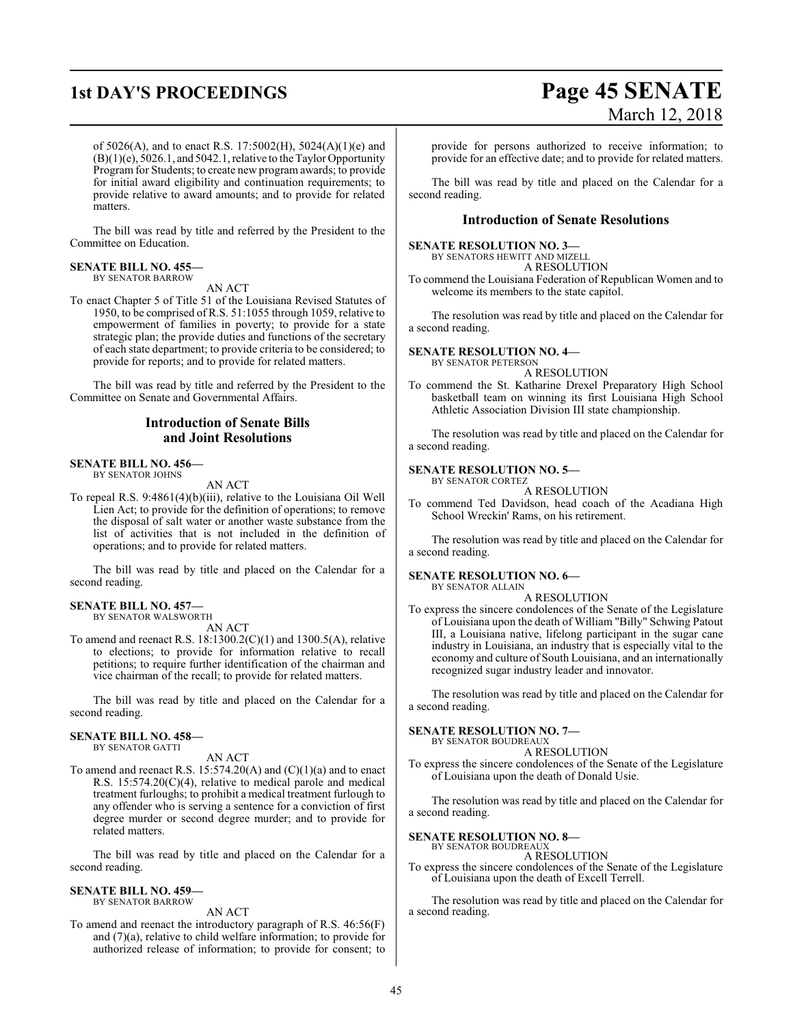## **1st DAY'S PROCEEDINGS Page 45 SENATE** March 12, 2018

of 5026(A), and to enact R.S. 17:5002(H), 5024(A)(1)(e) and (B)(1)(e), 5026.1, and 5042.1, relative to the Taylor Opportunity Program for Students; to create new programawards; to provide for initial award eligibility and continuation requirements; to provide relative to award amounts; and to provide for related matters.

The bill was read by title and referred by the President to the Committee on Education.

#### **SENATE BILL NO. 455—** BY SENATOR BARROW

AN ACT

To enact Chapter 5 of Title 51 of the Louisiana Revised Statutes of 1950, to be comprised of R.S. 51:1055 through 1059, relative to empowerment of families in poverty; to provide for a state strategic plan; the provide duties and functions of the secretary of each state department; to provide criteria to be considered; to provide for reports; and to provide for related matters.

The bill was read by title and referred by the President to the Committee on Senate and Governmental Affairs.

### **Introduction of Senate Bills and Joint Resolutions**

#### **SENATE BILL NO. 456—** BY SENATOR JOHNS

AN ACT

To repeal R.S. 9:4861(4)(b)(iii), relative to the Louisiana Oil Well Lien Act; to provide for the definition of operations; to remove the disposal of salt water or another waste substance from the list of activities that is not included in the definition of operations; and to provide for related matters.

The bill was read by title and placed on the Calendar for a second reading.

#### **SENATE BILL NO. 457—** BY SENATOR WALSWORTH

AN ACT

To amend and reenact R.S. 18:1300.2(C)(1) and 1300.5(A), relative to elections; to provide for information relative to recall petitions; to require further identification of the chairman and vice chairman of the recall; to provide for related matters.

The bill was read by title and placed on the Calendar for a second reading.

#### **SENATE BILL NO. 458—**

BY SENATOR GATTI

AN ACT

To amend and reenact R.S.  $15:574.20(A)$  and  $(C)(1)(a)$  and to enact R.S. 15:574.20(C)(4), relative to medical parole and medical treatment furloughs; to prohibit a medical treatment furlough to any offender who is serving a sentence for a conviction of first degree murder or second degree murder; and to provide for related matters.

The bill was read by title and placed on the Calendar for a second reading.

#### **SENATE BILL NO. 459—** BY SENATOR BARROW

AN ACT

To amend and reenact the introductory paragraph of R.S. 46:56(F) and (7)(a), relative to child welfare information; to provide for authorized release of information; to provide for consent; to

provide for persons authorized to receive information; to provide for an effective date; and to provide for related matters.

The bill was read by title and placed on the Calendar for a second reading.

#### **Introduction of Senate Resolutions**

#### **SENATE RESOLUTION NO. 3—**

BY SENATORS HEWITT AND MIZELL

A RESOLUTION

To commend the Louisiana Federation of Republican Women and to welcome its members to the state capitol.

The resolution was read by title and placed on the Calendar for a second reading.

#### **SENATE RESOLUTION NO. 4—**

BY SENATOR PETERSON A RESOLUTION

To commend the St. Katharine Drexel Preparatory High School basketball team on winning its first Louisiana High School Athletic Association Division III state championship.

The resolution was read by title and placed on the Calendar for a second reading.

#### **SENATE RESOLUTION NO. 5—**

BY SENATOR CORTEZ A RESOLUTION

To commend Ted Davidson, head coach of the Acadiana High School Wreckin' Rams, on his retirement.

The resolution was read by title and placed on the Calendar for a second reading.

#### **SENATE RESOLUTION NO. 6—**

BY SENATOR ALLAIN

A RESOLUTION To express the sincere condolences of the Senate of the Legislature of Louisiana upon the death of William "Billy" Schwing Patout III, a Louisiana native, lifelong participant in the sugar cane industry in Louisiana, an industry that is especially vital to the economy and culture of South Louisiana, and an internationally recognized sugar industry leader and innovator.

The resolution was read by title and placed on the Calendar for a second reading.

#### **SENATE RESOLUTION NO. 7—**

BY SENATOR BOUDREAUX A RESOLUTION

To express the sincere condolences of the Senate of the Legislature of Louisiana upon the death of Donald Usie.

The resolution was read by title and placed on the Calendar for a second reading.

#### **SENATE RESOLUTION NO. 8—** BY SENATOR BOUDREAUX

A RESOLUTION

To express the sincere condolences of the Senate of the Legislature of Louisiana upon the death of Excell Terrell.

The resolution was read by title and placed on the Calendar for a second reading.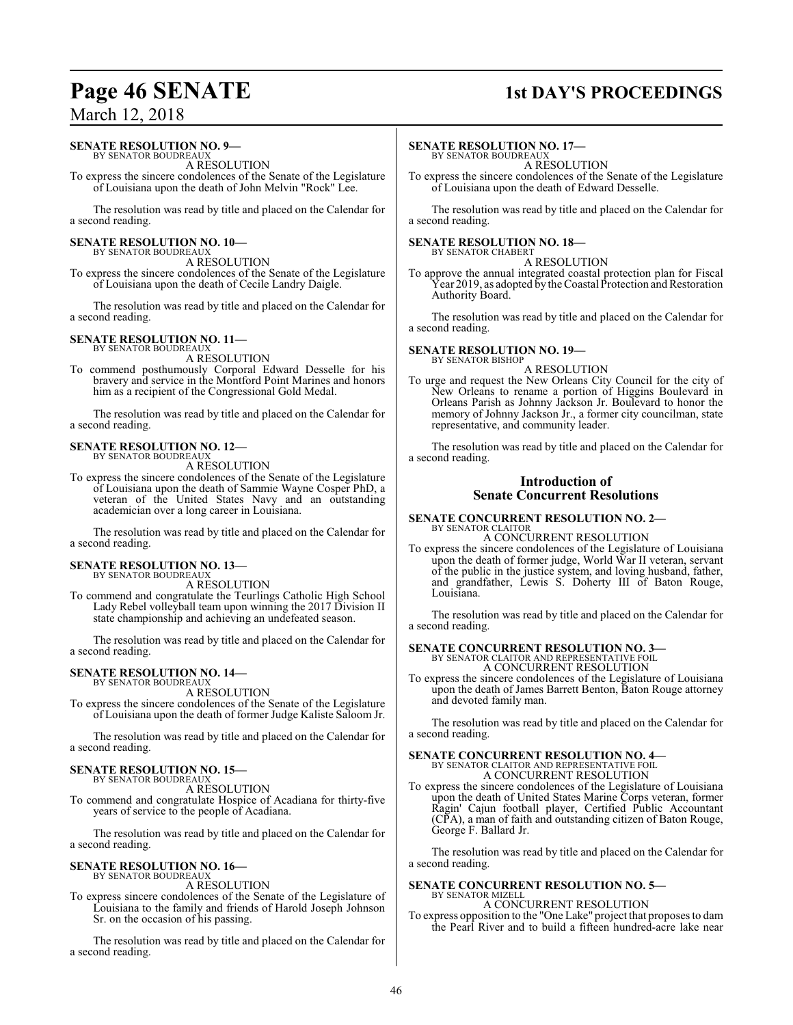### **Page 46 SENATE 1st DAY'S PROCEEDINGS**

### March 12, 2018

#### **SENATE RESOLUTION NO. 9—**

BY SENATOR BOUDREAU A RESOLUTION

To express the sincere condolences of the Senate of the Legislature of Louisiana upon the death of John Melvin "Rock" Lee.

The resolution was read by title and placed on the Calendar for a second reading.

#### **SENATE RESOLUTION NO. 10—** BY SENATOR BOUDREAUX

A RESOLUTION

To express the sincere condolences of the Senate of the Legislature of Louisiana upon the death of Cecile Landry Daigle.

The resolution was read by title and placed on the Calendar for a second reading.

#### **SENATE RESOLUTION NO. 11—**

BY SENATOR BOUDREAU. A RESOLUTION

To commend posthumously Corporal Edward Desselle for his bravery and service in the Montford Point Marines and honors him as a recipient of the Congressional Gold Medal.

The resolution was read by title and placed on the Calendar for a second reading.

#### **SENATE RESOLUTION NO. 12—** BY SENATOR BOUDREAUX

A RESOLUTION

To express the sincere condolences of the Senate of the Legislature of Louisiana upon the death of Sammie Wayne Cosper PhD, a veteran of the United States Navy and an outstanding academician over a long career in Louisiana.

The resolution was read by title and placed on the Calendar for a second reading.

### **SENATE RESOLUTION NO. 13—** BY SENATOR BOUDREAUX

A RESOLUTION

To commend and congratulate the Teurlings Catholic High School Lady Rebel volleyball team upon winning the 2017 Division II state championship and achieving an undefeated season.

The resolution was read by title and placed on the Calendar for a second reading.

### **SENATE RESOLUTION NO. 14—**

BY SENATOR BOUDREAUX

A RESOLUTION

To express the sincere condolences of the Senate of the Legislature of Louisiana upon the death of former Judge Kaliste Saloom Jr.

The resolution was read by title and placed on the Calendar for a second reading.

### **SENATE RESOLUTION NO. 15—**

BY SENATOR BOUDREAUX A RESOLUTION

To commend and congratulate Hospice of Acadiana for thirty-five years of service to the people of Acadiana.

The resolution was read by title and placed on the Calendar for a second reading.

### **SENATE RESOLUTION NO. 16—**

BY SENATOR BOUDREAUX A RESOLUTION

To express sincere condolences of the Senate of the Legislature of Louisiana to the family and friends of Harold Joseph Johnson Sr. on the occasion of his passing.

The resolution was read by title and placed on the Calendar for a second reading.

#### **SENATE RESOLUTION NO. 17—**

BY SENATOR BOUDREAU. A RESOLUTION

To express the sincere condolences of the Senate of the Legislature of Louisiana upon the death of Edward Desselle.

The resolution was read by title and placed on the Calendar for a second reading.

#### **SENATE RESOLUTION NO. 18—** BY SENATOR CHABERT

A RESOLUTION

To approve the annual integrated coastal protection plan for Fiscal Year 2019, as adopted by the Coastal Protection and Restoration Authority Board.

The resolution was read by title and placed on the Calendar for a second reading.

#### **SENATE RESOLUTION NO. 19—** BY SENATOR BISHOP

A RESOLUTION

To urge and request the New Orleans City Council for the city of New Orleans to rename a portion of Higgins Boulevard in Orleans Parish as Johnny Jackson Jr. Boulevard to honor the memory of Johnny Jackson Jr., a former city councilman, state representative, and community leader.

The resolution was read by title and placed on the Calendar for a second reading.

#### **Introduction of Senate Concurrent Resolutions**

#### **SENATE CONCURRENT RESOLUTION NO. 2—** BY SENATOR CLAITOR A CONCURRENT RESOLUTION

To express the sincere condolences of the Legislature of Louisiana upon the death of former judge, World War II veteran, servant of the public in the justice system, and loving husband, father, and grandfather, Lewis S. Doherty III of Baton Rouge, Louisiana.

The resolution was read by title and placed on the Calendar for a second reading.

#### **SENATE CONCURRENT RESOLUTION NO. 3—**

BY SENATOR CLAITOR AND REPRESENTATIVE FOIL A CONCURRENT RESOLUTION

To express the sincere condolences of the Legislature of Louisiana upon the death of James Barrett Benton, Baton Rouge attorney and devoted family man.

The resolution was read by title and placed on the Calendar for a second reading.

### **SENATE CONCURRENT RESOLUTION NO. 4—** BY SENATOR CLAITOR AND REPRESENTATIVE FOIL A CONCURRENT RESOLUTION

To express the sincere condolences of the Legislature of Louisiana upon the death of United States Marine Corps veteran, former Ragin' Cajun football player, Certified Public Accountant (CPA), a man of faith and outstanding citizen of Baton Rouge, George F. Ballard Jr.

The resolution was read by title and placed on the Calendar for a second reading.

#### **SENATE CONCURRENT RESOLUTION NO. 5—** BY SENATOR MIZELL

A CONCURRENT RESOLUTION

To express opposition to the "One Lake" project that proposes to dam the Pearl River and to build a fifteen hundred-acre lake near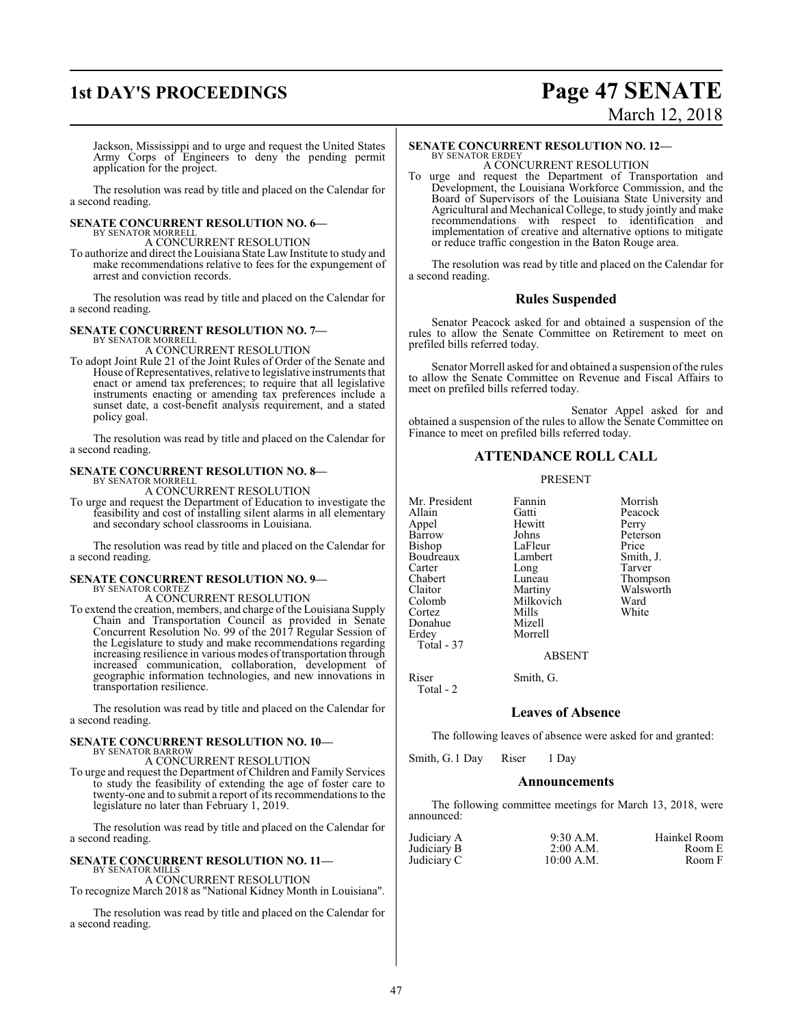### **1st DAY'S PROCEEDINGS Page 47 SENATE** March 12, 2018

Jackson, Mississippi and to urge and request the United States Army Corps of Engineers to deny the pending permit application for the project.

The resolution was read by title and placed on the Calendar for a second reading.

## **SENATE CONCURRENT RESOLUTION NO. 6—** BY SENATOR MORRELL

A CONCURRENT RESOLUTION

To authorize and direct the Louisiana State LawInstitute to study and make recommendations relative to fees for the expungement of arrest and conviction records.

The resolution was read by title and placed on the Calendar for a second reading.

#### **SENATE CONCURRENT RESOLUTION NO. 7—**

BY SENATOR MORRELL A CONCURRENT RESOLUTION

To adopt Joint Rule 21 of the Joint Rules of Order of the Senate and House ofRepresentatives, relative to legislative instruments that enact or amend tax preferences; to require that all legislative instruments enacting or amending tax preferences include a sunset date, a cost-benefit analysis requirement, and a stated policy goal.

The resolution was read by title and placed on the Calendar for a second reading.

#### **SENATE CONCURRENT RESOLUTION NO. 8—**

BY SENATOR MORRELL A CONCURRENT RESOLUTION

To urge and request the Department of Education to investigate the feasibility and cost of installing silent alarms in all elementary and secondary school classrooms in Louisiana.

The resolution was read by title and placed on the Calendar for a second reading.

#### **SENATE CONCURRENT RESOLUTION NO. 9—**

BY SENATOR CORTEZ A CONCURRENT RESOLUTION

To extend the creation, members, and charge of the Louisiana Supply Chain and Transportation Council as provided in Senate Concurrent Resolution No. 99 of the 2017 Regular Session of the Legislature to study and make recommendations regarding increasing resilience in various modes of transportation through increased communication, collaboration, development of geographic information technologies, and new innovations in transportation resilience.

The resolution was read by title and placed on the Calendar for a second reading.

#### **SENATE CONCURRENT RESOLUTION NO. 10—** BY SENATOR BARROW

A CONCURRENT RESOLUTION

To urge and request the Department of Children and Family Services to study the feasibility of extending the age of foster care to twenty-one and to submit a report of its recommendations to the legislature no later than February 1, 2019.

The resolution was read by title and placed on the Calendar for a second reading.

#### **SENATE CONCURRENT RESOLUTION NO. 11—** BY SENATOR MILLS

A CONCURRENT RESOLUTION To recognize March 2018 as "National Kidney Month in Louisiana".

The resolution was read by title and placed on the Calendar for a second reading.

#### **SENATE CONCURRENT RESOLUTION NO. 12—**

BY SENATOR ERDEY A CONCURRENT RESOLUTION

To urge and request the Department of Transportation and Development, the Louisiana Workforce Commission, and the Board of Supervisors of the Louisiana State University and Agricultural and Mechanical College, to study jointly and make recommendations with respect to identification and implementation of creative and alternative options to mitigate or reduce traffic congestion in the Baton Rouge area.

The resolution was read by title and placed on the Calendar for a second reading.

### **Rules Suspended**

Senator Peacock asked for and obtained a suspension of the rules to allow the Senate Committee on Retirement to meet on prefiled bills referred today.

Senator Morrell asked for and obtained a suspension of the rules to allow the Senate Committee on Revenue and Fiscal Affairs to meet on prefiled bills referred today.

Senator Appel asked for and obtained a suspension of the rules to allow the Senate Committee on Finance to meet on prefiled bills referred today.

### **ATTENDANCE ROLL CALL**

#### PRESENT

Mr. President Fannin Morrish<br>Allain Gatti Peacock Appel Hewit<br>Barrow Johns Barrow Johns Peterson<br>Bishop LaFleur Price Boudreaux Lambert Smith,<br>Carter Long Tarver Carter Long<br>Chabert Lunes Chabert Luneau Thompson<br>Claitor Martiny Walsworth Claitor Martiny Walsworth Cortez Mills<br>
Donahue Mizell Donahue<br>Erdey Total - 37

Total - 2

Gatti Peacock<br>
Hewitt Perry LaFleur Price<br>Lambert Smith, J. Milkovich Ward<br>
Mills White

ABSENT

Riser Smith, G.

Morrell

**Leaves of Absence**

The following leaves of absence were asked for and granted:

Smith, G.1 Day Riser 1 Day

#### **Announcements**

The following committee meetings for March 13, 2018, were announced:

| Judiciary A | $9:30$ A.M. | Hainkel Room |
|-------------|-------------|--------------|
| Judiciary B | $2:00$ A.M. | Room E       |
| Judiciary C | 10:00 A.M.  | Room F       |